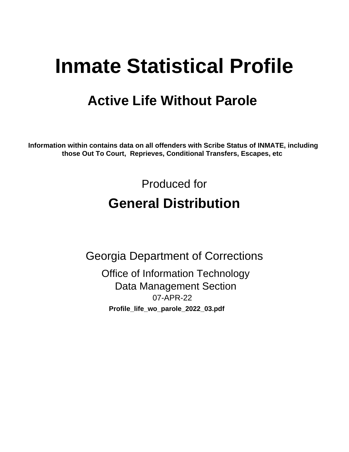# **Inmate Statistical Profile**

## **Active Life Without Parole**

Information within contains data on all offenders with Scribe Status of INMATE, including those Out To Court, Reprieves, Conditional Transfers, Escapes, etc

> Produced for **General Distribution**

**Georgia Department of Corrections Office of Information Technology Data Management Section** 07-APR-22 Profile\_life\_wo\_parole\_2022\_03.pdf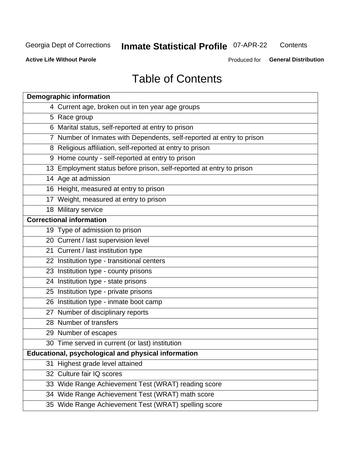## **Inmate Statistical Profile 07-APR-22**

Contents

**Active Life Without Parole** 

Produced for General Distribution

## **Table of Contents**

|    | <b>Demographic information</b>                                        |
|----|-----------------------------------------------------------------------|
|    | 4 Current age, broken out in ten year age groups                      |
|    | 5 Race group                                                          |
|    | 6 Marital status, self-reported at entry to prison                    |
|    | 7 Number of Inmates with Dependents, self-reported at entry to prison |
|    | 8 Religious affiliation, self-reported at entry to prison             |
|    | 9 Home county - self-reported at entry to prison                      |
|    | 13 Employment status before prison, self-reported at entry to prison  |
|    | 14 Age at admission                                                   |
|    | 16 Height, measured at entry to prison                                |
|    | 17 Weight, measured at entry to prison                                |
|    | 18 Military service                                                   |
|    | <b>Correctional information</b>                                       |
|    | 19 Type of admission to prison                                        |
|    | 20 Current / last supervision level                                   |
|    | 21 Current / last institution type                                    |
|    | 22 Institution type - transitional centers                            |
|    | 23 Institution type - county prisons                                  |
|    | 24 Institution type - state prisons                                   |
|    | 25 Institution type - private prisons                                 |
|    | 26 Institution type - inmate boot camp                                |
|    | 27 Number of disciplinary reports                                     |
|    | 28 Number of transfers                                                |
|    | 29 Number of escapes                                                  |
|    | 30 Time served in current (or last) institution                       |
|    | Educational, psychological and physical information                   |
| 31 | Highest grade level attained                                          |
|    | 32 Culture fair IQ scores                                             |
|    | 33 Wide Range Achievement Test (WRAT) reading score                   |
|    | 34 Wide Range Achievement Test (WRAT) math score                      |
|    | 35 Wide Range Achievement Test (WRAT) spelling score                  |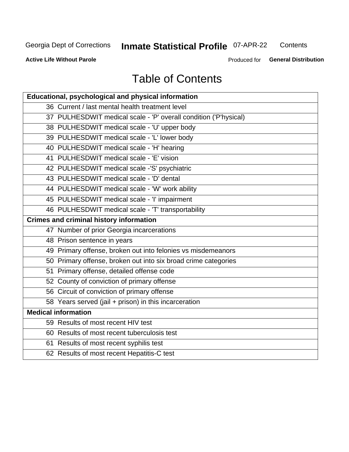## **Inmate Statistical Profile 07-APR-22**

Contents

**Active Life Without Parole** 

Produced for General Distribution

## **Table of Contents**

| Educational, psychological and physical information              |
|------------------------------------------------------------------|
| 36 Current / last mental health treatment level                  |
| 37 PULHESDWIT medical scale - 'P' overall condition ('P'hysical) |
| 38 PULHESDWIT medical scale - 'U' upper body                     |
| 39 PULHESDWIT medical scale - 'L' lower body                     |
| 40 PULHESDWIT medical scale - 'H' hearing                        |
| 41 PULHESDWIT medical scale - 'E' vision                         |
| 42 PULHESDWIT medical scale -'S' psychiatric                     |
| 43 PULHESDWIT medical scale - 'D' dental                         |
| 44 PULHESDWIT medical scale - 'W' work ability                   |
| 45 PULHESDWIT medical scale - 'I' impairment                     |
| 46 PULHESDWIT medical scale - 'T' transportability               |
| <b>Crimes and criminal history information</b>                   |
| 47 Number of prior Georgia incarcerations                        |
| 48 Prison sentence in years                                      |
| 49 Primary offense, broken out into felonies vs misdemeanors     |
| 50 Primary offense, broken out into six broad crime categories   |
| 51 Primary offense, detailed offense code                        |
| 52 County of conviction of primary offense                       |
| 56 Circuit of conviction of primary offense                      |
| 58 Years served (jail + prison) in this incarceration            |
| <b>Medical information</b>                                       |
| 59 Results of most recent HIV test                               |
| 60 Results of most recent tuberculosis test                      |
| 61 Results of most recent syphilis test                          |
| 62 Results of most recent Hepatitis-C test                       |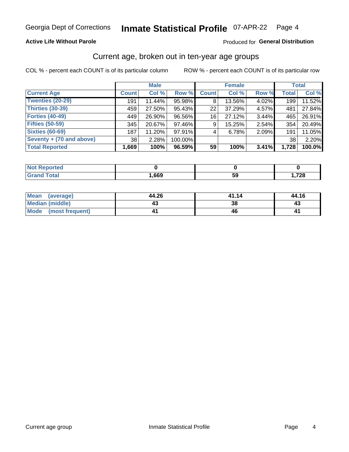#### **Active Life Without Parole**

#### Produced for General Distribution

### Current age, broken out in ten-year age groups

COL % - percent each COUNT is of its particular column

|                          | <b>Male</b>  |        |           | <b>Female</b> |        |          | <b>Total</b> |        |
|--------------------------|--------------|--------|-----------|---------------|--------|----------|--------------|--------|
| <b>Current Age</b>       | <b>Count</b> | Col %  | Row %     | <b>Count</b>  | Col %  | Row %    | <b>Total</b> | Col %  |
| <b>Twenties (20-29)</b>  | 191          | 11.44% | 95.98%    | 8             | 13.56% | 4.02%    | 199          | 11.52% |
| Thirties (30-39)         | 459          | 27.50% | 95.43%    | 22            | 37.29% | 4.57%    | 481          | 27.84% |
| <b>Forties (40-49)</b>   | 449          | 26.90% | 96.56%    | 16            | 27.12% | 3.44%    | 465          | 26.91% |
| <b>Fifties (50-59)</b>   | 345          | 20.67% | 97.46%    | 9             | 15.25% | $2.54\%$ | 354          | 20.49% |
| <b>Sixties (60-69)</b>   | 187          | 11.20% | 97.91%    | 4             | 6.78%  | 2.09%    | 191          | 11.05% |
| Seventy + (70 and above) | 38           | 2.28%  | 100.00%   |               |        |          | 38           | 2.20%  |
| <b>Total Reported</b>    | 1,669        | 100%   | $96.59\%$ | 59            | 100%   | 3.41%    | 1,728        | 100.0% |

| <b>Reported</b>                  |      |    |      |
|----------------------------------|------|----|------|
| <b>Fotal</b><br>$\mathbf{v}$ and | ,669 | 59 | ,728 |

| <b>Mean</b><br>(average)       | 44.26 | 41.14 | 44.16 |  |  |
|--------------------------------|-------|-------|-------|--|--|
| Median (middle)                |       | 38    |       |  |  |
| <b>Mode</b><br>(most frequent) |       |       | 4     |  |  |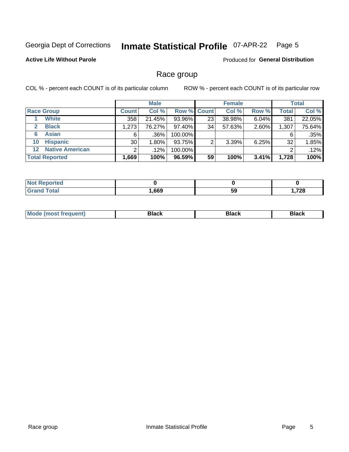#### Inmate Statistical Profile 07-APR-22 Page 5

#### **Active Life Without Parole**

**Produced for General Distribution** 

### Race group

COL % - percent each COUNT is of its particular column

|              |                        | <b>Male</b>  |          |         | <b>Female</b>      |        |       | <b>Total</b> |        |
|--------------|------------------------|--------------|----------|---------|--------------------|--------|-------|--------------|--------|
|              | <b>Race Group</b>      | <b>Count</b> | Col %    |         | <b>Row % Count</b> | Col %  | Row % | <b>Total</b> | Col %  |
|              | <b>White</b>           | 358          | 21.45%   | 93.96%  | 23                 | 38.98% | 6.04% | 381          | 22.05% |
| $\mathbf{2}$ | <b>Black</b>           | 1,273        | 76.27%   | 97.40%  | 34                 | 57.63% | 2.60% | 1,307        | 75.64% |
| 6            | <b>Asian</b>           | 6            | $.36\%$  | 100.00% |                    |        |       | 6            | .35%   |
| 10           | <b>Hispanic</b>        | 30           | $1.80\%$ | 93.75%  | ◠                  | 3.39%  | 6.25% | 32           | 1.85%  |
| $12 \,$      | <b>Native American</b> | ⌒            | $.12\%$  | 100.00% |                    |        |       | 2            | .12%   |
|              | <b>Total Reported</b>  | 1,669        | 100%     | 96.59%  | 59                 | 100%   | 3.41% | 1,728        | 100%   |

| <b>roorted</b> |      |           |             |
|----------------|------|-----------|-------------|
| <b>Total</b>   | ,669 | <b>59</b> | 700<br>74 Q |

| –•••• |  | M |  |  |  |
|-------|--|---|--|--|--|
|-------|--|---|--|--|--|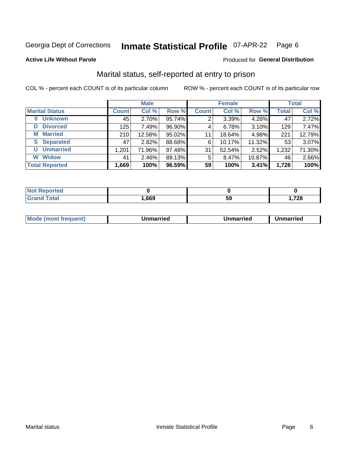#### **Inmate Statistical Profile 07-APR-22** Page 6

Produced for General Distribution

#### **Active Life Without Parole**

### Marital status, self-reported at entry to prison

COL % - percent each COUNT is of its particular column

|                            | <b>Male</b>  |          |        |              | <b>Female</b> | <b>Total</b> |              |        |
|----------------------------|--------------|----------|--------|--------------|---------------|--------------|--------------|--------|
| <b>Marital Status</b>      | <b>Count</b> | Col %    | Row %  | <b>Count</b> | Col %         | Row %        | <b>Total</b> | Col %  |
| <b>Unknown</b><br>$\bf{0}$ | 45           | $2.70\%$ | 95.74% | 2            | 3.39%         | 4.26%        | 47           | 2.72%  |
| <b>Divorced</b><br>D       | 125          | 7.49%    | 96.90% | 4            | 6.78%         | 3.10%        | 129          | 7.47%  |
| <b>Married</b><br>М        | 210          | 12.58%   | 95.02% | 11           | 18.64%        | 4.98%        | 221          | 12.79% |
| <b>Separated</b><br>S.     | 47           | 2.82%    | 88.68% | 6            | 10.17%        | 11.32%       | 53           | 3.07%  |
| <b>Unmarried</b><br>U      | 1,201        | 71.96%   | 97.48% | 31           | 52.54%        | 2.52%        | 1,232        | 71.30% |
| <b>Widow</b><br>W          | 41           | 2.46%    | 89.13% | 5            | 8.47%         | 10.87%       | 46           | 2.66%  |
| <b>Total Reported</b>      | 1,669        | 100%     | 96.59% | 59           | 100%          | 3.41%        | 1,728        | 100%   |

| <b>Not Repo</b><br><b>orted</b> |      |    |       |
|---------------------------------|------|----|-------|
| Total                           | ,669 | ວະ | ,728. |

|--|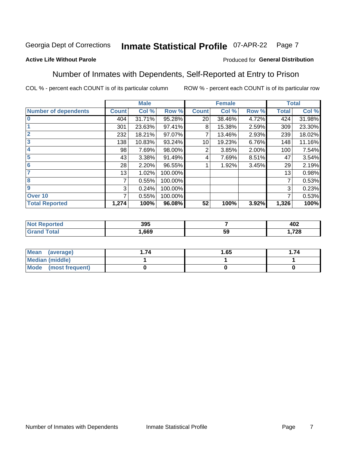#### Inmate Statistical Profile 07-APR-22 Page 7

#### **Active Life Without Parole**

#### Produced for General Distribution

### Number of Inmates with Dependents, Self-Reported at Entry to Prison

COL % - percent each COUNT is of its particular column

|                             |              | <b>Male</b> |         |              | <b>Female</b> |       |              | <b>Total</b> |
|-----------------------------|--------------|-------------|---------|--------------|---------------|-------|--------------|--------------|
| <b>Number of dependents</b> | <b>Count</b> | Col %       | Row %   | <b>Count</b> | Col %         | Row % | <b>Total</b> | Col %        |
| $\bf{0}$                    | 404          | 31.71%      | 95.28%  | 20           | 38.46%        | 4.72% | 424          | 31.98%       |
|                             | 301          | 23.63%      | 97.41%  | 8            | 15.38%        | 2.59% | 309          | 23.30%       |
| $\overline{2}$              | 232          | 18.21%      | 97.07%  |              | 13.46%        | 2.93% | 239          | 18.02%       |
| 3                           | 138          | 10.83%      | 93.24%  | 10           | 19.23%        | 6.76% | 148          | 11.16%       |
| 4                           | 98           | 7.69%       | 98.00%  | 2            | 3.85%         | 2.00% | 100          | 7.54%        |
| 5                           | 43           | 3.38%       | 91.49%  | 4            | 7.69%         | 8.51% | 47           | 3.54%        |
| 6                           | 28           | 2.20%       | 96.55%  |              | 1.92%         | 3.45% | 29           | 2.19%        |
| 7                           | 13           | 1.02%       | 100.00% |              |               |       | 13           | 0.98%        |
| 8                           | 7            | 0.55%       | 100.00% |              |               |       | 7            | 0.53%        |
| $\boldsymbol{9}$            | 3            | 0.24%       | 100.00% |              |               |       | 3            | 0.23%        |
| Over <sub>10</sub>          | 7            | 0.55%       | 100.00% |              |               |       | 7            | 0.53%        |
| <b>Total Reported</b>       | 1,274        | 100%        | 96.08%  | 52           | 100%          | 3.92% | 1,326        | 100%         |

| 395  |    | 402          |
|------|----|--------------|
| .669 | 59 | 700<br>1,720 |

| Mean<br>(average)      | 1.65 | .74 |
|------------------------|------|-----|
| <b>Median (middle)</b> |      |     |
| Mode (most frequent)   |      |     |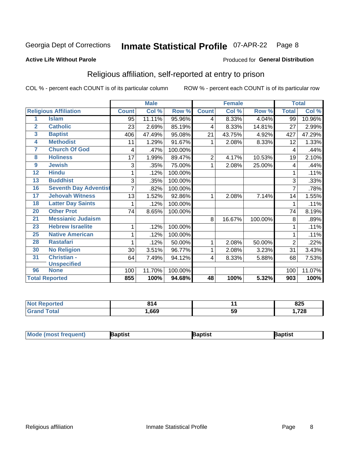#### **Inmate Statistical Profile 07-APR-22** Page 8

#### **Active Life Without Parole**

#### Produced for General Distribution

### Religious affiliation, self-reported at entry to prison

COL % - percent each COUNT is of its particular column

|                         |                              |              | <b>Male</b> |         |                 | <b>Female</b> |         |                | <b>Total</b> |
|-------------------------|------------------------------|--------------|-------------|---------|-----------------|---------------|---------|----------------|--------------|
|                         | <b>Religious Affiliation</b> | <b>Count</b> | Col %       | Row %   | <b>Count</b>    | Col %         | Row %   | <b>Total</b>   | Col %        |
| 1                       | <b>Islam</b>                 | 95           | 11.11%      | 95.96%  | 4               | 8.33%         | 4.04%   | 99             | 10.96%       |
| $\overline{2}$          | <b>Catholic</b>              | 23           | 2.69%       | 85.19%  | 4               | 8.33%         | 14.81%  | 27             | 2.99%        |
| $\overline{\mathbf{3}}$ | <b>Baptist</b>               | 406          | 47.49%      | 95.08%  | 21              | 43.75%        | 4.92%   | 427            | 47.29%       |
| $\overline{\mathbf{4}}$ | <b>Methodist</b>             | 11           | 1.29%       | 91.67%  |                 | 2.08%         | 8.33%   | 12             | 1.33%        |
| 7                       | <b>Church Of God</b>         | 4            | .47%        | 100.00% |                 |               |         | 4              | .44%         |
| 8                       | <b>Holiness</b>              | 17           | 1.99%       | 89.47%  | 2               | 4.17%         | 10.53%  | 19             | 2.10%        |
| 9                       | <b>Jewish</b>                | 3            | .35%        | 75.00%  | 1               | 2.08%         | 25.00%  | 4              | .44%         |
| $\overline{12}$         | <b>Hindu</b>                 | 1            | .12%        | 100.00% |                 |               |         |                | .11%         |
| 13                      | <b>Buddhist</b>              | 3            | .35%        | 100.00% |                 |               |         | 3              | .33%         |
| 16                      | <b>Seventh Day Adventist</b> |              | .82%        | 100.00% |                 |               |         | 7              | .78%         |
| 17                      | <b>Jehovah Witness</b>       | 13           | 1.52%       | 92.86%  |                 | 2.08%         | 7.14%   | 14             | 1.55%        |
| 18                      | <b>Latter Day Saints</b>     | 1            | .12%        | 100.00% |                 |               |         | 1              | .11%         |
| 20                      | <b>Other Prot</b>            | 74           | 8.65%       | 100.00% |                 |               |         | 74             | 8.19%        |
| 21                      | <b>Messianic Judaism</b>     |              |             |         | 8               | 16.67%        | 100.00% | 8              | .89%         |
| 23                      | <b>Hebrew Israelite</b>      | 1            | .12%        | 100.00% |                 |               |         |                | .11%         |
| 25                      | <b>Native American</b>       | 1            | .12%        | 100.00% |                 |               |         |                | .11%         |
| 28                      | <b>Rastafari</b>             | 1            | .12%        | 50.00%  | 1               | 2.08%         | 50.00%  | $\overline{2}$ | .22%         |
| 30                      | <b>No Religion</b>           | 30           | 3.51%       | 96.77%  | 1               | 2.08%         | 3.23%   | 31             | 3.43%        |
| 31                      | Christian -                  | 64           | 7.49%       | 94.12%  | 4               | 8.33%         | 5.88%   | 68             | 7.53%        |
|                         | <b>Unspecified</b>           |              |             |         |                 |               |         |                |              |
| 96                      | <b>None</b>                  | 100          | 11.70%      | 100.00% |                 |               |         | 100            | 11.07%       |
|                         | <b>Total Reported</b>        | 855          | 100%        | 94.68%  | $\overline{48}$ | 100%          | 5.32%   | 903            | 100%         |

| τeα | 64 A |    | 825                       |
|-----|------|----|---------------------------|
|     | ,669 | 59 | $-700$<br>70 <i>۱</i> , ۱ |

| <b>Mode (most frequent)</b><br>Baptist | Baptist | <b>Baptist</b> |
|----------------------------------------|---------|----------------|
|----------------------------------------|---------|----------------|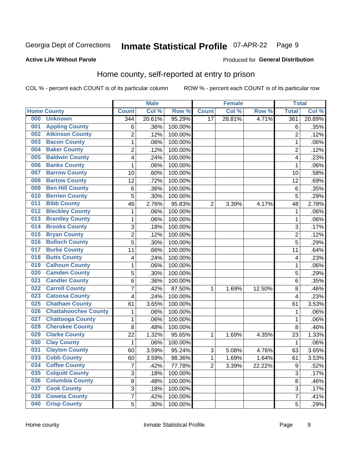#### **Inmate Statistical Profile 07-APR-22** Page 9

#### **Active Life Without Parole**

#### Produced for General Distribution

### Home county, self-reported at entry to prison

COL % - percent each COUNT is of its particular column

|     |                             |                | <b>Male</b> |         |                | <b>Female</b> |        | <b>Total</b>     |        |
|-----|-----------------------------|----------------|-------------|---------|----------------|---------------|--------|------------------|--------|
|     | <b>Home County</b>          | <b>Count</b>   | Col %       | Row %   | <b>Count</b>   | Col %         | Row %  | <b>Total</b>     | Col %  |
| 000 | <b>Unknown</b>              | 344            | 20.61%      | 95.29%  | 17             | 28.81%        | 4.71%  | 361              | 20.89% |
| 001 | <b>Appling County</b>       | 6              | .36%        | 100.00% |                |               |        | 6                | .35%   |
| 002 | <b>Atkinson County</b>      | $\overline{2}$ | .12%        | 100.00% |                |               |        | $\overline{2}$   | .12%   |
| 003 | <b>Bacon County</b>         | $\mathbf 1$    | .06%        | 100.00% |                |               |        | 1                | .06%   |
| 004 | <b>Baker County</b>         | $\overline{2}$ | .12%        | 100.00% |                |               |        | $\overline{2}$   | .12%   |
| 005 | <b>Baldwin County</b>       | 4              | .24%        | 100.00% |                |               |        | 4                | .23%   |
| 006 | <b>Banks County</b>         | $\mathbf{1}$   | .06%        | 100.00% |                |               |        | 1                | .06%   |
| 007 | <b>Barrow County</b>        | 10             | .60%        | 100.00% |                |               |        | 10               | .58%   |
| 008 | <b>Bartow County</b>        | 12             | .72%        | 100.00% |                |               |        | 12               | .69%   |
| 009 | <b>Ben Hill County</b>      | 6              | .36%        | 100.00% |                |               |        | 6                | .35%   |
| 010 | <b>Berrien County</b>       | 5              | .30%        | 100.00% |                |               |        | 5                | .29%   |
| 011 | <b>Bibb County</b>          | 46             | 2.76%       | 95.83%  | $\overline{2}$ | 3.39%         | 4.17%  | 48               | 2.78%  |
| 012 | <b>Bleckley County</b>      | 1              | .06%        | 100.00% |                |               |        | 1                | .06%   |
| 013 | <b>Brantley County</b>      | $\mathbf 1$    | .06%        | 100.00% |                |               |        | 1                | .06%   |
| 014 | <b>Brooks County</b>        | 3              | .18%        | 100.00% |                |               |        | 3                | .17%   |
| 015 | <b>Bryan County</b>         | $\overline{c}$ | .12%        | 100.00% |                |               |        | $\overline{2}$   | .12%   |
| 016 | <b>Bulloch County</b>       | 5              | .30%        | 100.00% |                |               |        | 5                | .29%   |
| 017 | <b>Burke County</b>         | 11             | .66%        | 100.00% |                |               |        | 11               | .64%   |
| 018 | <b>Butts County</b>         | 4              | .24%        | 100.00% |                |               |        | 4                | .23%   |
| 019 | <b>Calhoun County</b>       | $\mathbf 1$    | .06%        | 100.00% |                |               |        | 1                | .06%   |
| 020 | <b>Camden County</b>        | 5              | .30%        | 100.00% |                |               |        | 5                | .29%   |
| 021 | <b>Candler County</b>       | 6              | .36%        | 100.00% |                |               |        | 6                | .35%   |
| 022 | <b>Carroll County</b>       | $\overline{7}$ | .42%        | 87.50%  | 1              | 1.69%         | 12.50% | 8                | .46%   |
| 023 | <b>Catoosa County</b>       | 4              | .24%        | 100.00% |                |               |        | 4                | .23%   |
| 025 | <b>Chatham County</b>       | 61             | 3.65%       | 100.00% |                |               |        | 61               | 3.53%  |
| 026 | <b>Chattahoochee County</b> | $\mathbf 1$    | .06%        | 100.00% |                |               |        | 1                | .06%   |
| 027 | <b>Chattooga County</b>     | $\mathbf 1$    | .06%        | 100.00% |                |               |        | 1                | .06%   |
| 028 | <b>Cherokee County</b>      | 8              | .48%        | 100.00% |                |               |        | 8                | .46%   |
| 029 | <b>Clarke County</b>        | 22             | 1.32%       | 95.65%  | 1              | 1.69%         | 4.35%  | 23               | 1.33%  |
| 030 | <b>Clay County</b>          | $\mathbf 1$    | .06%        | 100.00% |                |               |        | $\mathbf 1$      | .06%   |
| 031 | <b>Clayton County</b>       | 60             | 3.59%       | 95.24%  | $\mathsf 3$    | 5.08%         | 4.76%  | 63               | 3.65%  |
| 033 | <b>Cobb County</b>          | 60             | 3.59%       | 98.36%  | 1              | 1.69%         | 1.64%  | 61               | 3.53%  |
| 034 | <b>Coffee County</b>        | $\overline{7}$ | .42%        | 77.78%  | $\overline{2}$ | 3.39%         | 22.22% | $\boldsymbol{9}$ | .52%   |
| 035 | <b>Colquitt County</b>      | 3              | .18%        | 100.00% |                |               |        | $\overline{3}$   | .17%   |
| 036 | <b>Columbia County</b>      | 8              | .48%        | 100.00% |                |               |        | 8                | .46%   |
| 037 | <b>Cook County</b>          | 3              | .18%        | 100.00% |                |               |        | 3                | .17%   |
| 038 | <b>Coweta County</b>        | $\overline{7}$ | .42%        | 100.00% |                |               |        | 7                | .41%   |
| 040 | <b>Crisp County</b>         | 5              | .30%        | 100.00% |                |               |        | 5                | .29%   |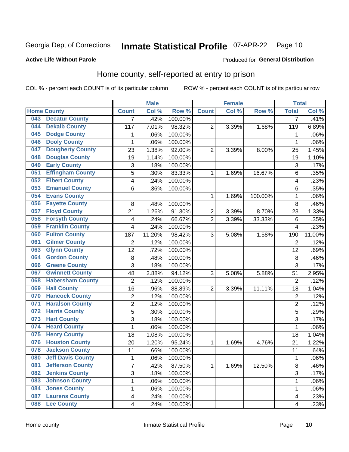#### Inmate Statistical Profile 07-APR-22 Page 10

#### **Active Life Without Parole**

#### Produced for General Distribution

### Home county, self-reported at entry to prison

COL % - percent each COUNT is of its particular column

|     |                          |                           | <b>Male</b> |         |                         | <b>Female</b> |         | <b>Total</b>            |        |
|-----|--------------------------|---------------------------|-------------|---------|-------------------------|---------------|---------|-------------------------|--------|
|     | <b>Home County</b>       | <b>Count</b>              | Col %       | Row %   | <b>Count</b>            | Col %         | Row %   | <b>Total</b>            | Col%   |
| 043 | <b>Decatur County</b>    | $\overline{7}$            | .42%        | 100.00% |                         |               |         | 7                       | .41%   |
| 044 | <b>Dekalb County</b>     | 117                       | 7.01%       | 98.32%  | $\overline{\mathbf{c}}$ | 3.39%         | 1.68%   | 119                     | 6.89%  |
| 045 | <b>Dodge County</b>      | 1                         | .06%        | 100.00% |                         |               |         | 1                       | .06%   |
| 046 | <b>Dooly County</b>      | 1                         | .06%        | 100.00% |                         |               |         | 1                       | .06%   |
| 047 | <b>Dougherty County</b>  | 23                        | 1.38%       | 92.00%  | $\overline{2}$          | 3.39%         | 8.00%   | 25                      | 1.45%  |
| 048 | <b>Douglas County</b>    | 19                        | 1.14%       | 100.00% |                         |               |         | 19                      | 1.10%  |
| 049 | <b>Early County</b>      | $\ensuremath{\mathsf{3}}$ | .18%        | 100.00% |                         |               |         | 3                       | .17%   |
| 051 | <b>Effingham County</b>  | 5                         | .30%        | 83.33%  | 1                       | 1.69%         | 16.67%  | 6                       | .35%   |
| 052 | <b>Elbert County</b>     | $\overline{\mathbf{4}}$   | .24%        | 100.00% |                         |               |         | 4                       | .23%   |
| 053 | <b>Emanuel County</b>    | 6                         | .36%        | 100.00% |                         |               |         | 6                       | .35%   |
| 054 | <b>Evans County</b>      |                           |             |         | 1                       | 1.69%         | 100.00% | 1                       | .06%   |
| 056 | <b>Fayette County</b>    | 8                         | .48%        | 100.00% |                         |               |         | 8                       | .46%   |
| 057 | <b>Floyd County</b>      | 21                        | 1.26%       | 91.30%  | 2                       | 3.39%         | 8.70%   | 23                      | 1.33%  |
| 058 | <b>Forsyth County</b>    | 4                         | .24%        | 66.67%  | $\overline{2}$          | 3.39%         | 33.33%  | $6\phantom{1}6$         | .35%   |
| 059 | <b>Franklin County</b>   | 4                         | .24%        | 100.00% |                         |               |         | 4                       | .23%   |
| 060 | <b>Fulton County</b>     | 187                       | 11.20%      | 98.42%  | 3                       | 5.08%         | 1.58%   | 190                     | 11.00% |
| 061 | <b>Gilmer County</b>     | 2                         | .12%        | 100.00% |                         |               |         | $\overline{2}$          | .12%   |
| 063 | <b>Glynn County</b>      | 12                        | .72%        | 100.00% |                         |               |         | 12                      | .69%   |
| 064 | <b>Gordon County</b>     | 8                         | .48%        | 100.00% |                         |               |         | $\bf 8$                 | .46%   |
| 066 | <b>Greene County</b>     | 3                         | .18%        | 100.00% |                         |               |         | 3                       | .17%   |
| 067 | <b>Gwinnett County</b>   | 48                        | 2.88%       | 94.12%  | 3                       | 5.08%         | 5.88%   | 51                      | 2.95%  |
| 068 | <b>Habersham County</b>  | $\overline{2}$            | .12%        | 100.00% |                         |               |         | $\overline{2}$          | .12%   |
| 069 | <b>Hall County</b>       | 16                        | .96%        | 88.89%  | $\overline{\mathbf{c}}$ | 3.39%         | 11.11%  | 18                      | 1.04%  |
| 070 | <b>Hancock County</b>    | $\overline{2}$            | .12%        | 100.00% |                         |               |         | $\overline{2}$          | .12%   |
| 071 | <b>Haralson County</b>   | $\overline{c}$            | .12%        | 100.00% |                         |               |         | $\overline{c}$          | .12%   |
| 072 | <b>Harris County</b>     | 5                         | .30%        | 100.00% |                         |               |         | 5                       | .29%   |
| 073 | <b>Hart County</b>       | 3                         | .18%        | 100.00% |                         |               |         | 3                       | .17%   |
| 074 | <b>Heard County</b>      | $\mathbf 1$               | .06%        | 100.00% |                         |               |         | 1                       | .06%   |
| 075 | <b>Henry County</b>      | 18                        | 1.08%       | 100.00% |                         |               |         | 18                      | 1.04%  |
| 076 | <b>Houston County</b>    | 20                        | 1.20%       | 95.24%  | 1                       | 1.69%         | 4.76%   | 21                      | 1.22%  |
| 078 | <b>Jackson County</b>    | 11                        | .66%        | 100.00% |                         |               |         | 11                      | .64%   |
| 080 | <b>Jeff Davis County</b> | 1                         | .06%        | 100.00% |                         |               |         | 1                       | .06%   |
| 081 | <b>Jefferson County</b>  | $\overline{7}$            | .42%        | 87.50%  | $\mathbf{1}$            | 1.69%         | 12.50%  | 8                       | .46%   |
| 082 | <b>Jenkins County</b>    | 3                         | .18%        | 100.00% |                         |               |         | 3                       | .17%   |
| 083 | <b>Johnson County</b>    | $\mathbf 1$               | .06%        | 100.00% |                         |               |         | 1                       | .06%   |
| 084 | <b>Jones County</b>      | $\mathbf 1$               | .06%        | 100.00% |                         |               |         | 1                       | .06%   |
| 087 | <b>Laurens County</b>    | $\overline{\mathbf{4}}$   | .24%        | 100.00% |                         |               |         | 4                       | .23%   |
| 088 | <b>Lee County</b>        | $\overline{\mathbf{4}}$   | .24%        | 100.00% |                         |               |         | $\overline{\mathbf{4}}$ | .23%   |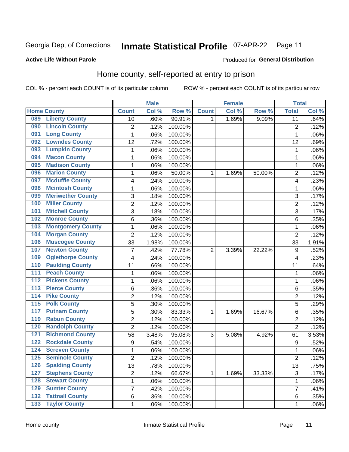#### Inmate Statistical Profile 07-APR-22 Page 11

Produced for General Distribution

#### **Active Life Without Parole**

### Home county, self-reported at entry to prison

COL % - percent each COUNT is of its particular column

|                  |                          | <b>Male</b>      |       | <b>Female</b> |                |       | <b>Total</b> |                 |       |
|------------------|--------------------------|------------------|-------|---------------|----------------|-------|--------------|-----------------|-------|
|                  | <b>Home County</b>       | <b>Count</b>     | Col % | Row %         | <b>Count</b>   | Col % | Row %        | <b>Total</b>    | Col % |
| 089              | <b>Liberty County</b>    | 10               | .60%  | 90.91%        | 1.             | 1.69% | 9.09%        | $\overline{11}$ | .64%  |
| 090              | <b>Lincoln County</b>    | 2                | .12%  | 100.00%       |                |       |              | $\overline{2}$  | .12%  |
| 091              | <b>Long County</b>       | $\mathbf{1}$     | .06%  | 100.00%       |                |       |              | 1               | .06%  |
| 092              | <b>Lowndes County</b>    | 12               | .72%  | 100.00%       |                |       |              | 12              | .69%  |
| 093              | <b>Lumpkin County</b>    | $\mathbf{1}$     | .06%  | 100.00%       |                |       |              | 1               | .06%  |
| 094              | <b>Macon County</b>      | $\mathbf 1$      | .06%  | 100.00%       |                |       |              | 1               | .06%  |
| 095              | <b>Madison County</b>    | $\mathbf{1}$     | .06%  | 100.00%       |                |       |              | 1               | .06%  |
| 096              | <b>Marion County</b>     | 1                | .06%  | 50.00%        | 1              | 1.69% | 50.00%       | $\overline{2}$  | .12%  |
| 097              | <b>Mcduffie County</b>   | 4                | .24%  | 100.00%       |                |       |              | 4               | .23%  |
| 098              | <b>Mcintosh County</b>   | $\mathbf 1$      | .06%  | 100.00%       |                |       |              | 1               | .06%  |
| 099              | <b>Meriwether County</b> | 3                | .18%  | 100.00%       |                |       |              | 3               | .17%  |
| 100              | <b>Miller County</b>     | $\overline{c}$   | .12%  | 100.00%       |                |       |              | $\overline{2}$  | .12%  |
| 101              | <b>Mitchell County</b>   | 3                | .18%  | 100.00%       |                |       |              | 3               | .17%  |
| 102              | <b>Monroe County</b>     | 6                | .36%  | 100.00%       |                |       |              | 6               | .35%  |
| 103              | <b>Montgomery County</b> | $\mathbf{1}$     | .06%  | 100.00%       |                |       |              | 1               | .06%  |
| 104              | <b>Morgan County</b>     | $\overline{2}$   | .12%  | 100.00%       |                |       |              | $\overline{2}$  | .12%  |
| 106              | <b>Muscogee County</b>   | 33               | 1.98% | 100.00%       |                |       |              | 33              | 1.91% |
| 107              | <b>Newton County</b>     | 7                | .42%  | 77.78%        | $\overline{2}$ | 3.39% | 22.22%       | 9               | .52%  |
| 109              | <b>Oglethorpe County</b> | 4                | .24%  | 100.00%       |                |       |              | $\overline{4}$  | .23%  |
| 110              | <b>Paulding County</b>   | 11               | .66%  | 100.00%       |                |       |              | 11              | .64%  |
| 111              | <b>Peach County</b>      | $\mathbf 1$      | .06%  | 100.00%       |                |       |              | 1               | .06%  |
| $\overline{112}$ | <b>Pickens County</b>    | $\mathbf 1$      | .06%  | 100.00%       |                |       |              | 1               | .06%  |
| 113              | <b>Pierce County</b>     | 6                | .36%  | 100.00%       |                |       |              | 6               | .35%  |
| 114              | <b>Pike County</b>       | $\overline{2}$   | .12%  | 100.00%       |                |       |              | $\overline{2}$  | .12%  |
| $\overline{115}$ | <b>Polk County</b>       | 5                | .30%  | 100.00%       |                |       |              | 5               | .29%  |
| 117              | <b>Putnam County</b>     | 5                | .30%  | 83.33%        | 1              | 1.69% | 16.67%       | 6               | .35%  |
| 119              | <b>Rabun County</b>      | $\overline{c}$   | .12%  | 100.00%       |                |       |              | $\overline{2}$  | .12%  |
| 120              | <b>Randolph County</b>   | $\overline{2}$   | .12%  | 100.00%       |                |       |              | $\overline{2}$  | .12%  |
| 121              | <b>Richmond County</b>   | 58               | 3.48% | 95.08%        | 3              | 5.08% | 4.92%        | 61              | 3.53% |
| 122              | <b>Rockdale County</b>   | $\boldsymbol{9}$ | .54%  | 100.00%       |                |       |              | 9               | .52%  |
| 124              | <b>Screven County</b>    | $\mathbf{1}$     | .06%  | 100.00%       |                |       |              | 1               | .06%  |
| 125              | <b>Seminole County</b>   | 2                | .12%  | 100.00%       |                |       |              | $\overline{2}$  | .12%  |
| 126              | <b>Spalding County</b>   | 13               | .78%  | 100.00%       |                |       |              | 13              | .75%  |
| 127              | <b>Stephens County</b>   | $\overline{2}$   | .12%  | 66.67%        | 1              | 1.69% | 33.33%       | $\overline{3}$  | .17%  |
| 128              | <b>Stewart County</b>    | $\mathbf{1}$     | .06%  | 100.00%       |                |       |              | 1               | .06%  |
| 129              | <b>Sumter County</b>     | 7                | .42%  | 100.00%       |                |       |              | 7               | .41%  |
| 132              | <b>Tattnall County</b>   | 6                | .36%  | 100.00%       |                |       |              | 6               | .35%  |
| 133              | <b>Taylor County</b>     | $\mathbf{1}$     | .06%  | 100.00%       |                |       |              | 1               | .06%  |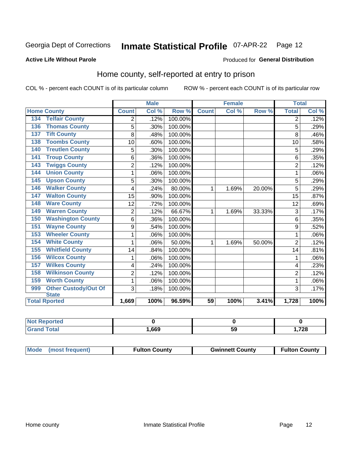## Inmate Statistical Profile 07-APR-22 Page 12

#### **Active Life Without Parole**

#### Produced for General Distribution

### Home county, self-reported at entry to prison

COL % - percent each COUNT is of its particular column

|                                    | <b>Male</b>    |       |         | <b>Female</b> |       |        | <b>Total</b>   |       |
|------------------------------------|----------------|-------|---------|---------------|-------|--------|----------------|-------|
| <b>Home County</b>                 | <b>Count</b>   | Col % | Row %   | <b>Count</b>  | Col % | Row %  | <b>Total</b>   | Col % |
| <b>Telfair County</b><br>134       | 2              | .12%  | 100.00% |               |       |        | 2              | .12%  |
| <b>Thomas County</b><br>136        | 5              | .30%  | 100.00% |               |       |        | 5              | .29%  |
| <b>Tift County</b><br>137          | 8              | .48%  | 100.00% |               |       |        | 8              | .46%  |
| <b>Toombs County</b><br>138        | 10             | .60%  | 100.00% |               |       |        | 10             | .58%  |
| <b>Treutlen County</b><br>140      | 5              | .30%  | 100.00% |               |       |        | 5              | .29%  |
| <b>Troup County</b><br>141         | 6              | .36%  | 100.00% |               |       |        | 6              | .35%  |
| <b>Twiggs County</b><br>143        | $\overline{c}$ | .12%  | 100.00% |               |       |        | $\overline{2}$ | .12%  |
| <b>Union County</b><br>144         | 1              | .06%  | 100.00% |               |       |        |                | .06%  |
| <b>Upson County</b><br>145         | 5              | .30%  | 100.00% |               |       |        | 5              | .29%  |
| <b>Walker County</b><br>146        | 4              | .24%  | 80.00%  | 1             | 1.69% | 20.00% | 5              | .29%  |
| <b>Walton County</b><br>147        | 15             | .90%  | 100.00% |               |       |        | 15             | .87%  |
| <b>Ware County</b><br>148          | 12             | .72%  | 100.00% |               |       |        | 12             | .69%  |
| <b>Warren County</b><br>149        | $\overline{2}$ | .12%  | 66.67%  | 1             | 1.69% | 33.33% | 3              | .17%  |
| <b>Washington County</b><br>150    | 6              | .36%  | 100.00% |               |       |        | 6              | .35%  |
| <b>Wayne County</b><br>151         | 9              | .54%  | 100.00% |               |       |        | 9              | .52%  |
| <b>Wheeler County</b><br>153       | 1              | .06%  | 100.00% |               |       |        |                | .06%  |
| <b>White County</b><br>154         | 1              | .06%  | 50.00%  | 1             | 1.69% | 50.00% | $\overline{2}$ | .12%  |
| <b>Whitfield County</b><br>155     | 14             | .84%  | 100.00% |               |       |        | 14             | .81%  |
| <b>Wilcox County</b><br>156        | 1              | .06%  | 100.00% |               |       |        |                | .06%  |
| <b>Wilkes County</b><br>157        | 4              | .24%  | 100.00% |               |       |        | 4              | .23%  |
| <b>Wilkinson County</b><br>158     | $\overline{2}$ | .12%  | 100.00% |               |       |        | $\overline{2}$ | .12%  |
| <b>Worth County</b><br>159         | 1              | .06%  | 100.00% |               |       |        | 1              | .06%  |
| <b>Other Custody/Out Of</b><br>999 | 3              | .18%  | 100.00% |               |       |        | 3              | .17%  |
| <b>State</b>                       |                |       |         |               |       |        |                |       |
| <b>Total Rported</b>               | 1,669          | 100%  | 96.59%  | 59            | 100%  | 3.41%  | 1,728          | 100%  |

| <b>Not Reported</b> |      |    |      |
|---------------------|------|----|------|
| Total               | ,669 | va | ,728 |

| Mode (most frequent) | <b>Fulton County</b> | <b>Gwinnett County</b> | <b>Fulton County</b> |
|----------------------|----------------------|------------------------|----------------------|
|----------------------|----------------------|------------------------|----------------------|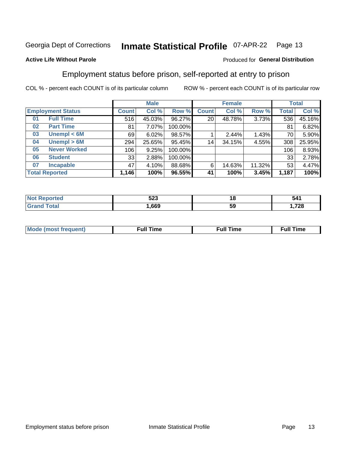#### **Inmate Statistical Profile 07-APR-22** Page 13

#### **Active Life Without Parole**

#### Produced for General Distribution

### Employment status before prison, self-reported at entry to prison

COL % - percent each COUNT is of its particular column

|                           |              | <b>Male</b> |         |              | <b>Female</b> |        |       | <b>Total</b> |
|---------------------------|--------------|-------------|---------|--------------|---------------|--------|-------|--------------|
| <b>Employment Status</b>  | <b>Count</b> | Col %       | Row %   | <b>Count</b> | Col %         | Row %  | Total | Col %        |
| <b>Full Time</b><br>01    | 516          | 45.03%      | 96.27%  | 20           | 48.78%        | 3.73%  | 536   | 45.16%       |
| <b>Part Time</b><br>02    | 81           | 7.07%       | 100.00% |              |               |        | 81    | 6.82%        |
| Unempl $<$ 6M<br>03       | 69           | 6.02%       | 98.57%  |              | 2.44%         | 1.43%  | 70    | 5.90%        |
| Unempl > 6M<br>04         | 294          | 25.65%      | 95.45%  | 14           | 34.15%        | 4.55%  | 308   | 25.95%       |
| <b>Never Worked</b><br>05 | 106          | 9.25%       | 100.00% |              |               |        | 106   | 8.93%        |
| <b>Student</b><br>06      | 33           | 2.88%       | 100.00% |              |               |        | 33    | 2.78%        |
| <b>Incapable</b><br>07    | 47           | 4.10%       | 88.68%  | 6            | 14.63%        | 11.32% | 53    | 4.47%        |
| <b>Total Reported</b>     | 1,146        | 100%        | 96.55%  | 41           | 100%          | 3.45%  | 1,187 | 100%         |

| にへへ<br>ວ∠ວ | 10<br>$\overline{\phantom{a}}$ | 541                             |
|------------|--------------------------------|---------------------------------|
| .669       | ວະ                             | 700<br>I . / ZC<br>$\,$ , $-$ . |

| Mc | ∙u∥<br>----<br>ıme | ίuΙ<br>Πmε |
|----|--------------------|------------|
|    |                    |            |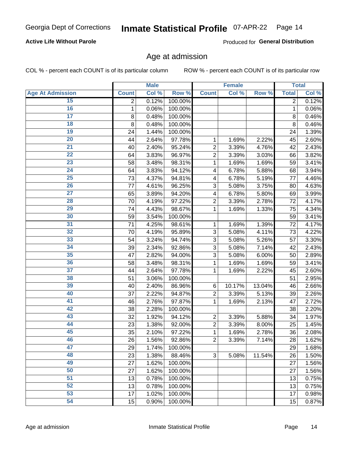#### **Active Life Without Parole**

Produced for General Distribution

#### Age at admission

COL % - percent each COUNT is of its particular column

|                         |              | <b>Male</b> |         |                | <b>Female</b> |        |              | <b>Total</b> |
|-------------------------|--------------|-------------|---------|----------------|---------------|--------|--------------|--------------|
| <b>Age At Admission</b> | <b>Count</b> | Col %       | Row %   | <b>Count</b>   | Col %         | Row %  | <b>Total</b> | Col %        |
| 15                      | 2            | 0.12%       | 100.00% |                |               |        | 2            | 0.12%        |
| 16                      | 1            | 0.06%       | 100.00% |                |               |        | 1            | 0.06%        |
| $\overline{17}$         | 8            | 0.48%       | 100.00% |                |               |        | 8            | 0.46%        |
| 18                      | 8            | 0.48%       | 100.00% |                |               |        | 8            | 0.46%        |
| 19                      | 24           | 1.44%       | 100.00% |                |               |        | 24           | 1.39%        |
| $\overline{20}$         | 44           | 2.64%       | 97.78%  | 1              | 1.69%         | 2.22%  | 45           | 2.60%        |
| $\overline{21}$         | 40           | 2.40%       | 95.24%  | $\overline{2}$ | 3.39%         | 4.76%  | 42           | 2.43%        |
| 22                      | 64           | 3.83%       | 96.97%  | $\overline{2}$ | 3.39%         | 3.03%  | 66           | 3.82%        |
| 23                      | 58           | 3.48%       | 98.31%  | 1              | 1.69%         | 1.69%  | 59           | 3.41%        |
| 24                      | 64           | 3.83%       | 94.12%  | 4              | 6.78%         | 5.88%  | 68           | 3.94%        |
| $\overline{25}$         | 73           | 4.37%       | 94.81%  | 4              | 6.78%         | 5.19%  | 77           | 4.46%        |
| 26                      | 77           | 4.61%       | 96.25%  | 3              | 5.08%         | 3.75%  | 80           | 4.63%        |
| $\overline{27}$         | 65           | 3.89%       | 94.20%  | 4              | 6.78%         | 5.80%  | 69           | 3.99%        |
| 28                      | 70           | 4.19%       | 97.22%  | $\overline{2}$ | 3.39%         | 2.78%  | 72           | 4.17%        |
| 29                      | 74           | 4.43%       | 98.67%  | 1              | 1.69%         | 1.33%  | 75           | 4.34%        |
| 30                      | 59           | 3.54%       | 100.00% |                |               |        | 59           | 3.41%        |
| 31                      | 71           | 4.25%       | 98.61%  | 1              | 1.69%         | 1.39%  | 72           | 4.17%        |
| 32                      | 70           | 4.19%       | 95.89%  | 3              | 5.08%         | 4.11%  | 73           | 4.22%        |
| 33                      | 54           | 3.24%       | 94.74%  | 3              | 5.08%         | 5.26%  | 57           | 3.30%        |
| 34                      | 39           | 2.34%       | 92.86%  | 3              | 5.08%         | 7.14%  | 42           | 2.43%        |
| 35                      | 47           | 2.82%       | 94.00%  | 3              | 5.08%         | 6.00%  | 50           | 2.89%        |
| 36                      | 58           | 3.48%       | 98.31%  | 1              | 1.69%         | 1.69%  | 59           | 3.41%        |
| $\overline{37}$         | 44           | 2.64%       | 97.78%  | 1              | 1.69%         | 2.22%  | 45           | 2.60%        |
| 38                      | 51           | 3.06%       | 100.00% |                |               |        | 51           | 2.95%        |
| 39                      | 40           | 2.40%       | 86.96%  | 6              | 10.17%        | 13.04% | 46           | 2.66%        |
| 40                      | 37           | 2.22%       | 94.87%  | $\overline{2}$ | 3.39%         | 5.13%  | 39           | 2.26%        |
| 41                      | 46           | 2.76%       | 97.87%  | 1              | 1.69%         | 2.13%  | 47           | 2.72%        |
| 42                      | 38           | 2.28%       | 100.00% |                |               |        | 38           | 2.20%        |
| 43                      | 32           | 1.92%       | 94.12%  | $\overline{2}$ | 3.39%         | 5.88%  | 34           | 1.97%        |
| 44                      | 23           | 1.38%       | 92.00%  | $\overline{2}$ | 3.39%         | 8.00%  | 25           | 1.45%        |
| 45                      | 35           | 2.10%       | 97.22%  | 1              | 1.69%         | 2.78%  | 36           | 2.08%        |
| 46                      | 26           | 1.56%       | 92.86%  | $\overline{2}$ | 3.39%         | 7.14%  | 28           | 1.62%        |
| 47                      | 29           | 1.74%       | 100.00% |                |               |        | 29           | 1.68%        |
| 48                      | 23           | 1.38%       | 88.46%  | 3              | 5.08%         | 11.54% | 26           | 1.50%        |
| 49                      | 27           | 1.62%       | 100.00% |                |               |        | 27           | 1.56%        |
| 50                      | 27           | 1.62%       | 100.00% |                |               |        | 27           | 1.56%        |
| $\overline{51}$         | 13           | 0.78%       | 100.00% |                |               |        | 13           | 0.75%        |
| 52                      | 13           | 0.78%       | 100.00% |                |               |        | 13           | 0.75%        |
| 53                      | 17           | 1.02%       | 100.00% |                |               |        | 17           | 0.98%        |
| 54                      | 15           | 0.90%       | 100.00% |                |               |        | 15           | 0.87%        |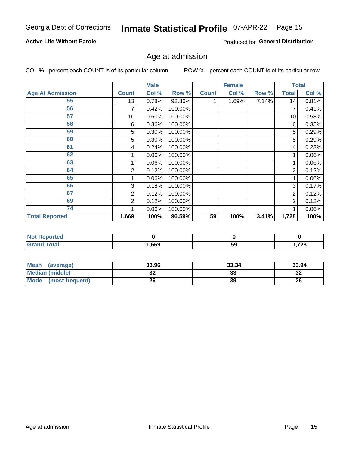#### **Active Life Without Parole**

Produced for General Distribution

## Age at admission

COL % - percent each COUNT is of its particular column

|                         |              | <b>Male</b> |         |              | <b>Female</b> |       |              | <b>Total</b> |
|-------------------------|--------------|-------------|---------|--------------|---------------|-------|--------------|--------------|
| <b>Age At Admission</b> | <b>Count</b> | Col %       | Row %   | <b>Count</b> | Col %         | Row % | <b>Total</b> | Col %        |
| 55                      | 13           | 0.78%       | 92.86%  |              | 1.69%         | 7.14% | 14           | 0.81%        |
| 56                      | 7            | 0.42%       | 100.00% |              |               |       |              | 0.41%        |
| 57                      | 10           | 0.60%       | 100.00% |              |               |       | 10           | 0.58%        |
| 58                      | 6            | 0.36%       | 100.00% |              |               |       | 6            | 0.35%        |
| 59                      | 5            | 0.30%       | 100.00% |              |               |       | 5            | 0.29%        |
| 60                      | 5            | 0.30%       | 100.00% |              |               |       | 5            | 0.29%        |
| 61                      | 4            | 0.24%       | 100.00% |              |               |       | 4            | 0.23%        |
| 62                      |              | 0.06%       | 100.00% |              |               |       |              | 0.06%        |
| 63                      |              | 0.06%       | 100.00% |              |               |       |              | 0.06%        |
| 64                      | 2            | 0.12%       | 100.00% |              |               |       | 2            | 0.12%        |
| 65                      |              | 0.06%       | 100.00% |              |               |       |              | 0.06%        |
| 66                      | 3            | 0.18%       | 100.00% |              |               |       | 3            | 0.17%        |
| 67                      | 2            | 0.12%       | 100.00% |              |               |       | 2            | 0.12%        |
| 69                      | 2            | 0.12%       | 100.00% |              |               |       | 2            | 0.12%        |
| 74                      |              | 0.06%       | 100.00% |              |               |       |              | 0.06%        |
| <b>Total Reported</b>   | 1,669        | 100%        | 96.59%  | 59           | 100%          | 3.41% | 1,728        | 100%         |

| <b>Not Reported</b> |      |    |       |
|---------------------|------|----|-------|
| <b>Total</b>        | ,669 | 59 | 1,728 |

| <b>Mean</b><br>(average) | 33.96   | 33.34    | 33.94   |
|--------------------------|---------|----------|---------|
| <b>Median (middle)</b>   | ົ<br>JZ | າາ<br>აა | ົ<br>∠ت |
| Mode<br>(most frequent)  | 26      | 39       | 26      |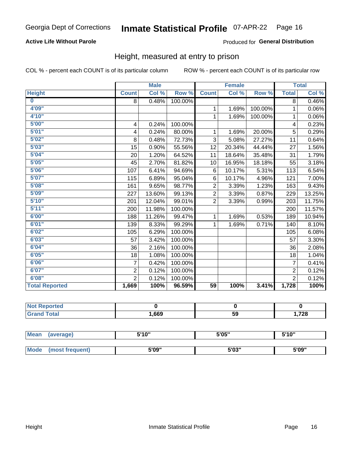#### **Active Life Without Parole**

#### Produced for General Distribution

#### Height, measured at entry to prison

COL % - percent each COUNT is of its particular column

|                       |                         | <b>Male</b> |         |                 | <b>Female</b>              |         |                | <b>Total</b>               |
|-----------------------|-------------------------|-------------|---------|-----------------|----------------------------|---------|----------------|----------------------------|
| <b>Height</b>         | <b>Count</b>            | Col %       | Row %   | <b>Count</b>    | $\overline{\text{Col }^9}$ | Row %   | <b>Total</b>   | $\overline{\text{Col }\%}$ |
| $\bf{0}$              | 8                       | 0.48%       | 100.00% |                 |                            |         | 8              | 0.46%                      |
| 4'09"                 |                         |             |         | 1               | 1.69%                      | 100.00% | 1              | 0.06%                      |
| 4'10''                |                         |             |         | $\mathbf{1}$    | 1.69%                      | 100.00% | 1              | 0.06%                      |
| 5'00''                | $\overline{\mathbf{4}}$ | 0.24%       | 100.00% |                 |                            |         | 4              | 0.23%                      |
| 5'01"                 | 4                       | 0.24%       | 80.00%  | 1.              | 1.69%                      | 20.00%  | 5              | 0.29%                      |
| 5'02"                 | 8                       | 0.48%       | 72.73%  | 3               | 5.08%                      | 27.27%  | 11             | 0.64%                      |
| 5'03''                | 15                      | 0.90%       | 55.56%  | 12              | 20.34%                     | 44.44%  | 27             | 1.56%                      |
| 5'04"                 | 20                      | 1.20%       | 64.52%  | 11              | 18.64%                     | 35.48%  | 31             | 1.79%                      |
| 5'05"                 | 45                      | 2.70%       | 81.82%  | 10              | 16.95%                     | 18.18%  | 55             | 3.18%                      |
| 5'06''                | 107                     | 6.41%       | 94.69%  | 6               | 10.17%                     | 5.31%   | 113            | 6.54%                      |
| 5'07''                | 115                     | 6.89%       | 95.04%  | 6               | 10.17%                     | 4.96%   | 121            | 7.00%                      |
| 5'08''                | 161                     | 9.65%       | 98.77%  | $\overline{2}$  | 3.39%                      | 1.23%   | 163            | 9.43%                      |
| 5'09''                | 227                     | 13.60%      | 99.13%  | $\overline{2}$  | 3.39%                      | 0.87%   | 229            | 13.25%                     |
| 5'10''                | 201                     | 12.04%      | 99.01%  | $\overline{2}$  | 3.39%                      | 0.99%   | 203            | 11.75%                     |
| 5'11"                 | 200                     | 11.98%      | 100.00% |                 |                            |         | 200            | 11.57%                     |
| 6'00''                | 188                     | 11.26%      | 99.47%  | $\mathbf{1}$    | 1.69%                      | 0.53%   | 189            | 10.94%                     |
| 6'01''                | 139                     | 8.33%       | 99.29%  | 1               | 1.69%                      | 0.71%   | 140            | 8.10%                      |
| 6'02"                 | 105                     | 6.29%       | 100.00% |                 |                            |         | 105            | 6.08%                      |
| 6'03''                | 57                      | 3.42%       | 100.00% |                 |                            |         | 57             | 3.30%                      |
| 6'04"                 | 36                      | 2.16%       | 100.00% |                 |                            |         | 36             | 2.08%                      |
| 6'05"                 | 18                      | 1.08%       | 100.00% |                 |                            |         | 18             | 1.04%                      |
| 6'06''                | $\overline{7}$          | 0.42%       | 100.00% |                 |                            |         | $\overline{7}$ | 0.41%                      |
| 6'07''                | $\overline{2}$          | 0.12%       | 100.00% |                 |                            |         | $\overline{2}$ | 0.12%                      |
| 6'08''                | $\overline{2}$          | 0.12%       | 100.00% |                 |                            |         | $\overline{2}$ | 0.12%                      |
| <b>Total Reported</b> | 1,669                   | 100%        | 96.59%  | $\overline{59}$ | 100%                       | 3.41%   | 1,728          | 100%                       |

| NOT<br>rtea<br>a an estatun d<br>$\sim$ |      |    |       |
|-----------------------------------------|------|----|-------|
| $\sim$                                  | ,669 | 59 | 1,728 |

| <b>Mean</b> | (average)       | 5'10" | 5'05" | 5'10"<br>J |
|-------------|-----------------|-------|-------|------------|
|             |                 |       |       |            |
| <b>Mode</b> | (most frequent) | 5'09" | 5'03" | 5'09"      |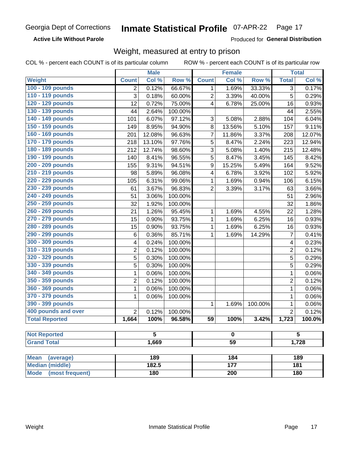**Active Life Without Parole** 

Produced for General Distribution

### Weight, measured at entry to prison

COL % - percent each COUNT is of its particular column

| Row <sup>%</sup><br>Col %<br>Row %<br>Weight<br>Col %<br><b>Count</b><br><b>Total</b><br><b>Count</b><br>100 - 109 pounds<br>0.12%<br>66.67%<br>1.69%<br>33.33%<br>$\overline{3}$<br>2<br>1<br>110 - 119 pounds<br>3<br>$\overline{c}$<br>5<br>0.18%<br>60.00%<br>3.39%<br>40.00%<br>120 - 129 pounds<br>12<br>0.72%<br>75.00%<br>4<br>25.00%<br>0.93%<br>6.78%<br>16<br>130 - 139 pounds<br>44<br>2.64%<br>100.00%<br>2.55%<br>44<br>140 - 149 pounds<br>6.07%<br>97.12%<br>3<br>2.88%<br>6.04%<br>101<br>5.08%<br>104<br>150 - 159 pounds<br>13.56%<br>8.95%<br>94.90%<br>8<br>5.10%<br>157<br>9.11%<br>149<br>160 - 169 pounds<br>$\overline{7}$<br>12.08%<br>96.63%<br>11.86%<br>3.37%<br>208<br>12.07%<br>201<br>170 - 179 pounds<br>5<br>13.10%<br>97.76%<br>8.47%<br>2.24%<br>12.94%<br>218<br>223<br>180 - 189 pounds<br>212<br>12.74%<br>98.60%<br>3<br>5.08%<br>1.40%<br>12.48%<br>215<br>190 - 199 pounds<br>5<br>8.42%<br>8.41%<br>96.55%<br>8.47%<br>3.45%<br>140<br>145<br>200 - 209 pounds<br>$\boldsymbol{9}$<br>9.31%<br>94.51%<br>15.25%<br>5.49%<br>164<br>9.52%<br>155<br>210 - 219 pounds<br>5.89%<br>96.08%<br>$\overline{\mathbf{4}}$<br>3.92%<br>5.92%<br>98<br>6.78%<br>102<br>220 - 229 pounds<br>6.31%<br>99.06%<br>1.69%<br>6.15%<br>105<br>1<br>0.94%<br>106<br>230 - 239 pounds<br>$\overline{2}$<br>61<br>3.67%<br>96.83%<br>3.39%<br>3.17%<br>3.66%<br>63<br>240 - 249 pounds<br>51<br>3.06%<br>100.00%<br>2.96%<br>51<br>250 - 259 pounds<br>32<br>1.92%<br>100.00%<br>32<br>1.86%<br>260 - 269 pounds<br>1.28%<br>1.26%<br>95.45%<br>1.69%<br>4.55%<br>21<br>1<br>22<br>270 - 279 pounds<br>15<br>0.90%<br>93.75%<br>1<br>1.69%<br>6.25%<br>16<br>280 - 289 pounds<br>15<br>0.90%<br>93.75%<br>6.25%<br>0.93%<br>1<br>1.69%<br>16<br>290 - 299 pounds<br>$\overline{7}$<br>0.36%<br>85.71%<br>0.41%<br>6<br>1<br>1.69%<br>14.29%<br>300 - 309 pounds<br>0.23%<br>0.24%<br>100.00%<br>4<br>4<br>310 - 319 pounds<br>100.00%<br>$\overline{2}$<br>0.12%<br>$\overline{2}$<br>0.12%<br>320 - 329 pounds<br>5<br>0.30%<br>100.00%<br>5<br>0.29%<br>330 - 339 pounds<br>5<br>5<br>0.30%<br>100.00%<br>0.29%<br>340 - 349 pounds<br>0.06%<br>100.00%<br>0.06%<br>1<br>1<br>350 - 359 pounds<br>100.00%<br>$\overline{2}$<br>0.12%<br>$\overline{2}$<br>0.12%<br>360 - 369 pounds<br>1<br>0.06%<br>100.00%<br>$\mathbf 1$<br>0.06%<br>370 - 379 pounds<br>1<br>$\mathbf 1$<br>0.06%<br>0.06%<br>100.00%<br>390 - 399 pounds<br>1<br>100.00%<br>$\mathbf 1$<br>1.69%<br>400 pounds and over<br>$\overline{2}$<br>$\overline{2}$<br>0.12%<br>100.00%<br><b>Total Reported</b><br>100%<br>96.58%<br>59<br>100%<br>3.42%<br>1,723<br>1,664<br>$\overline{5}$<br>$\overline{\mathbf{5}}$<br><b>Not Reported</b><br>0<br>1,669<br>$\overline{59}$<br>1,728<br><b>Grand Total</b><br>189<br>189<br><b>Mean</b><br>184<br>(average)<br><b>Median (middle)</b><br>182.5<br>177<br>181<br>180<br><b>Mode</b><br>(most frequent)<br>$\overline{200}$ |  | <b>Male</b> |  |  | <b>Female</b> |     |  | <b>Total</b> |
|----------------------------------------------------------------------------------------------------------------------------------------------------------------------------------------------------------------------------------------------------------------------------------------------------------------------------------------------------------------------------------------------------------------------------------------------------------------------------------------------------------------------------------------------------------------------------------------------------------------------------------------------------------------------------------------------------------------------------------------------------------------------------------------------------------------------------------------------------------------------------------------------------------------------------------------------------------------------------------------------------------------------------------------------------------------------------------------------------------------------------------------------------------------------------------------------------------------------------------------------------------------------------------------------------------------------------------------------------------------------------------------------------------------------------------------------------------------------------------------------------------------------------------------------------------------------------------------------------------------------------------------------------------------------------------------------------------------------------------------------------------------------------------------------------------------------------------------------------------------------------------------------------------------------------------------------------------------------------------------------------------------------------------------------------------------------------------------------------------------------------------------------------------------------------------------------------------------------------------------------------------------------------------------------------------------------------------------------------------------------------------------------------------------------------------------------------------------------------------------------------------------------------------------------------------------------------------------------------------------------------------------------------------------------------------------------------------------------------------------------------------------------------------------------------------------------------------------------------------------------------------------------------------------------------------------------------------------------|--|-------------|--|--|---------------|-----|--|--------------|
| 0.29%<br>0.93%<br>0.06%                                                                                                                                                                                                                                                                                                                                                                                                                                                                                                                                                                                                                                                                                                                                                                                                                                                                                                                                                                                                                                                                                                                                                                                                                                                                                                                                                                                                                                                                                                                                                                                                                                                                                                                                                                                                                                                                                                                                                                                                                                                                                                                                                                                                                                                                                                                                                                                                                                                                                                                                                                                                                                                                                                                                                                                                                                                                                                                                              |  |             |  |  |               |     |  | Col %        |
| $\overline{0.12\%}$<br>$100.0\%$                                                                                                                                                                                                                                                                                                                                                                                                                                                                                                                                                                                                                                                                                                                                                                                                                                                                                                                                                                                                                                                                                                                                                                                                                                                                                                                                                                                                                                                                                                                                                                                                                                                                                                                                                                                                                                                                                                                                                                                                                                                                                                                                                                                                                                                                                                                                                                                                                                                                                                                                                                                                                                                                                                                                                                                                                                                                                                                                     |  |             |  |  |               |     |  | 0.17%        |
|                                                                                                                                                                                                                                                                                                                                                                                                                                                                                                                                                                                                                                                                                                                                                                                                                                                                                                                                                                                                                                                                                                                                                                                                                                                                                                                                                                                                                                                                                                                                                                                                                                                                                                                                                                                                                                                                                                                                                                                                                                                                                                                                                                                                                                                                                                                                                                                                                                                                                                                                                                                                                                                                                                                                                                                                                                                                                                                                                                      |  |             |  |  |               |     |  |              |
|                                                                                                                                                                                                                                                                                                                                                                                                                                                                                                                                                                                                                                                                                                                                                                                                                                                                                                                                                                                                                                                                                                                                                                                                                                                                                                                                                                                                                                                                                                                                                                                                                                                                                                                                                                                                                                                                                                                                                                                                                                                                                                                                                                                                                                                                                                                                                                                                                                                                                                                                                                                                                                                                                                                                                                                                                                                                                                                                                                      |  |             |  |  |               |     |  |              |
|                                                                                                                                                                                                                                                                                                                                                                                                                                                                                                                                                                                                                                                                                                                                                                                                                                                                                                                                                                                                                                                                                                                                                                                                                                                                                                                                                                                                                                                                                                                                                                                                                                                                                                                                                                                                                                                                                                                                                                                                                                                                                                                                                                                                                                                                                                                                                                                                                                                                                                                                                                                                                                                                                                                                                                                                                                                                                                                                                                      |  |             |  |  |               |     |  |              |
|                                                                                                                                                                                                                                                                                                                                                                                                                                                                                                                                                                                                                                                                                                                                                                                                                                                                                                                                                                                                                                                                                                                                                                                                                                                                                                                                                                                                                                                                                                                                                                                                                                                                                                                                                                                                                                                                                                                                                                                                                                                                                                                                                                                                                                                                                                                                                                                                                                                                                                                                                                                                                                                                                                                                                                                                                                                                                                                                                                      |  |             |  |  |               |     |  |              |
|                                                                                                                                                                                                                                                                                                                                                                                                                                                                                                                                                                                                                                                                                                                                                                                                                                                                                                                                                                                                                                                                                                                                                                                                                                                                                                                                                                                                                                                                                                                                                                                                                                                                                                                                                                                                                                                                                                                                                                                                                                                                                                                                                                                                                                                                                                                                                                                                                                                                                                                                                                                                                                                                                                                                                                                                                                                                                                                                                                      |  |             |  |  |               |     |  |              |
|                                                                                                                                                                                                                                                                                                                                                                                                                                                                                                                                                                                                                                                                                                                                                                                                                                                                                                                                                                                                                                                                                                                                                                                                                                                                                                                                                                                                                                                                                                                                                                                                                                                                                                                                                                                                                                                                                                                                                                                                                                                                                                                                                                                                                                                                                                                                                                                                                                                                                                                                                                                                                                                                                                                                                                                                                                                                                                                                                                      |  |             |  |  |               |     |  |              |
|                                                                                                                                                                                                                                                                                                                                                                                                                                                                                                                                                                                                                                                                                                                                                                                                                                                                                                                                                                                                                                                                                                                                                                                                                                                                                                                                                                                                                                                                                                                                                                                                                                                                                                                                                                                                                                                                                                                                                                                                                                                                                                                                                                                                                                                                                                                                                                                                                                                                                                                                                                                                                                                                                                                                                                                                                                                                                                                                                                      |  |             |  |  |               |     |  |              |
|                                                                                                                                                                                                                                                                                                                                                                                                                                                                                                                                                                                                                                                                                                                                                                                                                                                                                                                                                                                                                                                                                                                                                                                                                                                                                                                                                                                                                                                                                                                                                                                                                                                                                                                                                                                                                                                                                                                                                                                                                                                                                                                                                                                                                                                                                                                                                                                                                                                                                                                                                                                                                                                                                                                                                                                                                                                                                                                                                                      |  |             |  |  |               |     |  |              |
|                                                                                                                                                                                                                                                                                                                                                                                                                                                                                                                                                                                                                                                                                                                                                                                                                                                                                                                                                                                                                                                                                                                                                                                                                                                                                                                                                                                                                                                                                                                                                                                                                                                                                                                                                                                                                                                                                                                                                                                                                                                                                                                                                                                                                                                                                                                                                                                                                                                                                                                                                                                                                                                                                                                                                                                                                                                                                                                                                                      |  |             |  |  |               |     |  |              |
|                                                                                                                                                                                                                                                                                                                                                                                                                                                                                                                                                                                                                                                                                                                                                                                                                                                                                                                                                                                                                                                                                                                                                                                                                                                                                                                                                                                                                                                                                                                                                                                                                                                                                                                                                                                                                                                                                                                                                                                                                                                                                                                                                                                                                                                                                                                                                                                                                                                                                                                                                                                                                                                                                                                                                                                                                                                                                                                                                                      |  |             |  |  |               |     |  |              |
|                                                                                                                                                                                                                                                                                                                                                                                                                                                                                                                                                                                                                                                                                                                                                                                                                                                                                                                                                                                                                                                                                                                                                                                                                                                                                                                                                                                                                                                                                                                                                                                                                                                                                                                                                                                                                                                                                                                                                                                                                                                                                                                                                                                                                                                                                                                                                                                                                                                                                                                                                                                                                                                                                                                                                                                                                                                                                                                                                                      |  |             |  |  |               |     |  |              |
|                                                                                                                                                                                                                                                                                                                                                                                                                                                                                                                                                                                                                                                                                                                                                                                                                                                                                                                                                                                                                                                                                                                                                                                                                                                                                                                                                                                                                                                                                                                                                                                                                                                                                                                                                                                                                                                                                                                                                                                                                                                                                                                                                                                                                                                                                                                                                                                                                                                                                                                                                                                                                                                                                                                                                                                                                                                                                                                                                                      |  |             |  |  |               |     |  |              |
|                                                                                                                                                                                                                                                                                                                                                                                                                                                                                                                                                                                                                                                                                                                                                                                                                                                                                                                                                                                                                                                                                                                                                                                                                                                                                                                                                                                                                                                                                                                                                                                                                                                                                                                                                                                                                                                                                                                                                                                                                                                                                                                                                                                                                                                                                                                                                                                                                                                                                                                                                                                                                                                                                                                                                                                                                                                                                                                                                                      |  |             |  |  |               |     |  |              |
|                                                                                                                                                                                                                                                                                                                                                                                                                                                                                                                                                                                                                                                                                                                                                                                                                                                                                                                                                                                                                                                                                                                                                                                                                                                                                                                                                                                                                                                                                                                                                                                                                                                                                                                                                                                                                                                                                                                                                                                                                                                                                                                                                                                                                                                                                                                                                                                                                                                                                                                                                                                                                                                                                                                                                                                                                                                                                                                                                                      |  |             |  |  |               |     |  |              |
|                                                                                                                                                                                                                                                                                                                                                                                                                                                                                                                                                                                                                                                                                                                                                                                                                                                                                                                                                                                                                                                                                                                                                                                                                                                                                                                                                                                                                                                                                                                                                                                                                                                                                                                                                                                                                                                                                                                                                                                                                                                                                                                                                                                                                                                                                                                                                                                                                                                                                                                                                                                                                                                                                                                                                                                                                                                                                                                                                                      |  |             |  |  |               |     |  |              |
|                                                                                                                                                                                                                                                                                                                                                                                                                                                                                                                                                                                                                                                                                                                                                                                                                                                                                                                                                                                                                                                                                                                                                                                                                                                                                                                                                                                                                                                                                                                                                                                                                                                                                                                                                                                                                                                                                                                                                                                                                                                                                                                                                                                                                                                                                                                                                                                                                                                                                                                                                                                                                                                                                                                                                                                                                                                                                                                                                                      |  |             |  |  |               |     |  |              |
|                                                                                                                                                                                                                                                                                                                                                                                                                                                                                                                                                                                                                                                                                                                                                                                                                                                                                                                                                                                                                                                                                                                                                                                                                                                                                                                                                                                                                                                                                                                                                                                                                                                                                                                                                                                                                                                                                                                                                                                                                                                                                                                                                                                                                                                                                                                                                                                                                                                                                                                                                                                                                                                                                                                                                                                                                                                                                                                                                                      |  |             |  |  |               |     |  |              |
|                                                                                                                                                                                                                                                                                                                                                                                                                                                                                                                                                                                                                                                                                                                                                                                                                                                                                                                                                                                                                                                                                                                                                                                                                                                                                                                                                                                                                                                                                                                                                                                                                                                                                                                                                                                                                                                                                                                                                                                                                                                                                                                                                                                                                                                                                                                                                                                                                                                                                                                                                                                                                                                                                                                                                                                                                                                                                                                                                                      |  |             |  |  |               |     |  |              |
|                                                                                                                                                                                                                                                                                                                                                                                                                                                                                                                                                                                                                                                                                                                                                                                                                                                                                                                                                                                                                                                                                                                                                                                                                                                                                                                                                                                                                                                                                                                                                                                                                                                                                                                                                                                                                                                                                                                                                                                                                                                                                                                                                                                                                                                                                                                                                                                                                                                                                                                                                                                                                                                                                                                                                                                                                                                                                                                                                                      |  |             |  |  |               |     |  |              |
|                                                                                                                                                                                                                                                                                                                                                                                                                                                                                                                                                                                                                                                                                                                                                                                                                                                                                                                                                                                                                                                                                                                                                                                                                                                                                                                                                                                                                                                                                                                                                                                                                                                                                                                                                                                                                                                                                                                                                                                                                                                                                                                                                                                                                                                                                                                                                                                                                                                                                                                                                                                                                                                                                                                                                                                                                                                                                                                                                                      |  |             |  |  |               |     |  |              |
|                                                                                                                                                                                                                                                                                                                                                                                                                                                                                                                                                                                                                                                                                                                                                                                                                                                                                                                                                                                                                                                                                                                                                                                                                                                                                                                                                                                                                                                                                                                                                                                                                                                                                                                                                                                                                                                                                                                                                                                                                                                                                                                                                                                                                                                                                                                                                                                                                                                                                                                                                                                                                                                                                                                                                                                                                                                                                                                                                                      |  |             |  |  |               |     |  |              |
|                                                                                                                                                                                                                                                                                                                                                                                                                                                                                                                                                                                                                                                                                                                                                                                                                                                                                                                                                                                                                                                                                                                                                                                                                                                                                                                                                                                                                                                                                                                                                                                                                                                                                                                                                                                                                                                                                                                                                                                                                                                                                                                                                                                                                                                                                                                                                                                                                                                                                                                                                                                                                                                                                                                                                                                                                                                                                                                                                                      |  |             |  |  |               |     |  |              |
|                                                                                                                                                                                                                                                                                                                                                                                                                                                                                                                                                                                                                                                                                                                                                                                                                                                                                                                                                                                                                                                                                                                                                                                                                                                                                                                                                                                                                                                                                                                                                                                                                                                                                                                                                                                                                                                                                                                                                                                                                                                                                                                                                                                                                                                                                                                                                                                                                                                                                                                                                                                                                                                                                                                                                                                                                                                                                                                                                                      |  |             |  |  |               |     |  |              |
|                                                                                                                                                                                                                                                                                                                                                                                                                                                                                                                                                                                                                                                                                                                                                                                                                                                                                                                                                                                                                                                                                                                                                                                                                                                                                                                                                                                                                                                                                                                                                                                                                                                                                                                                                                                                                                                                                                                                                                                                                                                                                                                                                                                                                                                                                                                                                                                                                                                                                                                                                                                                                                                                                                                                                                                                                                                                                                                                                                      |  |             |  |  |               |     |  |              |
|                                                                                                                                                                                                                                                                                                                                                                                                                                                                                                                                                                                                                                                                                                                                                                                                                                                                                                                                                                                                                                                                                                                                                                                                                                                                                                                                                                                                                                                                                                                                                                                                                                                                                                                                                                                                                                                                                                                                                                                                                                                                                                                                                                                                                                                                                                                                                                                                                                                                                                                                                                                                                                                                                                                                                                                                                                                                                                                                                                      |  |             |  |  |               |     |  |              |
|                                                                                                                                                                                                                                                                                                                                                                                                                                                                                                                                                                                                                                                                                                                                                                                                                                                                                                                                                                                                                                                                                                                                                                                                                                                                                                                                                                                                                                                                                                                                                                                                                                                                                                                                                                                                                                                                                                                                                                                                                                                                                                                                                                                                                                                                                                                                                                                                                                                                                                                                                                                                                                                                                                                                                                                                                                                                                                                                                                      |  |             |  |  |               |     |  |              |
|                                                                                                                                                                                                                                                                                                                                                                                                                                                                                                                                                                                                                                                                                                                                                                                                                                                                                                                                                                                                                                                                                                                                                                                                                                                                                                                                                                                                                                                                                                                                                                                                                                                                                                                                                                                                                                                                                                                                                                                                                                                                                                                                                                                                                                                                                                                                                                                                                                                                                                                                                                                                                                                                                                                                                                                                                                                                                                                                                                      |  |             |  |  |               |     |  |              |
|                                                                                                                                                                                                                                                                                                                                                                                                                                                                                                                                                                                                                                                                                                                                                                                                                                                                                                                                                                                                                                                                                                                                                                                                                                                                                                                                                                                                                                                                                                                                                                                                                                                                                                                                                                                                                                                                                                                                                                                                                                                                                                                                                                                                                                                                                                                                                                                                                                                                                                                                                                                                                                                                                                                                                                                                                                                                                                                                                                      |  |             |  |  |               |     |  |              |
|                                                                                                                                                                                                                                                                                                                                                                                                                                                                                                                                                                                                                                                                                                                                                                                                                                                                                                                                                                                                                                                                                                                                                                                                                                                                                                                                                                                                                                                                                                                                                                                                                                                                                                                                                                                                                                                                                                                                                                                                                                                                                                                                                                                                                                                                                                                                                                                                                                                                                                                                                                                                                                                                                                                                                                                                                                                                                                                                                                      |  |             |  |  |               |     |  |              |
|                                                                                                                                                                                                                                                                                                                                                                                                                                                                                                                                                                                                                                                                                                                                                                                                                                                                                                                                                                                                                                                                                                                                                                                                                                                                                                                                                                                                                                                                                                                                                                                                                                                                                                                                                                                                                                                                                                                                                                                                                                                                                                                                                                                                                                                                                                                                                                                                                                                                                                                                                                                                                                                                                                                                                                                                                                                                                                                                                                      |  |             |  |  |               |     |  |              |
|                                                                                                                                                                                                                                                                                                                                                                                                                                                                                                                                                                                                                                                                                                                                                                                                                                                                                                                                                                                                                                                                                                                                                                                                                                                                                                                                                                                                                                                                                                                                                                                                                                                                                                                                                                                                                                                                                                                                                                                                                                                                                                                                                                                                                                                                                                                                                                                                                                                                                                                                                                                                                                                                                                                                                                                                                                                                                                                                                                      |  |             |  |  |               |     |  |              |
|                                                                                                                                                                                                                                                                                                                                                                                                                                                                                                                                                                                                                                                                                                                                                                                                                                                                                                                                                                                                                                                                                                                                                                                                                                                                                                                                                                                                                                                                                                                                                                                                                                                                                                                                                                                                                                                                                                                                                                                                                                                                                                                                                                                                                                                                                                                                                                                                                                                                                                                                                                                                                                                                                                                                                                                                                                                                                                                                                                      |  |             |  |  |               |     |  |              |
|                                                                                                                                                                                                                                                                                                                                                                                                                                                                                                                                                                                                                                                                                                                                                                                                                                                                                                                                                                                                                                                                                                                                                                                                                                                                                                                                                                                                                                                                                                                                                                                                                                                                                                                                                                                                                                                                                                                                                                                                                                                                                                                                                                                                                                                                                                                                                                                                                                                                                                                                                                                                                                                                                                                                                                                                                                                                                                                                                                      |  |             |  |  |               |     |  |              |
|                                                                                                                                                                                                                                                                                                                                                                                                                                                                                                                                                                                                                                                                                                                                                                                                                                                                                                                                                                                                                                                                                                                                                                                                                                                                                                                                                                                                                                                                                                                                                                                                                                                                                                                                                                                                                                                                                                                                                                                                                                                                                                                                                                                                                                                                                                                                                                                                                                                                                                                                                                                                                                                                                                                                                                                                                                                                                                                                                                      |  |             |  |  |               |     |  |              |
|                                                                                                                                                                                                                                                                                                                                                                                                                                                                                                                                                                                                                                                                                                                                                                                                                                                                                                                                                                                                                                                                                                                                                                                                                                                                                                                                                                                                                                                                                                                                                                                                                                                                                                                                                                                                                                                                                                                                                                                                                                                                                                                                                                                                                                                                                                                                                                                                                                                                                                                                                                                                                                                                                                                                                                                                                                                                                                                                                                      |  |             |  |  |               |     |  |              |
|                                                                                                                                                                                                                                                                                                                                                                                                                                                                                                                                                                                                                                                                                                                                                                                                                                                                                                                                                                                                                                                                                                                                                                                                                                                                                                                                                                                                                                                                                                                                                                                                                                                                                                                                                                                                                                                                                                                                                                                                                                                                                                                                                                                                                                                                                                                                                                                                                                                                                                                                                                                                                                                                                                                                                                                                                                                                                                                                                                      |  |             |  |  |               | 180 |  |              |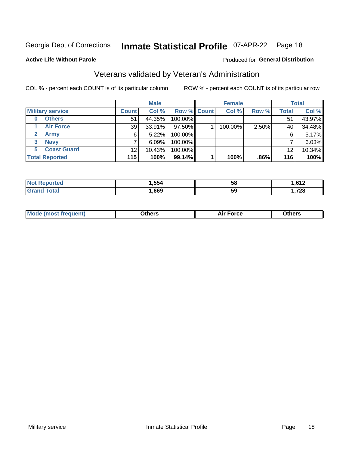#### **Inmate Statistical Profile 07-APR-22** Page 18

Produced for General Distribution

#### **Active Life Without Parole**

### Veterans validated by Veteran's Administration

COL % - percent each COUNT is of its particular column

|                          |              | <b>Male</b> |             | <b>Female</b> |       |              | <b>Total</b> |
|--------------------------|--------------|-------------|-------------|---------------|-------|--------------|--------------|
| <b>Military service</b>  | <b>Count</b> | Col %       | Row % Count | Col %         | Row % | <b>Total</b> | Col %        |
| <b>Others</b><br>0       | 51           | 44.35%      | 100.00%     |               |       | 51           | 43.97%       |
| <b>Air Force</b>         | 39           | 33.91%      | 97.50%      | 100.00%       | 2.50% | 40           | 34.48%       |
| <b>Army</b>              | 6            | 5.22%       | 100.00%     |               |       | 6            | 5.17%        |
| <b>Navy</b><br>3         |              | $6.09\%$    | 100.00%     |               |       |              | 6.03%        |
| <b>Coast Guard</b><br>5. | 12           | 10.43%      | 100.00%     |               |       | 12           | 10.34%       |
| <b>Total Reported</b>    | 115          | 100%        | 99.14%      | 100%          | .86%  | 116          | 100%         |

| .554 | 5٤  | $\sim$<br>-67<br>′ ≀ ∠ |
|------|-----|------------------------|
| .669 | -59 | 700<br>$\sim$ 20       |

| Mo | <b>\thers</b><br>____ | -nrce<br>^ ''<br>. | 146ara<br>____ |
|----|-----------------------|--------------------|----------------|
|    |                       |                    |                |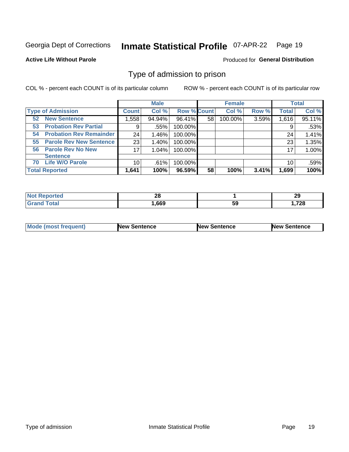#### **Inmate Statistical Profile 07-APR-22** Page 19

**Active Life Without Parole** 

Produced for General Distribution

### Type of admission to prison

COL % - percent each COUNT is of its particular column

|                                      |                 | <b>Male</b> |                    |    | <b>Female</b> |       |              | <b>Total</b> |
|--------------------------------------|-----------------|-------------|--------------------|----|---------------|-------|--------------|--------------|
| <b>Type of Admission</b>             | <b>Count</b>    | Col %       | <b>Row % Count</b> |    | Col %         | Row % | <b>Total</b> | Col %        |
| <b>New Sentence</b><br>52            | 558. ا          | 94.94%      | 96.41%             | 58 | 100.00%       | 3.59% | 1,616        | 95.11%       |
| <b>Probation Rev Partial</b><br>53   | 9               | .55%        | 100.00%            |    |               |       | 9            | $.53\%$      |
| <b>Probation Rev Remainder</b><br>54 | 24              | 1.46%       | 100.00%            |    |               |       | 24           | 1.41%        |
| <b>Parole Rev New Sentence</b><br>55 | 23              | 1.40%       | 100.00%            |    |               |       | 23           | 1.35%        |
| 56 Parole Rev No New                 | 17              | 1.04%       | 100.00%            |    |               |       | 17           | 1.00%        |
| <b>Sentence</b>                      |                 |             |                    |    |               |       |              |              |
| <b>Life W/O Parole</b><br>70         | 10 <sup>1</sup> | .61%        | 100.00%            |    |               |       | 10           | .59%         |
| <b>Total Reported</b>                | 1,641           | 100%        | 96.59%             | 58 | 100%          | 3.41% | 1,699        | 100%         |

| orted<br>N  | ററ<br>ZU |           | 29   |
|-------------|----------|-----------|------|
| <b>otal</b> | ,669     | - -<br>ວະ | .728 |

| <b>Mode (most frequent)</b> | <b>New Sentence</b> | <b>New Sentence</b> | <b>New Sentence</b> |
|-----------------------------|---------------------|---------------------|---------------------|
|                             |                     |                     |                     |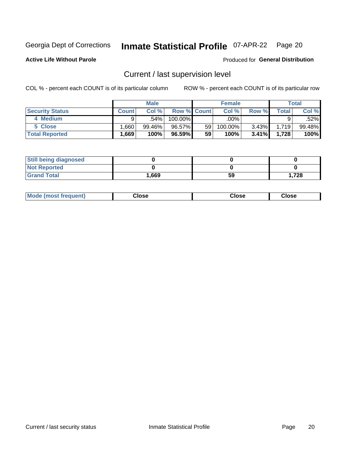## Inmate Statistical Profile 07-APR-22 Page 20

**Active Life Without Parole** 

Produced for General Distribution

## Current / last supervision level

COL % - percent each COUNT is of its particular column

|                        |              | <b>Male</b> |                    |    | <b>Female</b> |          |       | <b>Total</b> |
|------------------------|--------------|-------------|--------------------|----|---------------|----------|-------|--------------|
| <b>Security Status</b> | <b>Count</b> | Col%        | <b>Row % Count</b> |    | Col %         | Row %    | Total | Col %        |
| 4 Medium               | Q            | .54%        | $100.00\%$         |    | .00%          |          |       | .52%         |
| 5 Close                | .660         | 99.46%      | 96.57%             | 59 | 100.00%       | 3.43%    | 1,719 | 99.48%       |
| <b>Total Reported</b>  | .669         | 100%        | 96.59%             | 59 | 100%          | $3.41\%$ | 1,728 | 100%         |

| <b>Still being diagnosed</b> |       |    |      |
|------------------------------|-------|----|------|
| <b>Not Reported</b>          |       |    |      |
| <b>Grand Total</b>           | 1,669 | 59 | .728 |

| <b>Mode (most frequent)</b> | Close | ∵lose | Close |
|-----------------------------|-------|-------|-------|
|                             |       |       |       |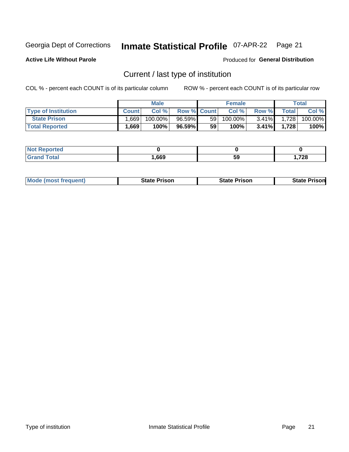#### Inmate Statistical Profile 07-APR-22 Page 21

**Active Life Without Parole** 

Produced for General Distribution

## Current / last type of institution

COL % - percent each COUNT is of its particular column

|                            |              | <b>Male</b> |                    |                 | <b>Female</b> |          |       | Total   |
|----------------------------|--------------|-------------|--------------------|-----------------|---------------|----------|-------|---------|
| <b>Type of Institution</b> | <b>Count</b> | Col%        | <b>Row % Count</b> |                 | Col %         | Row %    | Total | Col %   |
| <b>State Prison</b>        | 1.669        | 100.00%     | 96.59%             | 59 <sub>1</sub> | $100.00\%$    | $3.41\%$ | 1,728 | 100.00% |
| <b>Total Reported</b>      | 1,669        | 100%        | 96.59%             | 59              | $100\%$       | $3.41\%$ | 1.728 | 100%    |

| тес |      |    |                 |
|-----|------|----|-----------------|
|     | .669 | 59 | 720<br>. . 1 ZO |

|  | <b>Mode (most frequent)</b> | State Prison | <b>State Prison</b> | <b>State Prison</b> |
|--|-----------------------------|--------------|---------------------|---------------------|
|--|-----------------------------|--------------|---------------------|---------------------|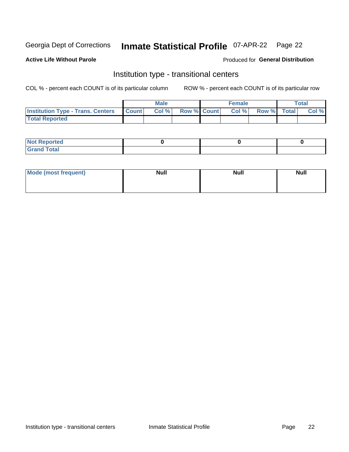## Inmate Statistical Profile 07-APR-22 Page 22

**Active Life Without Parole** 

#### Produced for General Distribution

### Institution type - transitional centers

COL % - percent each COUNT is of its particular column

|                                          |                | <b>Male</b> |                    | <b>Female</b> |             | <b>Total</b> |
|------------------------------------------|----------------|-------------|--------------------|---------------|-------------|--------------|
| <b>Institution Type - Trans. Centers</b> | <b>I</b> Count | CoI%        | <b>Row % Count</b> | Col %         | Row % Total | Col %        |
| <b>Total Reported</b>                    |                |             |                    |               |             |              |

| <b>Reported</b><br><b>NOT</b><br>$\sim$            |  |  |
|----------------------------------------------------|--|--|
| $f$ $f \circ f \circ f$<br>$C = 1$<br><b>TULAI</b> |  |  |

| Mode (most frequent) | <b>Null</b> | <b>Null</b> | <b>Null</b> |
|----------------------|-------------|-------------|-------------|
|                      |             |             |             |
|                      |             |             |             |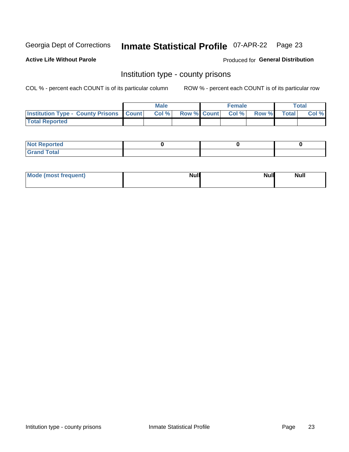## Inmate Statistical Profile 07-APR-22 Page 23

**Active Life Without Parole** 

Produced for General Distribution

#### Institution type - county prisons

COL % - percent each COUNT is of its particular column

|                                                    | <b>Male</b> |       |  | <b>Female</b> |                          |             | <b>Total</b> |       |
|----------------------------------------------------|-------------|-------|--|---------------|--------------------------|-------------|--------------|-------|
| <b>Institution Type - County Prisons   Count  </b> |             | Col % |  |               | <b>Row % Count Col %</b> | Row % Total |              | Col % |
| <b>Total Reported</b>                              |             |       |  |               |                          |             |              |       |

| <b>Not Reported</b>   |  |  |
|-----------------------|--|--|
| <b>Total</b><br>Granc |  |  |

| Mode (most frequent) | <b>Null</b> | <b>Null</b><br><b>Null</b> |
|----------------------|-------------|----------------------------|
|                      |             |                            |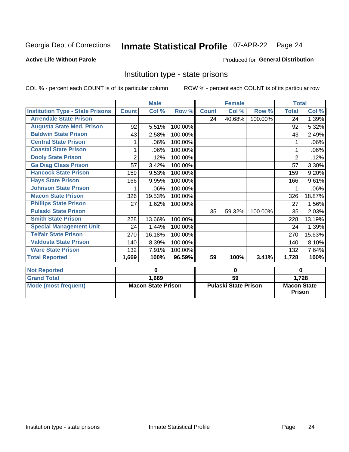## Inmate Statistical Profile 07-APR-22 Page 24

#### **Active Life Without Parole**

#### **Produced for General Distribution**

#### Institution type - state prisons

|                                         | <b>Male</b>               |        |                             | <b>Female</b> |        |                                     | <b>Total</b>   |        |
|-----------------------------------------|---------------------------|--------|-----------------------------|---------------|--------|-------------------------------------|----------------|--------|
| <b>Institution Type - State Prisons</b> | <b>Count</b>              | Col %  | Row %                       | <b>Count</b>  | Col %  | Row %                               | <b>Total</b>   | Col %  |
| <b>Arrendale State Prison</b>           |                           |        |                             | 24            | 40.68% | 100.00%                             | 24             | 1.39%  |
| <b>Augusta State Med. Prison</b>        | 92                        | 5.51%  | 100.00%                     |               |        |                                     | 92             | 5.32%  |
| <b>Baldwin State Prison</b>             | 43                        | 2.58%  | 100.00%                     |               |        |                                     | 43             | 2.49%  |
| <b>Central State Prison</b>             |                           | .06%   | 100.00%                     |               |        |                                     |                | .06%   |
| <b>Coastal State Prison</b>             | 1                         | .06%   | 100.00%                     |               |        |                                     | 1              | .06%   |
| <b>Dooly State Prison</b>               | $\overline{2}$            | .12%   | 100.00%                     |               |        |                                     | $\overline{2}$ | .12%   |
| <b>Ga Diag Class Prison</b>             | 57                        | 3.42%  | 100.00%                     |               |        |                                     | 57             | 3.30%  |
| <b>Hancock State Prison</b>             | 159                       | 9.53%  | 100.00%                     |               |        |                                     | 159            | 9.20%  |
| <b>Hays State Prison</b>                | 166                       | 9.95%  | 100.00%                     |               |        |                                     | 166            | 9.61%  |
| <b>Johnson State Prison</b>             | 1                         | .06%   | 100.00%                     |               |        |                                     | 1              | .06%   |
| <b>Macon State Prison</b>               | 326                       | 19.53% | 100.00%                     |               |        |                                     | 326            | 18.87% |
| <b>Phillips State Prison</b>            | 27                        | 1.62%  | 100.00%                     |               |        |                                     | 27             | 1.56%  |
| <b>Pulaski State Prison</b>             |                           |        |                             | 35            | 59.32% | 100.00%                             | 35             | 2.03%  |
| <b>Smith State Prison</b>               | 228                       | 13.66% | 100.00%                     |               |        |                                     | 228            | 13.19% |
| <b>Special Management Unit</b>          | 24                        | 1.44%  | 100.00%                     |               |        |                                     | 24             | 1.39%  |
| <b>Telfair State Prison</b>             | 270                       | 16.18% | 100.00%                     |               |        |                                     | 270            | 15.63% |
| <b>Valdosta State Prison</b>            | 140                       | 8.39%  | 100.00%                     |               |        |                                     | 140            | 8.10%  |
| <b>Ware State Prison</b>                | 132                       | 7.91%  | 100.00%                     |               |        |                                     | 132            | 7.64%  |
| <b>Total Reported</b>                   | 1,669                     | 100%   | 96.59%                      | 59            | 100%   | 3.41%                               | 1,728          | 100%   |
| <b>Not Reported</b>                     |                           | 0      |                             |               | 0      |                                     |                |        |
| <b>Grand Total</b>                      |                           |        |                             |               |        |                                     | $\bf{0}$       |        |
|                                         |                           | 1,669  |                             | 59            |        |                                     | 1,728          |        |
| <b>Mode (most frequent)</b>             | <b>Macon State Prison</b> |        | <b>Pulaski State Prison</b> |               |        | <b>Macon State</b><br><b>Prison</b> |                |        |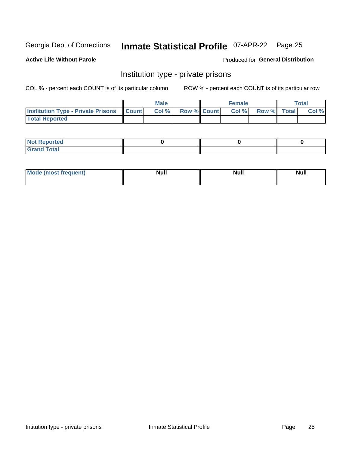## Inmate Statistical Profile 07-APR-22 Page 25

**Active Life Without Parole** 

Produced for General Distribution

### Institution type - private prisons

COL % - percent each COUNT is of its particular column

|                                                     | <b>Male</b> |       |                    | <b>Female</b> |       |             | Total |       |
|-----------------------------------------------------|-------------|-------|--------------------|---------------|-------|-------------|-------|-------|
| <b>Institution Type - Private Prisons   Count  </b> |             | Col % | <b>Row % Count</b> |               | Col % | Row % Total |       | Col % |
| <b>Total Reported</b>                               |             |       |                    |               |       |             |       |       |

| Not Reported          |  |  |
|-----------------------|--|--|
| <b>Cotal</b><br>_____ |  |  |

| <b>Mo</b><br>frequent) | <b>Null</b> | <b>Null</b> | . . I *<br><b>IVUII</b> |
|------------------------|-------------|-------------|-------------------------|
|                        |             |             |                         |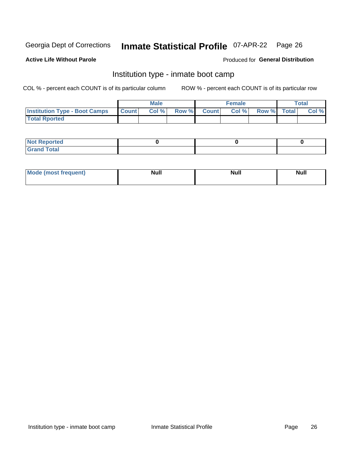#### Inmate Statistical Profile 07-APR-22 Page 26

#### **Active Life Without Parole**

#### Produced for General Distribution

### Institution type - inmate boot camp

COL % - percent each COUNT is of its particular column

|                                      | <b>Male</b>  |       |               |              | <b>Female</b> | <b>Total</b> |  |       |
|--------------------------------------|--------------|-------|---------------|--------------|---------------|--------------|--|-------|
| <b>Institution Type - Boot Camps</b> | <b>Count</b> | Col % | <b>Row %I</b> | <b>Count</b> | Col %         | Row % Total  |  | Col % |
| <b>Total Rported</b>                 |              |       |               |              |               |              |  |       |

| <b>Not Reported</b>            |  |  |
|--------------------------------|--|--|
| <b>Total</b><br>C <sub>r</sub> |  |  |

| Mod<br>uamo | Nul.<br>$- - - - - -$ | <b>Null</b> | <br>uu.<br>------ |
|-------------|-----------------------|-------------|-------------------|
|             |                       |             |                   |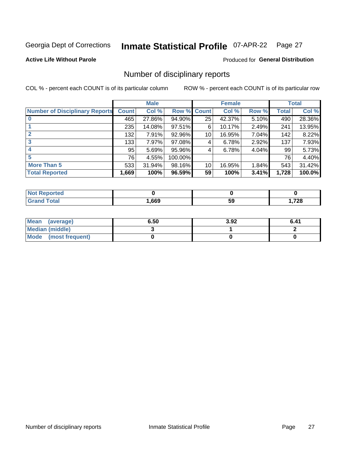## Inmate Statistical Profile 07-APR-22 Page 27

**Active Life Without Parole** 

**Produced for General Distribution** 

### Number of disciplinary reports

COL % - percent each COUNT is of its particular column

|                                       | <b>Male</b>  |        |                    | <b>Female</b> |        |          | <b>Total</b> |        |
|---------------------------------------|--------------|--------|--------------------|---------------|--------|----------|--------------|--------|
| <b>Number of Disciplinary Reports</b> | <b>Count</b> | Col %  | <b>Row % Count</b> |               | Col %  | Row %    | Total        | Col %  |
|                                       | 465          | 27.86% | 94.90%             | 25            | 42.37% | $5.10\%$ | 490          | 28.36% |
|                                       | 235          | 14.08% | $97.51\%$          | 6             | 10.17% | 2.49%    | 241          | 13.95% |
|                                       | 132          | 7.91%  | 92.96%             | 10            | 16.95% | 7.04%    | 142          | 8.22%  |
| 3                                     | 133          | 7.97%  | 97.08%             | 4             | 6.78%  | 2.92%    | 137          | 7.93%  |
|                                       | 95           | 5.69%  | 95.96%             | 4             | 6.78%  | 4.04%    | 99           | 5.73%  |
| 5                                     | 76           | 4.55%  | 100.00%            |               |        |          | 76           | 4.40%  |
| <b>More Than 5</b>                    | 533          | 31.94% | 98.16%             | 10            | 16.95% | 1.84%    | 543          | 31.42% |
| <b>Total Reported</b>                 | 1,669        | 100%   | 96.59%             | 59            | 100%   | 3.41%    | 1,728        | 100.0% |

| prtea<br>NOT I    |      |    |      |
|-------------------|------|----|------|
| <sup>-</sup> otal | .669 | 59 | ,728 |

| Mean (average)         | 6.50 | 3.92 | 6.41 |
|------------------------|------|------|------|
| <b>Median (middle)</b> |      |      |      |
| Mode (most frequent)   |      |      |      |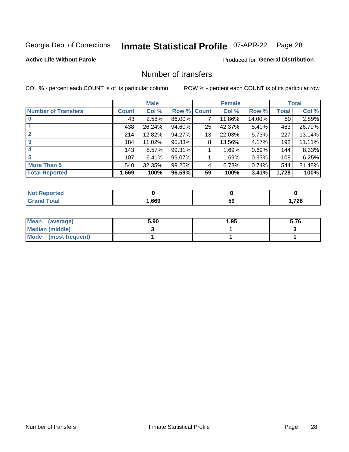## Inmate Statistical Profile 07-APR-22 Page 28

#### **Active Life Without Parole**

#### **Produced for General Distribution**

### Number of transfers

COL % - percent each COUNT is of its particular column

|                            |         | <b>Male</b> |        |              | <b>Female</b> |        |              | <b>Total</b> |
|----------------------------|---------|-------------|--------|--------------|---------------|--------|--------------|--------------|
| <b>Number of Transfers</b> | Count l | Col %       | Row %  | <b>Count</b> | Col %         | Row %  | <b>Total</b> | Col %        |
|                            | 43      | 2.58%       | 86.00% | 7            | 11.86%        | 14.00% | 50           | 2.89%        |
|                            | 438     | 26.24%      | 94.60% | 25           | 42.37%        | 5.40%  | 463          | 26.79%       |
| $\mathbf{2}$               | 214     | 12.82%      | 94.27% | 13           | 22.03%        | 5.73%  | 227          | 13.14%       |
| 3                          | 184     | 11.02%      | 95.83% | 8            | 13.56%        | 4.17%  | 192          | 11.11%       |
|                            | 143     | 8.57%       | 99.31% |              | 1.69%         | 0.69%  | 144          | 8.33%        |
| 5                          | 107     | 6.41%       | 99.07% |              | 1.69%         | 0.93%  | 108          | 6.25%        |
| <b>More Than 5</b>         | 540     | 32.35%      | 99.26% | 4            | 6.78%         | 0.74%  | 544          | 31.48%       |
| <b>Total Reported</b>      | 1,669   | 100%        | 96.59% | 59           | 100%          | 3.41%  | 1,728        | 100%         |

| orted<br>NO  |      |    |      |
|--------------|------|----|------|
| <b>Total</b> | .669 | ວະ | ,728 |

| Mean (average)         | 5.90 | 1.95 | 5.76 |
|------------------------|------|------|------|
| <b>Median (middle)</b> |      |      |      |
| Mode (most frequent)   |      |      |      |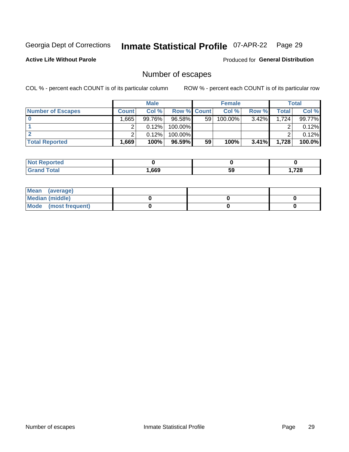## Inmate Statistical Profile 07-APR-22 Page 29

**Active Life Without Parole** 

**Produced for General Distribution** 

## Number of escapes

COL % - percent each COUNT is of its particular column

|                          | <b>Male</b>  |        |                    | <b>Female</b> |            |          | Total |        |
|--------------------------|--------------|--------|--------------------|---------------|------------|----------|-------|--------|
| <b>Number of Escapes</b> | <b>Count</b> | Col %  | <b>Row % Count</b> |               | Col %      | Row %    | Total | Col %  |
|                          | .665         | 99.76% | 96.58%             | 59            | $100.00\%$ | $3.42\%$ | 1.724 | 99.77% |
|                          |              | 0.12%  | 100.00%            |               |            |          |       | 0.12%  |
|                          |              | 0.12%  | $100.00\%$         |               |            |          |       | 0.12%  |
| <b>Total Reported</b>    | .669'        | 100%   | $96.59\%$          | 59            | 100%       | $3.41\%$ | 1,728 | 100.0% |

| <b>Not Reported</b> |      |    |       |
|---------------------|------|----|-------|
| <b>Total</b>        | ,669 | 59 | 1,728 |

| Mean (average)       |  |  |
|----------------------|--|--|
| Median (middle)      |  |  |
| Mode (most frequent) |  |  |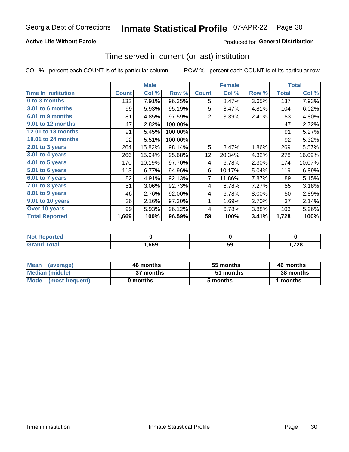#### **Active Life Without Parole**

**Produced for General Distribution** 

#### Time served in current (or last) institution

COL % - percent each COUNT is of its particular column

|                            |              | <b>Male</b> |         |                 | <b>Female</b> |       | <b>Total</b> |        |
|----------------------------|--------------|-------------|---------|-----------------|---------------|-------|--------------|--------|
| <b>Time In Institution</b> | <b>Count</b> | Col %       | Row %   | <b>Count</b>    | Col %         | Row % | <b>Total</b> | Col %  |
| 0 to 3 months              | 132          | 7.91%       | 96.35%  | 5               | 8.47%         | 3.65% | 137          | 7.93%  |
| <b>3.01 to 6 months</b>    | 99           | 5.93%       | 95.19%  | 5               | 8.47%         | 4.81% | 104          | 6.02%  |
| 6.01 to 9 months           | 81           | 4.85%       | 97.59%  | 2               | 3.39%         | 2.41% | 83           | 4.80%  |
| 9.01 to 12 months          | 47           | 2.82%       | 100.00% |                 |               |       | 47           | 2.72%  |
| 12.01 to 18 months         | 91           | 5.45%       | 100.00% |                 |               |       | 91           | 5.27%  |
| <b>18.01 to 24 months</b>  | 92           | 5.51%       | 100.00% |                 |               |       | 92           | 5.32%  |
| $2.01$ to 3 years          | 264          | 15.82%      | 98.14%  | 5               | 8.47%         | 1.86% | 269          | 15.57% |
| $3.01$ to 4 years          | 266          | 15.94%      | 95.68%  | 12 <sub>2</sub> | 20.34%        | 4.32% | 278          | 16.09% |
| $4.01$ to 5 years          | 170          | 10.19%      | 97.70%  | 4               | 6.78%         | 2.30% | 174          | 10.07% |
| 5.01 to 6 years            | 113          | 6.77%       | 94.96%  | 6               | 10.17%        | 5.04% | 119          | 6.89%  |
| 6.01 to 7 years            | 82           | 4.91%       | 92.13%  | 7               | 11.86%        | 7.87% | 89           | 5.15%  |
| 7.01 to 8 years            | 51           | 3.06%       | 92.73%  | 4               | 6.78%         | 7.27% | 55           | 3.18%  |
| 8.01 to 9 years            | 46           | 2.76%       | 92.00%  | 4               | 6.78%         | 8.00% | 50           | 2.89%  |
| 9.01 to 10 years           | 36           | 2.16%       | 97.30%  | 1               | 1.69%         | 2.70% | 37           | 2.14%  |
| Over 10 years              | 99           | 5.93%       | 96.12%  | 4               | 6.78%         | 3.88% | 103          | 5.96%  |
| <b>Total Reported</b>      | 1,669        | 100%        | 96.59%  | 59              | 100%          | 3.41% | 1,728        | 100%   |

| <b>NOT</b><br>atao |      |    |      |
|--------------------|------|----|------|
|                    | ,669 | uu | ,728 |

| <b>Mean</b><br>(average) | 46 months | 55 months | 46 months |
|--------------------------|-----------|-----------|-----------|
| Median (middle)          | 37 months | 51 months | 38 months |
| Mode (most frequent)     | 0 months  | 5 months  | ∣ months  |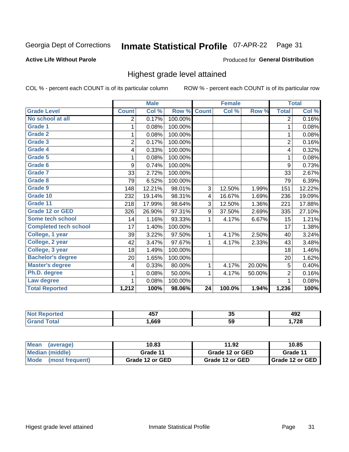#### **Inmate Statistical Profile 07-APR-22** Page 31

#### **Active Life Without Parole**

#### Produced for General Distribution

### Highest grade level attained

COL % - percent each COUNT is of its particular column

|                              |                | <b>Male</b> |         |              | <b>Female</b> |        |                | <b>Total</b> |
|------------------------------|----------------|-------------|---------|--------------|---------------|--------|----------------|--------------|
| <b>Grade Level</b>           | <b>Count</b>   | Col %       | Row %   | <b>Count</b> | Col %         | Row %  | <b>Total</b>   | Col %        |
| No school at all             | 2              | 0.17%       | 100.00% |              |               |        | $\overline{2}$ | 0.16%        |
| <b>Grade 1</b>               | 1              | 0.08%       | 100.00% |              |               |        | 1              | 0.08%        |
| <b>Grade 2</b>               | 1              | 0.08%       | 100.00% |              |               |        | 1              | 0.08%        |
| <b>Grade 3</b>               | $\overline{2}$ | 0.17%       | 100.00% |              |               |        | $\overline{2}$ | 0.16%        |
| <b>Grade 4</b>               | 4              | 0.33%       | 100.00% |              |               |        | 4              | 0.32%        |
| Grade 5                      | 1              | 0.08%       | 100.00% |              |               |        | 1              | 0.08%        |
| Grade 6                      | 9              | 0.74%       | 100.00% |              |               |        | 9              | 0.73%        |
| Grade 7                      | 33             | 2.72%       | 100.00% |              |               |        | 33             | 2.67%        |
| Grade 8                      | 79             | 6.52%       | 100.00% |              |               |        | 79             | 6.39%        |
| Grade 9                      | 148            | 12.21%      | 98.01%  | 3            | 12.50%        | 1.99%  | 151            | 12.22%       |
| Grade 10                     | 232            | 19.14%      | 98.31%  | 4            | 16.67%        | 1.69%  | 236            | 19.09%       |
| Grade 11                     | 218            | 17.99%      | 98.64%  | 3            | 12.50%        | 1.36%  | 221            | 17.88%       |
| <b>Grade 12 or GED</b>       | 326            | 26.90%      | 97.31%  | 9            | 37.50%        | 2.69%  | 335            | 27.10%       |
| Some tech school             | 14             | 1.16%       | 93.33%  | 1            | 4.17%         | 6.67%  | 15             | 1.21%        |
| <b>Completed tech school</b> | 17             | 1.40%       | 100.00% |              |               |        | 17             | 1.38%        |
| College, 1 year              | 39             | 3.22%       | 97.50%  | 1            | 4.17%         | 2.50%  | 40             | 3.24%        |
| College, 2 year              | 42             | 3.47%       | 97.67%  | 1            | 4.17%         | 2.33%  | 43             | 3.48%        |
| College, 3 year              | 18             | 1.49%       | 100.00% |              |               |        | 18             | 1.46%        |
| <b>Bachelor's degree</b>     | 20             | 1.65%       | 100.00% |              |               |        | 20             | 1.62%        |
| <b>Master's degree</b>       | 4              | 0.33%       | 80.00%  | 1            | 4.17%         | 20.00% | 5              | 0.40%        |
| Ph.D. degree                 | 1              | 0.08%       | 50.00%  | 1            | 4.17%         | 50.00% | $\overline{2}$ | 0.16%        |
| Law degree                   |                | 0.08%       | 100.00% |              |               |        | 1              | 0.08%        |
| <b>Total Reported</b>        | 1,212          | 100%        | 98.06%  | 24           | 100.0%        | 1.94%  | 1,236          | 100%         |

| NG   | $\overline{\phantom{a}}$<br>.<br>w | ິ   | <br>49Z |
|------|------------------------------------|-----|---------|
| υιαι | .669                               | -59 | ,728    |

| <b>Mean</b><br>(average) | 10.83           | 11.92           | 10.85             |
|--------------------------|-----------------|-----------------|-------------------|
| Median (middle)          | Grade 11        | Grade 12 or GED | Grade 11          |
| Mode (most frequent)     | Grade 12 or GED | Grade 12 or GED | I Grade 12 or GED |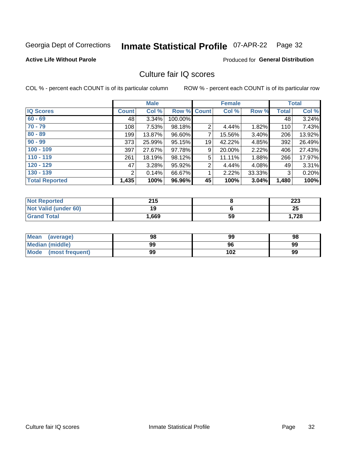#### **Inmate Statistical Profile 07-APR-22** Page 32

#### **Active Life Without Parole**

#### **Produced for General Distribution**

### Culture fair IQ scores

COL % - percent each COUNT is of its particular column

|                       |              | <b>Male</b> |                    |                | <b>Female</b> |          |              | <b>Total</b> |
|-----------------------|--------------|-------------|--------------------|----------------|---------------|----------|--------------|--------------|
| <b>IQ Scores</b>      | <b>Count</b> | Col %       | <b>Row % Count</b> |                | Col %         | Row %    | <b>Total</b> | Col %        |
| $60 - 69$             | 48           | 3.34%       | 100.00%            |                |               |          | 48           | 3.24%        |
| $70 - 79$             | 108          | 7.53%       | 98.18%             | $\overline{2}$ | 4.44%         | 1.82%    | 110          | 7.43%        |
| $80 - 89$             | 199          | 13.87%      | 96.60%             | 7              | 15.56%        | 3.40%    | 206          | 13.92%       |
| $90 - 99$             | 373          | 25.99%      | 95.15%             | 19             | 42.22%        | 4.85%    | 392          | 26.49%       |
| $100 - 109$           | 397          | 27.67%      | 97.78%             | 9              | 20.00%        | 2.22%    | 406          | 27.43%       |
| $110 - 119$           | 261          | 18.19%      | 98.12%             | 5              | 11.11%        | 1.88%    | 266          | 17.97%       |
| $120 - 129$           | 47           | 3.28%       | 95.92%             | $\overline{2}$ | 4.44%         | $4.08\%$ | 49           | 3.31%        |
| $130 - 139$           | 2            | 0.14%       | 66.67%             | 1              | 2.22%         | 33.33%   | 3            | 0.20%        |
| <b>Total Reported</b> | 1,435        | 100%        | 96.96%             | 45             | 100%          | 3.04%    | 1,480        | 100%         |

| <b>Not Reported</b>  | 215   |    | 223  |
|----------------------|-------|----|------|
| Not Valid (under 60) | 19    |    | 25   |
| <b>Grand Total</b>   | 1,669 | 59 | 728، |

| <b>Mean</b><br>(average) | 98 | 99  | 98 |
|--------------------------|----|-----|----|
| Median (middle)          | 99 | 96  | 99 |
| Mode (most frequent)     | 99 | 102 | 99 |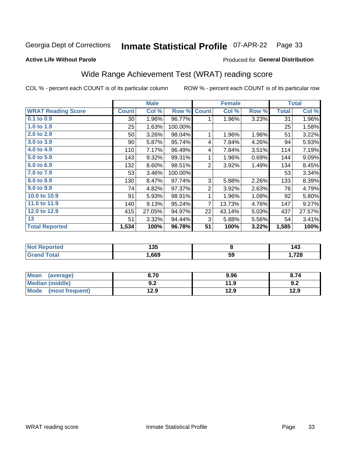#### **Inmate Statistical Profile 07-APR-22** Page 33

#### **Active Life Without Parole**

### Produced for General Distribution

## Wide Range Achievement Test (WRAT) reading score

COL % - percent each COUNT is of its particular column

|                           |                 | <b>Male</b> |         |                | <b>Female</b> |       |              | <b>Total</b> |
|---------------------------|-----------------|-------------|---------|----------------|---------------|-------|--------------|--------------|
| <b>WRAT Reading Score</b> | <b>Count</b>    | Col %       | Row %   | <b>Count</b>   | Col %         | Row % | <b>Total</b> | Col %        |
| $0.1$ to $0.9$            | 30 <sup>°</sup> | 1.96%       | 96.77%  |                | 1.96%         | 3.23% | 31           | 1.96%        |
| 1.0 to 1.9                | 25              | 1.63%       | 100.00% |                |               |       | 25           | 1.58%        |
| 2.0 to 2.9                | 50              | 3.26%       | 98.04%  | 1              | 1.96%         | 1.96% | 51           | 3.22%        |
| 3.0 to 3.9                | 90              | 5.87%       | 95.74%  | 4              | 7.84%         | 4.26% | 94           | 5.93%        |
| 4.0 to 4.9                | 110             | 7.17%       | 96.49%  | 4              | 7.84%         | 3.51% | 114          | 7.19%        |
| 5.0 to 5.9                | 143             | 9.32%       | 99.31%  | 1              | 1.96%         | 0.69% | 144          | 9.09%        |
| 6.0 to 6.9                | 132             | 8.60%       | 98.51%  | $\overline{2}$ | 3.92%         | 1.49% | 134          | 8.45%        |
| 7.0 to 7.9                | 53              | 3.46%       | 100.00% |                |               |       | 53           | 3.34%        |
| 8.0 to 8.9                | 130             | 8.47%       | 97.74%  | 3              | 5.88%         | 2.26% | 133          | 8.39%        |
| 9.0 to 9.9                | 74              | 4.82%       | 97.37%  | 2              | 3.92%         | 2.63% | 76           | 4.79%        |
| 10.0 to 10.9              | 91              | 5.93%       | 98.91%  |                | 1.96%         | 1.09% | 92           | 5.80%        |
| 11.0 to 11.9              | 140             | 9.13%       | 95.24%  | 7              | 13.73%        | 4.76% | 147          | 9.27%        |
| 12.0 to 12.9              | 415             | 27.05%      | 94.97%  | 22             | 43.14%        | 5.03% | 437          | 27.57%       |
| 13                        | 51              | 3.32%       | 94.44%  | 3              | 5.88%         | 5.56% | 54           | 3.41%        |
| <b>Total Reported</b>     | 1,534           | 100%        | 96.78%  | 51             | 100%          | 3.22% | 1,585        | 100%         |

| <b>Not Reported</b>    | 135   |    | 143  |
|------------------------|-------|----|------|
| <b>Total</b><br>'Grand | .,669 | 59 | 728، |

| <b>Mean</b><br>(average)       | 8.70         | 9.96 | 8.74 |
|--------------------------------|--------------|------|------|
| <b>Median (middle)</b>         | י ה<br>้ ⊎.∠ | 11.9 | 9.2  |
| <b>Mode</b><br>(most frequent) | 12.9         | 12.9 | 12.9 |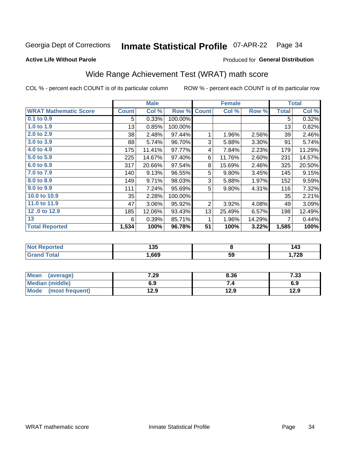#### **Inmate Statistical Profile 07-APR-22** Page 34

#### **Active Life Without Parole**

#### Produced for General Distribution

## Wide Range Achievement Test (WRAT) math score

COL % - percent each COUNT is of its particular column

|                              |              | <b>Male</b> |         |              | <b>Female</b> |        |              | <b>Total</b> |
|------------------------------|--------------|-------------|---------|--------------|---------------|--------|--------------|--------------|
| <b>WRAT Mathematic Score</b> | <b>Count</b> | Col %       | Row %   | <b>Count</b> | Col %         | Row %  | <b>Total</b> | Col %        |
| $0.1$ to $0.9$               | 5            | 0.33%       | 100.00% |              |               |        | 5            | 0.32%        |
| 1.0 to 1.9                   | 13           | 0.85%       | 100.00% |              |               |        | 13           | 0.82%        |
| 2.0 to 2.9                   | 38           | 2.48%       | 97.44%  | 1            | 1.96%         | 2.56%  | 39           | 2.46%        |
| 3.0 to 3.9                   | 88           | 5.74%       | 96.70%  | 3            | 5.88%         | 3.30%  | 91           | 5.74%        |
| 4.0 to 4.9                   | 175          | 11.41%      | 97.77%  | 4            | 7.84%         | 2.23%  | 179          | 11.29%       |
| 5.0 to 5.9                   | 225          | 14.67%      | 97.40%  | 6            | 11.76%        | 2.60%  | 231          | 14.57%       |
| 6.0 to 6.9                   | 317          | 20.66%      | 97.54%  | 8            | 15.69%        | 2.46%  | 325          | 20.50%       |
| 7.0 to 7.9                   | 140          | 9.13%       | 96.55%  | 5            | 9.80%         | 3.45%  | 145          | 9.15%        |
| 8.0 to 8.9                   | 149          | 9.71%       | 98.03%  | 3            | 5.88%         | 1.97%  | 152          | 9.59%        |
| 9.0 to 9.9                   | 111          | 7.24%       | 95.69%  | 5            | 9.80%         | 4.31%  | 116          | 7.32%        |
| 10.0 to 10.9                 | 35           | 2.28%       | 100.00% |              |               |        | 35           | 2.21%        |
| 11.0 to 11.9                 | 47           | 3.06%       | 95.92%  | 2            | 3.92%         | 4.08%  | 49           | 3.09%        |
| 12.0 to 12.9                 | 185          | 12.06%      | 93.43%  | 13           | 25.49%        | 6.57%  | 198          | 12.49%       |
| 13                           | 6            | 0.39%       | 85.71%  | 1            | 1.96%         | 14.29% | 7            | 0.44%        |
| <b>Total Reported</b>        | 1,534        | 100%        | 96.78%  | 51           | 100%          | 3.22%  | 1,585        | 100%         |
|                              |              |             |         |              |               |        |              |              |

| <b>Not Reported</b>    | 135   |    | 143   |
|------------------------|-------|----|-------|
| <b>Total</b><br>'Grand | .,669 | 59 | 728،، |

| Mean<br>(average)      | 7.29 | 8.36 | 7.33 |
|------------------------|------|------|------|
| <b>Median (middle)</b> | 6.9  |      | 6.9  |
| Mode (most frequent)   | 12.9 | 12.9 | 12.9 |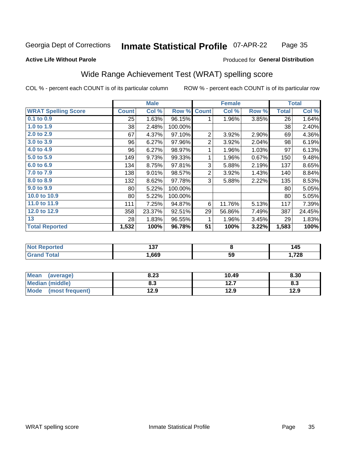#### Inmate Statistical Profile 07-APR-22 Page 35

#### **Active Life Without Parole**

#### Produced for General Distribution

### Wide Range Achievement Test (WRAT) spelling score

COL % - percent each COUNT is of its particular column

|                            |              | <b>Male</b> |         |                         | <b>Female</b>           |       |              | <b>Total</b> |
|----------------------------|--------------|-------------|---------|-------------------------|-------------------------|-------|--------------|--------------|
| <b>WRAT Spelling Score</b> | <b>Count</b> | Col %       | Row %   | <b>Count</b>            | Col %                   | Row % | <b>Total</b> | Col %        |
| 0.1 to 0.9                 | 25           | 1.63%       | 96.15%  | 1                       | 1.96%                   | 3.85% | 26           | 1.64%        |
| 1.0 to 1.9                 | 38           | 2.48%       | 100.00% |                         |                         |       | 38           | 2.40%        |
| 2.0 to 2.9                 | 67           | 4.37%       | 97.10%  | $\overline{2}$          | 3.92%                   | 2.90% | 69           | 4.36%        |
| 3.0 to 3.9                 | 96           | 6.27%       | 97.96%  | $\overline{2}$          | 3.92%                   | 2.04% | 98           | 6.19%        |
| 4.0 to 4.9                 | 96           | 6.27%       | 98.97%  | 1                       | 1.96%                   | 1.03% | 97           | 6.13%        |
| 5.0 to 5.9                 | 149          | 9.73%       | 99.33%  | 1                       | 1.96%                   | 0.67% | 150          | 9.48%        |
| 6.0 to 6.9                 | 134          | 8.75%       | 97.81%  | 3                       | 5.88%                   | 2.19% | 137          | 8.65%        |
| 7.0 to 7.9                 | 138          | 9.01%       | 98.57%  | $\overline{\mathbf{c}}$ | 3.92%                   | 1.43% | 140          | 8.84%        |
| 8.0 to 8.9                 | 132          | 8.62%       | 97.78%  | 3                       | 5.88%                   | 2.22% | 135          | 8.53%        |
| 9.0 to 9.9                 | 80           | 5.22%       | 100.00% |                         |                         |       | 80           | 5.05%        |
| 10.0 to 10.9               | 80           | 5.22%       | 100.00% |                         |                         |       | 80           | 5.05%        |
| 11.0 to 11.9               | 111          | 7.25%       | 94.87%  | 6                       | 11.76%                  | 5.13% | 117          | 7.39%        |
| 12.0 to 12.9               | 358          | 23.37%      | 92.51%  | 29                      | 56.86%                  | 7.49% | 387          | 24.45%       |
| 13                         | 28           | 1.83%       | 96.55%  | 1                       | 1.96%                   | 3.45% | 29           | 1.83%        |
| <b>Total Reported</b>      | 1,532        | 100%        | 96.78%  | 51                      | 100%                    | 3.22% | 1,583        | 100%         |
|                            |              |             |         |                         |                         |       |              |              |
| <b>Not Reported</b>        |              | 137         |         |                         | $\overline{\mathbf{8}}$ |       |              | 145          |
| <b>Grand Total</b>         |              | 1,669       |         |                         | 59                      |       |              | 1,728        |

| <b>Mean</b><br>(average)       | 8.23 | 10.49        | 8.30 |
|--------------------------------|------|--------------|------|
| Median (middle)                | 8.3  | 127<br>I 4.I | ი.ა  |
| <b>Mode</b><br>(most frequent) | 12.9 | 12.9         | 12.9 |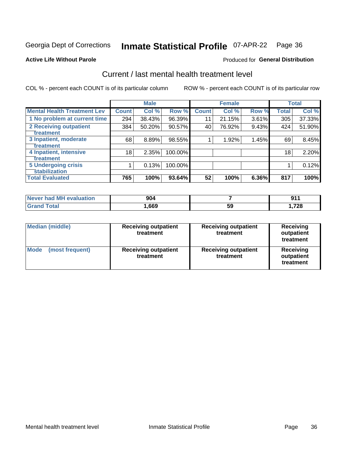## Inmate Statistical Profile 07-APR-22 Page 36

**Produced for General Distribution** 

#### **Active Life Without Parole**

### Current / last mental health treatment level

COL % - percent each COUNT is of its particular column

|                                    |                 | <b>Male</b> |         |              | <b>Female</b> |       |              | <b>Total</b> |
|------------------------------------|-----------------|-------------|---------|--------------|---------------|-------|--------------|--------------|
| <b>Mental Health Treatment Lev</b> | <b>Count</b>    | Col %       | Row %   | <b>Count</b> | Col %         | Row % | <b>Total</b> | Col %        |
| 1 No problem at current time       | 294             | 38.43%      | 96.39%  | 11           | 21.15%        | 3.61% | 305          | 37.33%       |
| 2 Receiving outpatient             | 384             | 50.20%      | 90.57%  | 40           | 76.92%        | 9.43% | 424          | 51.90%       |
| <b>Treatment</b>                   |                 |             |         |              |               |       |              |              |
| 3 Inpatient, moderate              | 68              | 8.89%       | 98.55%  |              | 1.92%         | 1.45% | 69           | 8.45%        |
| <b>Treatment</b>                   |                 |             |         |              |               |       |              |              |
| 4 Inpatient, intensive             | 18 <sub>1</sub> | 2.35%       | 100.00% |              |               |       | 18           | 2.20%        |
| <b>Treatment</b>                   |                 |             |         |              |               |       |              |              |
| <b>5 Undergoing crisis</b>         |                 | 0.13%       | 100.00% |              |               |       |              | 0.12%        |
| <b>stabilization</b>               |                 |             |         |              |               |       |              |              |
| <b>Total Evaluated</b>             | 765             | 100%        | 93.64%  | 52           | 100%          | 6.36% | 817          | 100%         |

| Never had MH<br>evaluation | 904  |    | J.   |
|----------------------------|------|----|------|
|                            | ,669 | ხყ | ,728 |

| Median (middle)                | <b>Receiving outpatient</b><br>treatment | <b>Receiving outpatient</b><br>treatment | <b>Receiving</b><br>outpatient<br>treatment |  |  |
|--------------------------------|------------------------------------------|------------------------------------------|---------------------------------------------|--|--|
| <b>Mode</b><br>(most frequent) | <b>Receiving outpatient</b><br>treatment | <b>Receiving outpatient</b><br>treatment | <b>Receiving</b><br>outpatient<br>treatment |  |  |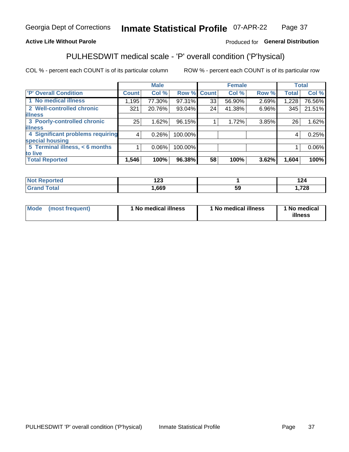#### Inmate Statistical Profile 07-APR-22 Page 37

#### **Active Life Without Parole**

#### Produced for General Distribution

## PULHESDWIT medical scale - 'P' overall condition ('P'hysical)

COL % - percent each COUNT is of its particular column

|                                  |              | <b>Male</b> |         |              | <b>Female</b> |       |              | <b>Total</b> |
|----------------------------------|--------------|-------------|---------|--------------|---------------|-------|--------------|--------------|
| 'P' Overall Condition            | <b>Count</b> | Col %       | Row %   | <b>Count</b> | Col %         | Row % | <b>Total</b> | Col %        |
| 1 No medical illness             | 1,195        | 77.30%      | 97.31%  | 33           | 56.90%        | 2.69% | 1,228        | 76.56%       |
| 2 Well-controlled chronic        | 321          | 20.76%      | 93.04%  | 24           | 41.38%        | 6.96% | 345          | 21.51%       |
| <b>illness</b>                   |              |             |         |              |               |       |              |              |
| 3 Poorly-controlled chronic      | 25           | 1.62%       | 96.15%  |              | 1.72%         | 3.85% | 26           | 1.62%        |
| <b>illness</b>                   |              |             |         |              |               |       |              |              |
| 4 Significant problems requiring | 4            | 0.26%       | 100.00% |              |               |       | 4            | 0.25%        |
| special housing                  |              |             |         |              |               |       |              |              |
| 5 Terminal illness, < 6 months   |              | $0.06\%$    | 100.00% |              |               |       |              | $0.06\%$     |
| to live                          |              |             |         |              |               |       |              |              |
| <b>Total Reported</b>            | 1,546        | 100%        | 96.38%  | 58           | 100%          | 3.62% | 1,604        | 100%         |

| rtea               | ៱៱៱  |    | 124         |
|--------------------|------|----|-------------|
|                    | 14J  |    | .           |
| $F_{min}$<br>_____ | ,669 | Jã | 700<br>74 O |

|  |  | Mode (most frequent) | 1 No medical illness | 1 No medical illness | 1 No medical<br>illness |
|--|--|----------------------|----------------------|----------------------|-------------------------|
|--|--|----------------------|----------------------|----------------------|-------------------------|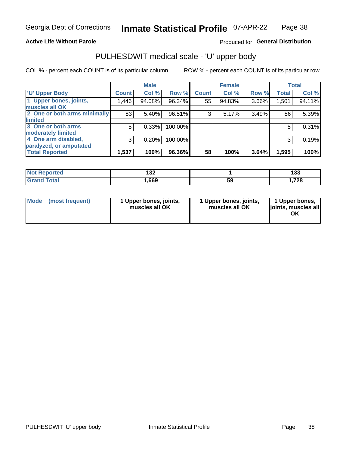#### **Active Life Without Parole**

#### Produced for General Distribution

## PULHESDWIT medical scale - 'U' upper body

COL % - percent each COUNT is of its particular column

|                              |              | <b>Male</b> |         |              | <b>Female</b> |       |              | <b>Total</b> |
|------------------------------|--------------|-------------|---------|--------------|---------------|-------|--------------|--------------|
| <b>'U' Upper Body</b>        | <b>Count</b> | Col %       | Row %   | <b>Count</b> | Col %         | Row % | <b>Total</b> | Col %        |
| 1 Upper bones, joints,       | 1,446        | 94.08%      | 96.34%  | 55           | 94.83%        | 3.66% | 1,501        | 94.11%       |
| muscles all OK               |              |             |         |              |               |       |              |              |
| 2 One or both arms minimally | 83           | 5.40%       | 96.51%  | 3            | 5.17%         | 3.49% | 86           | 5.39%        |
| <b>limited</b>               |              |             |         |              |               |       |              |              |
| 3 One or both arms           | 5            | 0.33%       | 100.00% |              |               |       | 5            | 0.31%        |
| <b>moderately limited</b>    |              |             |         |              |               |       |              |              |
| 4 One arm disabled,          | 3            | 0.20%       | 100.00% |              |               |       | 3            | 0.19%        |
| paralyzed, or amputated      |              |             |         |              |               |       |              |              |
| <b>Total Reported</b>        | 1,537        | 100%        | 96.36%  | 58           | 100%          | 3.64% | 1,595        | 100%         |

| <b>Not Reported</b> | ィっつ<br>IJZ. |    | .<br>ייי     |
|---------------------|-------------|----|--------------|
| <b>Total</b>        | ,669        | ჂႸ | 720<br>1.720 |

| Mode | (most frequent) | 1 Upper bones, joints,<br>muscles all OK | 1 Upper bones, joints,<br>muscles all OK | 1 Upper bones,<br>ljoints, muscles all<br>OK |
|------|-----------------|------------------------------------------|------------------------------------------|----------------------------------------------|
|------|-----------------|------------------------------------------|------------------------------------------|----------------------------------------------|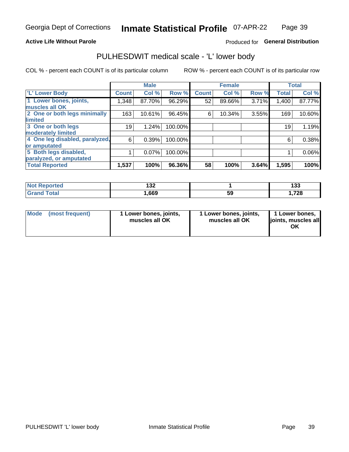#### **Active Life Without Parole**

#### Produced for General Distribution

### PULHESDWIT medical scale - 'L' lower body

COL % - percent each COUNT is of its particular column

|                                |              | <b>Male</b> |         |              | <b>Female</b> |       |              | <b>Total</b> |
|--------------------------------|--------------|-------------|---------|--------------|---------------|-------|--------------|--------------|
| 'L' Lower Body                 | <b>Count</b> | Col %       | Row %   | <b>Count</b> | Col %         | Row % | <b>Total</b> | Col %        |
| 1 Lower bones, joints,         | 1,348        | 87.70%      | 96.29%  | 52           | 89.66%        | 3.71% | 1,400        | 87.77%       |
| muscles all OK                 |              |             |         |              |               |       |              |              |
| 2 One or both legs minimally   | 163          | 10.61%      | 96.45%  | 6            | 10.34%        | 3.55% | 169          | 10.60%       |
| limited                        |              |             |         |              |               |       |              |              |
| 3 One or both legs             | 19           | 1.24%       | 100.00% |              |               |       | 19           | 1.19%        |
| moderately limited             |              |             |         |              |               |       |              |              |
| 4 One leg disabled, paralyzed, | 6            | 0.39%       | 100.00% |              |               |       | 6            | 0.38%        |
| or amputated                   |              |             |         |              |               |       |              |              |
| 5 Both legs disabled,          |              | 0.07%       | 100.00% |              |               |       |              | 0.06%        |
| paralyzed, or amputated        |              |             |         |              |               |       |              |              |
| <b>Total Reported</b>          | 1,537        | 100%        | 96.36%  | 58           | 100%          | 3.64% | 1,595        | 100%         |

| <b>Not Reported</b> | 1 ລຸດ<br>70 I |    | ,<br>193 |
|---------------------|---------------|----|----------|
| <b>Grand Total</b>  | .,669         | JJ | 728،،    |

| Mode (most frequent) | I Lower bones, joints,<br>muscles all OK | 1 Lower bones, joints,<br>muscles all OK | 1 Lower bones,<br>joints, muscles all<br>ΟK |
|----------------------|------------------------------------------|------------------------------------------|---------------------------------------------|
|----------------------|------------------------------------------|------------------------------------------|---------------------------------------------|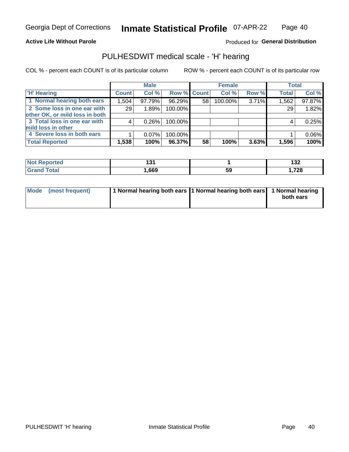#### **Active Life Without Parole**

Produced for General Distribution

### PULHESDWIT medical scale - 'H' hearing

COL % - percent each COUNT is of its particular column

|                                | <b>Male</b>  |          |             | <b>Female</b> |         |          | <b>Total</b> |        |
|--------------------------------|--------------|----------|-------------|---------------|---------|----------|--------------|--------|
| <b>H' Hearing</b>              | <b>Count</b> | Col %    | Row % Count |               | Col %   | Row %    | <b>Total</b> | Col %  |
| 1 Normal hearing both ears     | 1,504        | 97.79%   | 96.29%      | 58            | 100.00% | 3.71%    | 1,562        | 97.87% |
| 2 Some loss in one ear with    | 29           | 1.89%    | 100.00%     |               |         |          | 29           | 1.82%  |
| other OK, or mild loss in both |              |          |             |               |         |          |              |        |
| 3 Total loss in one ear with   | 4            | 0.26%    | 100.00%     |               |         |          | 4            | 0.25%  |
| mild loss in other             |              |          |             |               |         |          |              |        |
| 4 Severe loss in both ears     |              | $0.07\%$ | 100.00%     |               |         |          |              | 0.06%  |
| <b>Total Reported</b>          | 1,538        | 100%     | 96.37%      | 58            | 100%    | $3.63\%$ | 1,596        | 100%   |

| <b>Not</b><br><b>Reported</b> | .    |     | . מ<br>19Z |
|-------------------------------|------|-----|------------|
| `otal                         | ,669 | -59 | 1,728      |

| Mode (most frequent) | 1 Normal hearing both ears 1 Normal hearing both ears 1 Normal hearing | both ears |
|----------------------|------------------------------------------------------------------------|-----------|
|                      |                                                                        |           |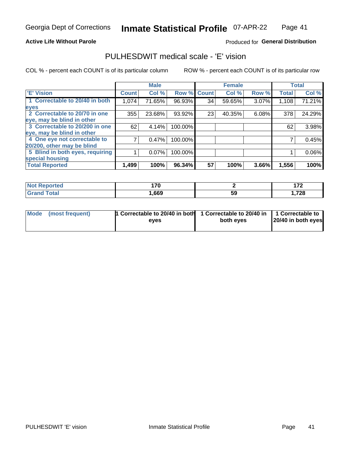#### **Active Life Without Parole**

#### Produced for General Distribution

### PULHESDWIT medical scale - 'E' vision

COL % - percent each COUNT is of its particular column

|                                 |              | <b>Male</b> |         |              | <b>Female</b> |       |              | <b>Total</b> |
|---------------------------------|--------------|-------------|---------|--------------|---------------|-------|--------------|--------------|
| 'E' Vision                      | <b>Count</b> | Col %       | Row %   | <b>Count</b> | Col %         | Row % | <b>Total</b> | Col %        |
| 1 Correctable to 20/40 in both  | 1,074        | 71.65%      | 96.93%  | 34           | 59.65%        | 3.07% | 1,108        | 71.21%       |
| eyes                            |              |             |         |              |               |       |              |              |
| 2 Correctable to 20/70 in one   | 355          | 23.68%      | 93.92%  | 23           | 40.35%        | 6.08% | 378          | 24.29%       |
| eye, may be blind in other      |              |             |         |              |               |       |              |              |
| 3 Correctable to 20/200 in one  | 62           | 4.14%       | 100.00% |              |               |       | 62           | 3.98%        |
| eye, may be blind in other      |              |             |         |              |               |       |              |              |
| 4 One eye not correctable to    |              | 0.47%       | 100.00% |              |               |       |              | 0.45%        |
| 20/200, other may be blind      |              |             |         |              |               |       |              |              |
| 5 Blind in both eyes, requiring |              | 0.07%       | 100.00% |              |               |       |              | $0.06\%$     |
| special housing                 |              |             |         |              |               |       |              |              |
| <b>Total Reported</b>           | 1,499        | 100%        | 96.34%  | 57           | 100%          | 3.66% | 1,556        | 100%         |

| <b>Reported</b><br>NOT  | 170<br>. . v |    | $\rightarrow$<br>. |
|-------------------------|--------------|----|--------------------|
| <b>Total</b><br><b></b> | ,669         | 59 | ,728               |

| Mode (most frequent) | 1 Correctable to 20/40 in both<br>eves | 1 Correctable to 20/40 in   1 Correctable to  <br>both eves | 20/40 in both eyes |
|----------------------|----------------------------------------|-------------------------------------------------------------|--------------------|
|                      |                                        |                                                             |                    |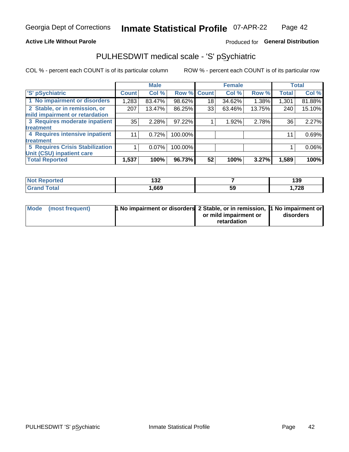#### **Active Life Without Parole**

#### Produced for General Distribution

## PULHESDWIT medical scale - 'S' pSychiatric

COL % - percent each COUNT is of its particular column

|                                 |              | <b>Male</b> |         |             | <b>Female</b> |        |              | <b>Total</b> |
|---------------------------------|--------------|-------------|---------|-------------|---------------|--------|--------------|--------------|
| 'S' pSychiatric                 | <b>Count</b> | Col %       |         | Row % Count | Col %         | Row %  | <b>Total</b> | Col %        |
| 1 No impairment or disorders    | 1,283        | 83.47%      | 98.62%  | 18          | 34.62%        | 1.38%  | 1,301        | 81.88%       |
| 2 Stable, or in remission, or   | 207          | 13.47%      | 86.25%  | 33          | 63.46%        | 13.75% | 240          | 15.10%       |
| mild impairment or retardation  |              |             |         |             |               |        |              |              |
| 3 Requires moderate inpatient   | 35           | 2.28%       | 97.22%  |             | 1.92%         | 2.78%  | 36           | 2.27%        |
| <b>treatment</b>                |              |             |         |             |               |        |              |              |
| 4 Requires intensive inpatient  | 11           | 0.72%       | 100.00% |             |               |        | 11           | 0.69%        |
| <b>treatment</b>                |              |             |         |             |               |        |              |              |
| 5 Requires Crisis Stabilization |              | 0.07%       | 100.00% |             |               |        |              | 0.06%        |
| Unit (CSU) inpatient care       |              |             |         |             |               |        |              |              |
| <b>Total Reported</b>           | 1,537        | 100%        | 96.73%  | 52          | 100%          | 3.27%  | 1,589        | 100%         |

| <b>Not Reported</b>    | 199<br>IJZ. |    | 139    |
|------------------------|-------------|----|--------|
| <b>Total</b><br>'Grand | ,669        | 59 | 728, ا |

| Mode (most frequent) | <b>1 No impairment or disorders</b> 2 Stable, or in remission, 11 No impairment or |                       |           |
|----------------------|------------------------------------------------------------------------------------|-----------------------|-----------|
|                      |                                                                                    | or mild impairment or | disorders |
|                      |                                                                                    | retardation           |           |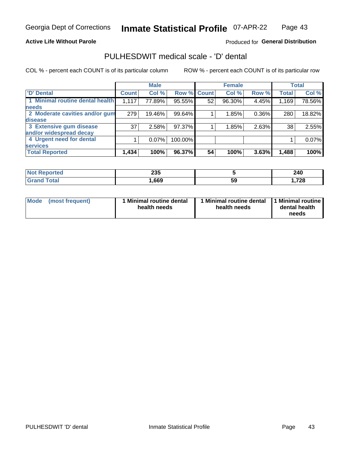#### **Active Life Without Parole**

#### Produced for General Distribution

## PULHESDWIT medical scale - 'D' dental

COL % - percent each COUNT is of its particular column

|                                 |                    | <b>Male</b> |         |              | <b>Female</b> |       |              | <b>Total</b> |
|---------------------------------|--------------------|-------------|---------|--------------|---------------|-------|--------------|--------------|
| <b>D'</b> Dental                | Count <sup>'</sup> | Col %       | Row %   | <b>Count</b> | Col %         | Row % | <b>Total</b> | Col %        |
| 1 Minimal routine dental health | 1,117              | 77.89%      | 95.55%  | 52           | 96.30%        | 4.45% | 1,169        | 78.56%       |
| <b>needs</b>                    |                    |             |         |              |               |       |              |              |
| 2 Moderate cavities and/or gum  | 279                | 19.46%      | 99.64%  |              | 1.85%         | 0.36% | 280          | 18.82%       |
| disease                         |                    |             |         |              |               |       |              |              |
| 3 Extensive gum disease         | 37                 | 2.58%       | 97.37%  |              | 1.85%         | 2.63% | 38           | 2.55%        |
| and/or widespread decay         |                    |             |         |              |               |       |              |              |
| 4 Urgent need for dental        |                    | 0.07%       | 100.00% |              |               |       |              | 0.07%        |
| <b>services</b>                 |                    |             |         |              |               |       |              |              |
| <b>Total Reported</b>           | 1,434              | 100%        | 96.37%  | 54           | 100%          | 3.63% | 1,488        | 100%         |

| orted<br>NOT RADO<br>. | つつに<br>zjj |    | 240   |
|------------------------|------------|----|-------|
| <b>Total</b>           | ,669       | 59 | .728، |

| <b>Mode</b> | (most frequent) | <b>Minimal routine dental</b><br>health needs | 1 Minimal routine dental<br>health needs | <b>11 Minimal routine I</b><br>dental health<br>needs |
|-------------|-----------------|-----------------------------------------------|------------------------------------------|-------------------------------------------------------|
|-------------|-----------------|-----------------------------------------------|------------------------------------------|-------------------------------------------------------|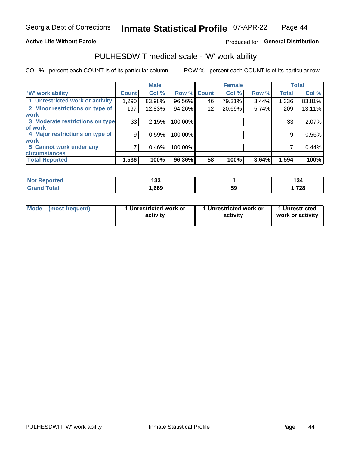#### **Active Life Without Parole**

#### Produced for General Distribution

### PULHESDWIT medical scale - 'W' work ability

COL % - percent each COUNT is of its particular column

|                                 |              | <b>Male</b> |             |    | <b>Female</b> |       |       | <b>Total</b> |
|---------------------------------|--------------|-------------|-------------|----|---------------|-------|-------|--------------|
| <b>W' work ability</b>          | <b>Count</b> | Col %       | Row % Count |    | Col %         | Row % | Total | Col %        |
| 1 Unrestricted work or activity | 1,290        | 83.98%      | 96.56%      | 46 | 79.31%        | 3.44% | 1,336 | 83.81%       |
| 2 Minor restrictions on type of | 197          | 12.83%      | 94.26%      | 12 | 20.69%        | 5.74% | 209   | 13.11%       |
| <b>work</b>                     |              |             |             |    |               |       |       |              |
| 3 Moderate restrictions on type | 33           | 2.15%       | 100.00%     |    |               |       | 33    | 2.07%        |
| of work                         |              |             |             |    |               |       |       |              |
| 4 Major restrictions on type of | 9            | 0.59%       | 100.00%     |    |               |       | 9     | 0.56%        |
| <b>work</b>                     |              |             |             |    |               |       |       |              |
| 5 Cannot work under any         |              | 0.46%       | 100.00%     |    |               |       |       | 0.44%        |
| <b>circumstances</b>            |              |             |             |    |               |       |       |              |
| <b>Total Reported</b>           | 1,536        | 100%        | 96.36%      | 58 | 100%          | 3.64% | 1,594 | 100%         |

| <b>Not Reported</b>   | 199<br>טט ו |    | י י<br>194 |
|-----------------------|-------------|----|------------|
| <b>Total</b><br>Grand | ,669        | ວະ | 728،،      |

| Mode            | 1 Unrestricted work or | 1 Unrestricted work or | 1 Unrestricted   |
|-----------------|------------------------|------------------------|------------------|
| (most frequent) | activity               | activity               | work or activity |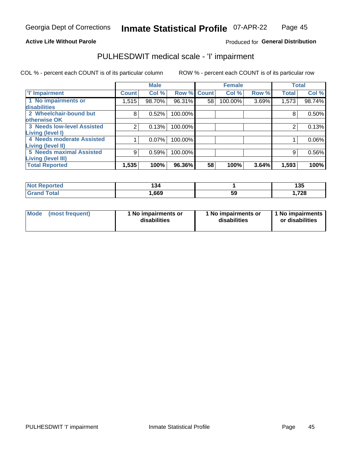#### **Active Life Without Parole**

Produced for General Distribution

### PULHESDWIT medical scale - 'I' impairment

|                                                      |              | <b>Male</b> |             |    | <b>Female</b> |       |              | <b>Total</b> |
|------------------------------------------------------|--------------|-------------|-------------|----|---------------|-------|--------------|--------------|
| <b>T' Impairment</b>                                 | <b>Count</b> | Col %       | Row % Count |    | Col %         | Row % | <b>Total</b> | Col %        |
| 1 No impairments or<br>disabilities                  | 1,515        | 98.70%      | 96.31%      | 58 | 100.00%       | 3.69% | 1,573        | 98.74%       |
| 2 Wheelchair-bound but                               | 8            | 0.52%       | 100.00%     |    |               |       | 8            | 0.50%        |
| otherwise OK<br><b>3 Needs low-level Assisted</b>    | 2            | 0.13%       | 100.00%     |    |               |       |              | 0.13%        |
| Living (level I)                                     |              |             |             |    |               |       |              |              |
| 4 Needs moderate Assisted                            |              | 0.07%       | 100.00%     |    |               |       |              | $0.06\%$     |
| Living (level II)<br><b>5 Needs maximal Assisted</b> | 9            | 0.59%       | 100.00%     |    |               |       | 9            | 0.56%        |
| <b>Living (level III)</b>                            |              |             |             |    |               |       |              |              |
| <b>Total Reported</b>                                | 1,535        | 100%        | 96.36%      | 58 | 100%          | 3.64% | 1,593        | 100%         |

| orted       | .<br>J" |    | 135  |
|-------------|---------|----|------|
| <b>otal</b> | ,669    | 59 | ,728 |

| Mode | (most frequent) | 1 No impairments or<br>disabilities | 1 No impairments or<br>disabilities | 1 No impairments<br>or disabilities |
|------|-----------------|-------------------------------------|-------------------------------------|-------------------------------------|
|------|-----------------|-------------------------------------|-------------------------------------|-------------------------------------|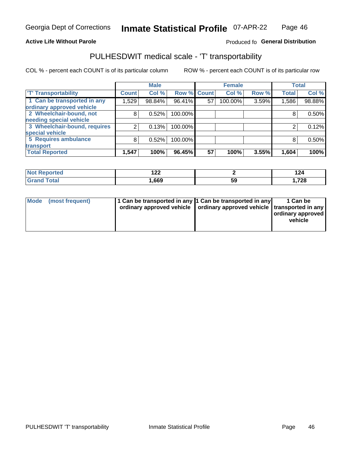#### **Active Life Without Parole**

#### Produced fo General Distribution

## PULHESDWIT medical scale - 'T' transportability

COL % - percent each COUNT is of its particular column

|                              |                    | <b>Male</b> |             |    | <b>Female</b> |       |              | <b>Total</b> |
|------------------------------|--------------------|-------------|-------------|----|---------------|-------|--------------|--------------|
| <b>T' Transportability</b>   | Count <sup>1</sup> | Col %       | Row % Count |    | Col %         | Row % | <b>Total</b> | Col %        |
| 1 Can be transported in any  | 1,529              | 98.84%      | 96.41%      | 57 | 100.00%       | 3.59% | 1,586        | 98.88%       |
| ordinary approved vehicle    |                    |             |             |    |               |       |              |              |
| 2 Wheelchair-bound, not      | 8                  | 0.52%       | 100.00%     |    |               |       |              | 0.50%        |
| needing special vehicle      |                    |             |             |    |               |       |              |              |
| 3 Wheelchair-bound, requires |                    | 0.13%       | 100.00%     |    |               |       |              | 0.12%        |
| special vehicle              |                    |             |             |    |               |       |              |              |
| 5 Requires ambulance         | 8                  | 0.52%       | 100.00%     |    |               |       |              | 0.50%        |
| transport                    |                    |             |             |    |               |       |              |              |
| <b>Total Reported</b>        | 1,547              | 100%        | 96.45%      | 57 | 100%          | 3.55% | 1,604        | 100%         |

| тео | $\sim$<br>▗▃▃ |    | . .<br>144 |
|-----|---------------|----|------------|
|     | .669          | JJ | ,728       |

| <b>Mode</b> | (most frequent) | 1 Can be transported in any 1 Can be transported in any | ordinary approved vehicle   ordinary approved vehicle   transported in any | 1 Can be<br>  ordinary approved  <br>vehicle |
|-------------|-----------------|---------------------------------------------------------|----------------------------------------------------------------------------|----------------------------------------------|
|-------------|-----------------|---------------------------------------------------------|----------------------------------------------------------------------------|----------------------------------------------|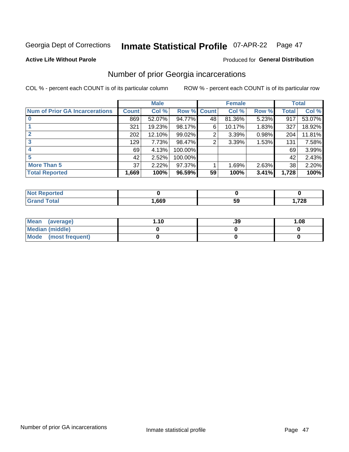#### Inmate Statistical Profile 07-APR-22 Page 47

#### **Active Life Without Parole**

### **Produced for General Distribution**

### Number of prior Georgia incarcerations

COL % - percent each COUNT is of its particular column

|                                       |                 | <b>Male</b> |         |              | <b>Female</b> |       |       | <b>Total</b> |
|---------------------------------------|-----------------|-------------|---------|--------------|---------------|-------|-------|--------------|
| <b>Num of Prior GA Incarcerations</b> | <b>Count</b>    | Col %       | Row %   | <b>Count</b> | Col %         | Row % | Total | Col %        |
| $\bf{0}$                              | 869             | 52.07%      | 94.77%  | 48           | 81.36%        | 5.23% | 917   | 53.07%       |
|                                       | 321             | 19.23%      | 98.17%  | 6            | 10.17%        | 1.83% | 327   | 18.92%       |
|                                       | 202             | 12.10%      | 99.02%  | 2            | 3.39%         | 0.98% | 204   | 11.81%       |
| 3                                     | 129             | 7.73%       | 98.47%  | 2            | 3.39%         | 1.53% | 131   | 7.58%        |
| 4                                     | 69              | 4.13%       | 100.00% |              |               |       | 69    | 3.99%        |
| 5                                     | 42              | 2.52%       | 100.00% |              |               |       | 42    | 2.43%        |
| <b>More Than 5</b>                    | 37 <sup>2</sup> | 2.22%       | 97.37%  |              | 1.69%         | 2.63% | 38    | 2.20%        |
| <b>Total Reported</b>                 | 1,669           | 100%        | 96.59%  | 59           | 100%          | 3.41% | 1,728 | 100%         |

| orted<br>N       |     |    |        |
|------------------|-----|----|--------|
| <b>otal</b>      | cco | 59 | 700    |
| $\mathbf{v}$ and | ০০১ |    | 04 ، ا |

| Mean (average)         | 1.10 | .39 | 1.08 |
|------------------------|------|-----|------|
| <b>Median (middle)</b> |      |     |      |
| Mode (most frequent)   |      |     |      |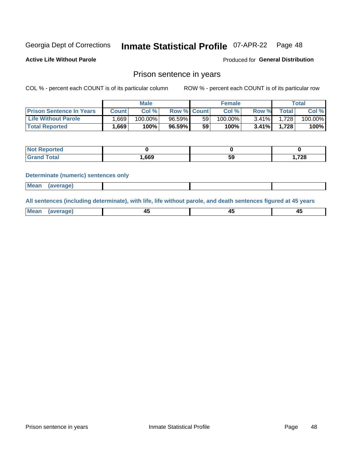#### Inmate Statistical Profile 07-APR-22 Page 48

**Active Life Without Parole** 

Produced for General Distribution

#### Prison sentence in years

COL % - percent each COUNT is of its particular column

ROW % - percent each COUNT is of its particular row

|                                 | <b>Male</b> |            |                    | <b>Female</b> |            |          | Total  |         |
|---------------------------------|-------------|------------|--------------------|---------------|------------|----------|--------|---------|
| <b>Prison Sentence In Years</b> | Count l     | Col %      | <b>Row % Count</b> |               | Col %      | Row %    | Total  | Col %   |
| <b>Life Without Parole</b>      | .669        | $100.00\%$ | $96.59\%$          | 59            | $100.00\%$ | $3.41\%$ | ا 728. | 100.00% |
| <b>Total Reported</b>           | .669        | 100%       | 96.59%             | 59            | $100\%$    | $3.41\%$ | 1.728  | 100%    |

| <b>Reported</b> |      |    |      |
|-----------------|------|----|------|
| <b>ota</b>      | ,669 | 59 | .728 |

#### **Determinate (numeric) sentences only**

| <b>Mean</b> | (average) |  |  |
|-------------|-----------|--|--|

All sentences (including determinate), with life, life without parole, and death sentences figured at 45 years

| Me<br>.<br> | -- | -- |  |
|-------------|----|----|--|
|             |    |    |  |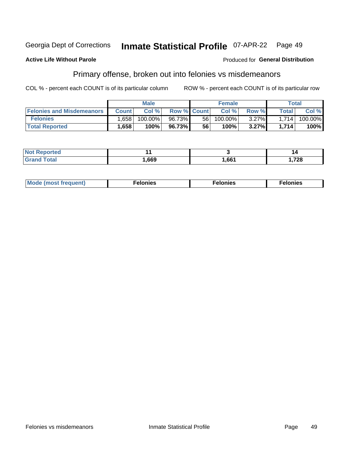#### Georgia Dept of Corrections Inmate Statistical Profile 07-APR-22 Page 49

#### **Active Life Without Parole**

#### **Produced for General Distribution**

### Primary offense, broken out into felonies vs misdemeanors

COL % - percent each COUNT is of its particular column

|                                  | <b>Male</b>       |         |                    |    | <b>Female</b> |          | Total              |         |
|----------------------------------|-------------------|---------|--------------------|----|---------------|----------|--------------------|---------|
| <b>Felonies and Misdemeanors</b> | <b>Count</b>      | Col%    | <b>Row % Count</b> |    | Col%          | Row %    | Total <sub>1</sub> | Col %   |
| <b>Felonies</b>                  | .658 <sub>1</sub> | 100.00% | 96.73%             | 56 | 100.00%       | $3.27\%$ | 1.714              | 100.00% |
| <b>Total Reported</b>            | 1,658             | $100\%$ | 96.73%             | 56 | 100%          | 3.27%    | 1,714              | 100%    |

| <b>Not Reported</b>   |      |      | 14    |
|-----------------------|------|------|-------|
| <b>⊺otal</b><br>Grand | ,669 | ,661 | 1,728 |

| <b>Mode</b><br>frequent)<br>nies<br>≧ (most tr.<br>. | onies<br>. | lonies<br>ею<br>____ |
|------------------------------------------------------|------------|----------------------|
|------------------------------------------------------|------------|----------------------|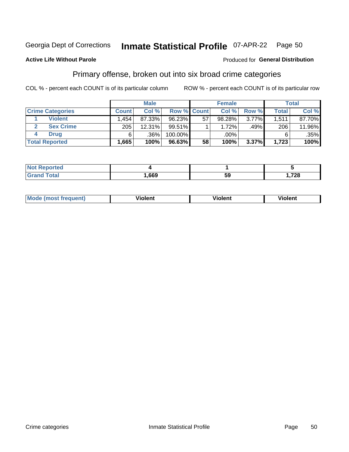#### **Inmate Statistical Profile 07-APR-22** Georgia Dept of Corrections Page 50

#### **Active Life Without Parole**

#### Produced for General Distribution

### Primary offense, broken out into six broad crime categories

COL % - percent each COUNT is of its particular column

|                         | <b>Male</b>  |        |             |    | <b>Female</b> |          |              | Total  |  |
|-------------------------|--------------|--------|-------------|----|---------------|----------|--------------|--------|--|
| <b>Crime Categories</b> | <b>Count</b> | Col%   | Row % Count |    | Col %         | Row %    | <b>Total</b> | Col %  |  |
| <b>Violent</b>          | .454         | 87.33% | 96.23%      | 57 | 98.28%        | $3.77\%$ | 1,511        | 87.70% |  |
| <b>Sex Crime</b>        | 205          | 12.31% | $99.51\%$   |    | 1.72%         | .49%     | 206          | 11.96% |  |
| <b>Drug</b>             | 6            | .36%   | 100.00%     |    | .00%          |          | 6            | .35%   |  |
| <b>Total Reported</b>   | 1,665        | 100%   | 96.63%      | 58 | 100%          | 3.37%    | 1,723        | 100%   |  |

| . .         |      |         |                  |
|-------------|------|---------|------------------|
| -<br>______ | ,669 | 50<br>- | 700<br>LU<br>___ |

| <b>Mo</b><br>quent)<br>. | .<br>∕iolent | <br>∕iolent | .<br>วlent |
|--------------------------|--------------|-------------|------------|
|                          |              |             |            |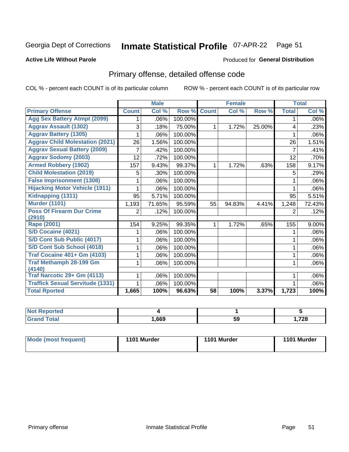#### **Inmate Statistical Profile 07-APR-22** Page 51

#### **Active Life Without Parole**

#### Produced for General Distribution

## Primary offense, detailed offense code

COL % - percent each COUNT is of its particular column

|                                         |              | <b>Male</b>                |         |              | <b>Female</b> |        |              | <b>Total</b> |
|-----------------------------------------|--------------|----------------------------|---------|--------------|---------------|--------|--------------|--------------|
| <b>Primary Offense</b>                  | <b>Count</b> | $\overline{\text{Col }^9}$ | Row %   | <b>Count</b> | Col %         | Row %  | <b>Total</b> | Col %        |
| <b>Agg Sex Battery Atmpt (2099)</b>     |              | .06%                       | 100.00% |              |               |        | 1            | .06%         |
| <b>Aggrav Assault (1302)</b>            | 3            | .18%                       | 75.00%  | 1            | 1.72%         | 25.00% | 4            | .23%         |
| <b>Aggrav Battery (1305)</b>            |              | .06%                       | 100.00% |              |               |        |              | .06%         |
| <b>Aggrav Child Molestation (2021)</b>  | 26           | 1.56%                      | 100.00% |              |               |        | 26           | 1.51%        |
| <b>Aggrav Sexual Battery (2009)</b>     |              | .42%                       | 100.00% |              |               |        | 7            | .41%         |
| <b>Aggrav Sodomy (2003)</b>             | 12           | .72%                       | 100.00% |              |               |        | 12           | .70%         |
| <b>Armed Robbery (1902)</b>             | 157          | 9.43%                      | 99.37%  | 1            | 1.72%         | .63%   | 158          | 9.17%        |
| <b>Child Molestation (2019)</b>         | 5            | .30%                       | 100.00% |              |               |        | 5            | .29%         |
| <b>False Imprisonment (1308)</b>        |              | .06%                       | 100.00% |              |               |        |              | .06%         |
| <b>Hijacking Motor Vehicle (1911)</b>   |              | .06%                       | 100.00% |              |               |        |              | .06%         |
| Kidnapping (1311)                       | 95           | 5.71%                      | 100.00% |              |               |        | 95           | 5.51%        |
| <b>Murder (1101)</b>                    | 1,193        | 71.65%                     | 95.59%  | 55           | 94.83%        | 4.41%  | 1,248        | 72.43%       |
| <b>Poss Of Firearm Dur Crime</b>        | 2            | .12%                       | 100.00% |              |               |        | 2            | .12%         |
| (2910)                                  |              |                            |         |              |               |        |              |              |
| Rape (2001)                             | 154          | 9.25%                      | 99.35%  |              | 1.72%         | .65%   | 155          | 9.00%        |
| S/D Cocaine (4021)                      |              | .06%                       | 100.00% |              |               |        |              | .06%         |
| S/D Cont Sub Public (4017)              |              | .06%                       | 100.00% |              |               |        |              | .06%         |
| S/D Cont Sub School (4018)              |              | .06%                       | 100.00% |              |               |        | 1            | .06%         |
| <b>Traf Cocaine 401+ Gm (4103)</b>      |              | .06%                       | 100.00% |              |               |        | 1            | .06%         |
| <b>Traf Methamph 28-199 Gm</b>          |              | .06%                       | 100.00% |              |               |        | 1            | .06%         |
| (4140)                                  |              |                            |         |              |               |        |              |              |
| Traf Narcotic 29+ Gm (4113)             |              | .06%                       | 100.00% |              |               |        |              | .06%         |
| <b>Traffick Sexual Servitude (1331)</b> |              | .06%                       | 100.00% |              |               |        |              | .06%         |
| <b>Total Rported</b>                    | 1,665        | 100%                       | 96.63%  | 58           | 100%          | 3.37%  | 1,723        | 100%         |

| N <sub>0</sub><br>orted<br>. |      |    |       |
|------------------------------|------|----|-------|
| <b>Total</b>                 | ,669 | 59 | 1,728 |

| Mode (most frequent) | 1101 Murder | 1101 Murder | 1101 Murder |
|----------------------|-------------|-------------|-------------|
|----------------------|-------------|-------------|-------------|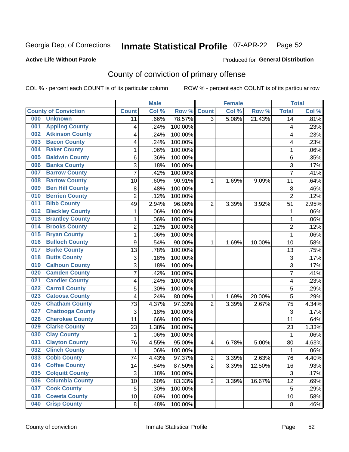## Inmate Statistical Profile 07-APR-22 Page 52

#### **Active Life Without Parole**

#### Produced for General Distribution

## County of conviction of primary offense

COL % - percent each COUNT is of its particular column

|     |                             |                | <b>Male</b> |         |                | <b>Female</b> |        |                | <b>Total</b> |
|-----|-----------------------------|----------------|-------------|---------|----------------|---------------|--------|----------------|--------------|
|     | <b>County of Conviction</b> | <b>Count</b>   | Col %       | Row %   | <b>Count</b>   | Col %         | Row %  | <b>Total</b>   | Col %        |
| 000 | <b>Unknown</b>              | 11             | .66%        | 78.57%  | $\overline{3}$ | 5.08%         | 21.43% | 14             | .81%         |
| 001 | <b>Appling County</b>       | 4              | .24%        | 100.00% |                |               |        | 4              | .23%         |
| 002 | <b>Atkinson County</b>      | 4              | .24%        | 100.00% |                |               |        | 4              | .23%         |
| 003 | <b>Bacon County</b>         | 4              | .24%        | 100.00% |                |               |        | 4              | .23%         |
| 004 | <b>Baker County</b>         | 1              | .06%        | 100.00% |                |               |        | $\mathbf 1$    | .06%         |
| 005 | <b>Baldwin County</b>       | 6              | .36%        | 100.00% |                |               |        | 6              | .35%         |
| 006 | <b>Banks County</b>         | 3              | .18%        | 100.00% |                |               |        | 3              | .17%         |
| 007 | <b>Barrow County</b>        | $\overline{7}$ | .42%        | 100.00% |                |               |        | $\overline{7}$ | .41%         |
| 008 | <b>Bartow County</b>        | 10             | .60%        | 90.91%  | 1              | 1.69%         | 9.09%  | 11             | .64%         |
| 009 | <b>Ben Hill County</b>      | $\,8\,$        | .48%        | 100.00% |                |               |        | 8              | .46%         |
| 010 | <b>Berrien County</b>       | $\overline{2}$ | .12%        | 100.00% |                |               |        | $\overline{2}$ | .12%         |
| 011 | <b>Bibb County</b>          | 49             | 2.94%       | 96.08%  | $\overline{2}$ | 3.39%         | 3.92%  | 51             | 2.95%        |
| 012 | <b>Bleckley County</b>      | $\mathbf{1}$   | .06%        | 100.00% |                |               |        | 1              | .06%         |
| 013 | <b>Brantley County</b>      | 1              | .06%        | 100.00% |                |               |        | $\mathbf 1$    | .06%         |
| 014 | <b>Brooks County</b>        | $\overline{2}$ | .12%        | 100.00% |                |               |        | $\overline{2}$ | .12%         |
| 015 | <b>Bryan County</b>         | 1              | .06%        | 100.00% |                |               |        | 1              | .06%         |
| 016 | <b>Bulloch County</b>       | 9              | .54%        | 90.00%  | 1              | 1.69%         | 10.00% | 10             | .58%         |
| 017 | <b>Burke County</b>         | 13             | .78%        | 100.00% |                |               |        | 13             | .75%         |
| 018 | <b>Butts County</b>         | $\overline{3}$ | .18%        | 100.00% |                |               |        | 3              | .17%         |
| 019 | <b>Calhoun County</b>       | $\overline{3}$ | .18%        | 100.00% |                |               |        | 3              | .17%         |
| 020 | <b>Camden County</b>        | $\overline{7}$ | .42%        | 100.00% |                |               |        | $\overline{7}$ | .41%         |
| 021 | <b>Candler County</b>       | 4              | .24%        | 100.00% |                |               |        | 4              | .23%         |
| 022 | <b>Carroll County</b>       | 5              | .30%        | 100.00% |                |               |        | 5              | .29%         |
| 023 | <b>Catoosa County</b>       | 4              | .24%        | 80.00%  | 1              | 1.69%         | 20.00% | 5              | .29%         |
| 025 | <b>Chatham County</b>       | 73             | 4.37%       | 97.33%  | $\overline{2}$ | 3.39%         | 2.67%  | 75             | 4.34%        |
| 027 | <b>Chattooga County</b>     | 3              | .18%        | 100.00% |                |               |        | 3              | .17%         |
| 028 | <b>Cherokee County</b>      | 11             | .66%        | 100.00% |                |               |        | 11             | .64%         |
| 029 | <b>Clarke County</b>        | 23             | 1.38%       | 100.00% |                |               |        | 23             | 1.33%        |
| 030 | <b>Clay County</b>          | $\mathbf{1}$   | .06%        | 100.00% |                |               |        | $\mathbf{1}$   | .06%         |
| 031 | <b>Clayton County</b>       | 76             | 4.55%       | 95.00%  | 4              | 6.78%         | 5.00%  | 80             | 4.63%        |
| 032 | <b>Clinch County</b>        | $\mathbf{1}$   | .06%        | 100.00% |                |               |        | 1              | .06%         |
| 033 | <b>Cobb County</b>          | 74             | 4.43%       | 97.37%  | 2              | 3.39%         | 2.63%  | 76             | 4.40%        |
| 034 | <b>Coffee County</b>        | 14             | .84%        | 87.50%  | $\overline{2}$ | 3.39%         | 12.50% | 16             | .93%         |
| 035 | <b>Colquitt County</b>      | 3              | .18%        | 100.00% |                |               |        | 3              | .17%         |
| 036 | <b>Columbia County</b>      | 10             | .60%        | 83.33%  | $\overline{2}$ | 3.39%         | 16.67% | 12             | .69%         |
| 037 | <b>Cook County</b>          | 5              | .30%        | 100.00% |                |               |        | 5              | .29%         |
| 038 | <b>Coweta County</b>        | 10             | .60%        | 100.00% |                |               |        | 10             | .58%         |
| 040 | <b>Crisp County</b>         | 8              | .48%        | 100.00% |                |               |        | 8              | .46%         |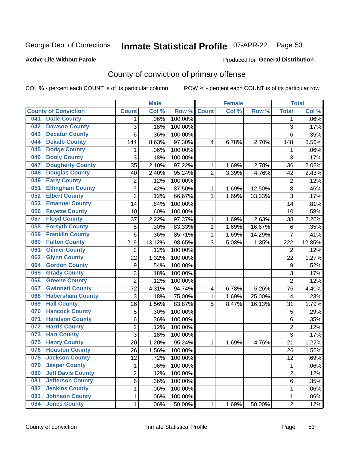## Inmate Statistical Profile 07-APR-22 Page 53

#### **Active Life Without Parole**

#### Produced for General Distribution

## County of conviction of primary offense

COL % - percent each COUNT is of its particular column

|     |                             |                  | <b>Male</b> |         |                | <b>Female</b> |        |                  | <b>Total</b> |
|-----|-----------------------------|------------------|-------------|---------|----------------|---------------|--------|------------------|--------------|
|     | <b>County of Conviction</b> | <b>Count</b>     | Col %       | Row %   | <b>Count</b>   | Col %         | Row %  | <b>Total</b>     | Col %        |
| 041 | <b>Dade County</b>          | 1                | .06%        | 100.00% |                |               |        | 1                | .06%         |
| 042 | <b>Dawson County</b>        | 3                | .18%        | 100.00% |                |               |        | 3                | .17%         |
| 043 | <b>Decatur County</b>       | 6                | .36%        | 100.00% |                |               |        | 6                | .35%         |
| 044 | <b>Dekalb County</b>        | 144              | 8.63%       | 97.30%  | 4              | 6.78%         | 2.70%  | 148              | 8.56%        |
| 045 | <b>Dodge County</b>         | 1                | .06%        | 100.00% |                |               |        | 1                | .06%         |
| 046 | <b>Dooly County</b>         | 3                | .18%        | 100.00% |                |               |        | $\overline{3}$   | .17%         |
| 047 | <b>Dougherty County</b>     | 35               | 2.10%       | 97.22%  | 1              | 1.69%         | 2.78%  | 36               | 2.08%        |
| 048 | <b>Douglas County</b>       | 40               | 2.40%       | 95.24%  | $\overline{2}$ | 3.39%         | 4.76%  | 42               | 2.43%        |
| 049 | <b>Early County</b>         | $\overline{2}$   | .12%        | 100.00% |                |               |        | $\overline{2}$   | .12%         |
| 051 | <b>Effingham County</b>     | 7                | .42%        | 87.50%  | 1              | 1.69%         | 12.50% | 8                | .46%         |
| 052 | <b>Elbert County</b>        | $\overline{c}$   | .12%        | 66.67%  | 1              | 1.69%         | 33.33% | 3                | .17%         |
| 053 | <b>Emanuel County</b>       | 14               | .84%        | 100.00% |                |               |        | 14               | .81%         |
| 056 | <b>Fayette County</b>       | 10               | .60%        | 100.00% |                |               |        | 10               | .58%         |
| 057 | <b>Floyd County</b>         | 37               | 2.22%       | 97.37%  | 1              | 1.69%         | 2.63%  | 38               | 2.20%        |
| 058 | <b>Forsyth County</b>       | 5                | .30%        | 83.33%  | 1              | 1.69%         | 16.67% | 6                | .35%         |
| 059 | <b>Franklin County</b>      | 6                | .36%        | 85.71%  | 1              | 1.69%         | 14.29% | $\overline{7}$   | .41%         |
| 060 | <b>Fulton County</b>        | 219              | 13.12%      | 98.65%  | 3              | 5.08%         | 1.35%  | 222              | 12.85%       |
| 061 | <b>Gilmer County</b>        | $\overline{2}$   | .12%        | 100.00% |                |               |        | $\overline{2}$   | .12%         |
| 063 | <b>Glynn County</b>         | 22               | 1.32%       | 100.00% |                |               |        | 22               | 1.27%        |
| 064 | <b>Gordon County</b>        | $\boldsymbol{9}$ | .54%        | 100.00% |                |               |        | $\boldsymbol{9}$ | .52%         |
| 065 | <b>Grady County</b>         | 3                | .18%        | 100.00% |                |               |        | 3                | .17%         |
| 066 | <b>Greene County</b>        | $\overline{2}$   | .12%        | 100.00% |                |               |        | $\overline{2}$   | .12%         |
| 067 | <b>Gwinnett County</b>      | 72               | 4.31%       | 94.74%  | 4              | 6.78%         | 5.26%  | 76               | 4.40%        |
| 068 | <b>Habersham County</b>     | 3                | .18%        | 75.00%  | 1              | 1.69%         | 25.00% | 4                | .23%         |
| 069 | <b>Hall County</b>          | 26               | 1.56%       | 83.87%  | 5              | 8.47%         | 16.13% | 31               | 1.79%        |
| 070 | <b>Hancock County</b>       | 5                | .30%        | 100.00% |                |               |        | 5                | .29%         |
| 071 | <b>Haralson County</b>      | 6                | .36%        | 100.00% |                |               |        | 6                | .35%         |
| 072 | <b>Harris County</b>        | $\overline{c}$   | .12%        | 100.00% |                |               |        | $\overline{c}$   | .12%         |
| 073 | <b>Hart County</b>          | 3                | .18%        | 100.00% |                |               |        | 3                | .17%         |
| 075 | <b>Henry County</b>         | 20               | 1.20%       | 95.24%  | 1              | 1.69%         | 4.76%  | 21               | 1.22%        |
| 076 | <b>Houston County</b>       | 26               | 1.56%       | 100.00% |                |               |        | 26               | 1.50%        |
| 078 | <b>Jackson County</b>       | 12               | .72%        | 100.00% |                |               |        | 12               | .69%         |
| 079 | <b>Jasper County</b>        | $\mathbf{1}$     | .06%        | 100.00% |                |               |        | $\mathbf{1}$     | .06%         |
| 080 | <b>Jeff Davis County</b>    | $\overline{2}$   | .12%        | 100.00% |                |               |        | $\overline{2}$   | .12%         |
| 081 | <b>Jefferson County</b>     | 6                | .36%        | 100.00% |                |               |        | 6                | .35%         |
| 082 | <b>Jenkins County</b>       | 1                | .06%        | 100.00% |                |               |        | 1                | .06%         |
| 083 | <b>Johnson County</b>       | $\mathbf 1$      | .06%        | 100.00% |                |               |        | 1                | .06%         |
| 084 | <b>Jones County</b>         | $\mathbf 1$      | .06%        | 50.00%  | 1              | 1.69%         | 50.00% | $\overline{2}$   | .12%         |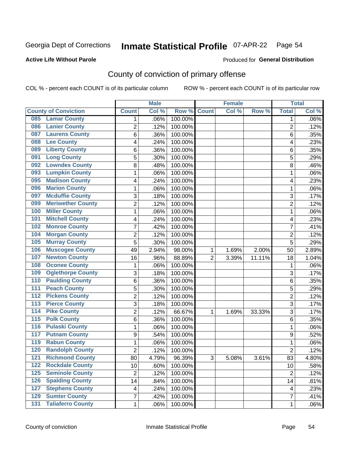## Inmate Statistical Profile 07-APR-22 Page 54

**Active Life Without Parole** 

**Produced for General Distribution** 

## County of conviction of primary offense

COL % - percent each COUNT is of its particular column

|                                              |                | <b>Male</b> |         |                | <b>Female</b> |        |                | <b>Total</b> |
|----------------------------------------------|----------------|-------------|---------|----------------|---------------|--------|----------------|--------------|
| <b>County of Conviction</b>                  | <b>Count</b>   | Col %       | Row %   | <b>Count</b>   | Col %         | Row %  | <b>Total</b>   | Col %        |
| <b>Lamar County</b><br>085                   | 1              | .06%        | 100.00% |                |               |        | 1              | $.06\%$      |
| <b>Lanier County</b><br>086                  | $\overline{2}$ | .12%        | 100.00% |                |               |        | $\overline{2}$ | .12%         |
| <b>Laurens County</b><br>087                 | 6              | .36%        | 100.00% |                |               |        | 6              | .35%         |
| <b>Lee County</b><br>088                     | 4              | .24%        | 100.00% |                |               |        | 4              | .23%         |
| <b>Liberty County</b><br>089                 | 6              | .36%        | 100.00% |                |               |        | 6              | .35%         |
| <b>Long County</b><br>091                    | 5              | .30%        | 100.00% |                |               |        | 5              | .29%         |
| <b>Lowndes County</b><br>092                 | 8              | .48%        | 100.00% |                |               |        | 8              | .46%         |
| <b>Lumpkin County</b><br>093                 | 1              | .06%        | 100.00% |                |               |        | $\mathbf{1}$   | .06%         |
| <b>Madison County</b><br>095                 | 4              | .24%        | 100.00% |                |               |        | 4              | .23%         |
| <b>Marion County</b><br>096                  | 1              | .06%        | 100.00% |                |               |        | $\mathbf{1}$   | .06%         |
| <b>Mcduffie County</b><br>097                | 3              | .18%        | 100.00% |                |               |        | 3              | .17%         |
| <b>Meriwether County</b><br>099              | $\overline{2}$ | .12%        | 100.00% |                |               |        | $\overline{2}$ | .12%         |
| <b>Miller County</b><br>100                  | 1              | .06%        | 100.00% |                |               |        | $\mathbf{1}$   | .06%         |
| <b>Mitchell County</b><br>101                | 4              | .24%        | 100.00% |                |               |        | 4              | .23%         |
| <b>Monroe County</b><br>102                  | 7              | .42%        | 100.00% |                |               |        | $\overline{7}$ | .41%         |
| <b>Morgan County</b><br>104                  | $\overline{2}$ | .12%        | 100.00% |                |               |        | $\overline{2}$ | .12%         |
| <b>Murray County</b><br>105                  | 5              | .30%        | 100.00% |                |               |        | 5              | .29%         |
| <b>Muscogee County</b><br>106                | 49             | 2.94%       | 98.00%  | 1              | 1.69%         | 2.00%  | 50             | 2.89%        |
| <b>Newton County</b><br>107                  | 16             | .96%        | 88.89%  | $\overline{2}$ | 3.39%         | 11.11% | 18             | 1.04%        |
| <b>Oconee County</b><br>108                  | 1              | .06%        | 100.00% |                |               |        | 1              | .06%         |
| <b>Oglethorpe County</b><br>109              | 3              | .18%        | 100.00% |                |               |        | 3              | .17%         |
| <b>Paulding County</b><br>110                | 6              | .36%        | 100.00% |                |               |        | 6              | .35%         |
| <b>Peach County</b><br>111                   | 5              | .30%        | 100.00% |                |               |        | 5              | .29%         |
| <b>Pickens County</b><br>112                 | $\overline{2}$ | .12%        | 100.00% |                |               |        | $\overline{2}$ | .12%         |
| <b>Pierce County</b><br>$\overline{113}$     | 3              | .18%        | 100.00% |                |               |        | 3              | .17%         |
| <b>Pike County</b><br>$\overline{114}$       | $\overline{2}$ | .12%        | 66.67%  | 1              | 1.69%         | 33.33% | 3              | .17%         |
| <b>Polk County</b><br>115                    | $\,6$          | .36%        | 100.00% |                |               |        | 6              | .35%         |
| <b>Pulaski County</b><br>$\overline{116}$    | 1              | .06%        | 100.00% |                |               |        | $\mathbf{1}$   | .06%         |
| <b>Putnam County</b><br>117                  | 9              | .54%        | 100.00% |                |               |        | 9              | .52%         |
| <b>Rabun County</b><br>119                   | 1              | .06%        | 100.00% |                |               |        | $\mathbf{1}$   | .06%         |
| <b>Randolph County</b><br>120                | $\overline{2}$ | .12%        | 100.00% |                |               |        | $\overline{2}$ | .12%         |
| 121<br><b>Richmond County</b>                | 80             | 4.79%       | 96.39%  | 3              | 5.08%         | 3.61%  | 83             | 4.80%        |
| <b>Rockdale County</b><br>122                | 10             | .60%        | 100.00% |                |               |        | 10             | .58%         |
| <b>Seminole County</b><br>125                | $\overline{2}$ | .12%        | 100.00% |                |               |        | $\overline{2}$ | .12%         |
| <b>Spalding County</b><br>126                | 14             | .84%        | 100.00% |                |               |        | 14             | .81%         |
| <b>Stephens County</b><br>127                | 4              | .24%        | 100.00% |                |               |        | 4              | .23%         |
| <b>Sumter County</b><br>129                  | 7              | .42%        | 100.00% |                |               |        | $\overline{7}$ | .41%         |
| <b>Taliaferro County</b><br>$\overline{131}$ | 1              | .06%        | 100.00% |                |               |        | $\mathbf 1$    | .06%         |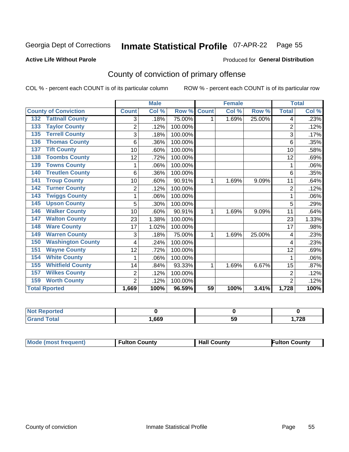## Inmate Statistical Profile 07-APR-22 Page 55

Produced for General Distribution

#### **Active Life Without Parole**

## County of conviction of primary offense

COL % - percent each COUNT is of its particular column

|                                 |                | <b>Male</b> |         |                 | <b>Female</b> |        |                | <b>Total</b> |
|---------------------------------|----------------|-------------|---------|-----------------|---------------|--------|----------------|--------------|
| <b>County of Conviction</b>     | <b>Count</b>   | Col %       | Row %   | <b>Count</b>    | Col %         | Row %  | <b>Total</b>   | Col %        |
| <b>Tattnall County</b><br>132   | 3              | .18%        | 75.00%  | 1               | 1.69%         | 25.00% | 4              | .23%         |
| <b>Taylor County</b><br>133     | $\overline{2}$ | .12%        | 100.00% |                 |               |        | $\overline{2}$ | .12%         |
| <b>Terrell County</b><br>135    | 3              | .18%        | 100.00% |                 |               |        | 3              | .17%         |
| <b>Thomas County</b><br>136     | 6              | .36%        | 100.00% |                 |               |        | 6              | .35%         |
| <b>Tift County</b><br>137       | 10             | .60%        | 100.00% |                 |               |        | 10             | .58%         |
| <b>Toombs County</b><br>138     | 12             | .72%        | 100.00% |                 |               |        | 12             | .69%         |
| <b>Towns County</b><br>139      |                | .06%        | 100.00% |                 |               |        | 1              | .06%         |
| <b>Treutlen County</b><br>140   | 6              | .36%        | 100.00% |                 |               |        | 6              | .35%         |
| <b>Troup County</b><br>141      | 10             | .60%        | 90.91%  | 1               | 1.69%         | 9.09%  | 11             | .64%         |
| <b>Turner County</b><br>142     | 2              | .12%        | 100.00% |                 |               |        | 2              | .12%         |
| <b>Twiggs County</b><br>143     | 1              | .06%        | 100.00% |                 |               |        | 1              | .06%         |
| <b>Upson County</b><br>145      | 5              | .30%        | 100.00% |                 |               |        | 5              | .29%         |
| <b>Walker County</b><br>146     | 10             | .60%        | 90.91%  | 1               | 1.69%         | 9.09%  | 11             | .64%         |
| <b>Walton County</b><br>147     | 23             | 1.38%       | 100.00% |                 |               |        | 23             | 1.33%        |
| <b>Ware County</b><br>148       | 17             | 1.02%       | 100.00% |                 |               |        | 17             | .98%         |
| <b>Warren County</b><br>149     | 3              | .18%        | 75.00%  | 1               | 1.69%         | 25.00% | 4              | .23%         |
| <b>Washington County</b><br>150 | 4              | .24%        | 100.00% |                 |               |        | 4              | .23%         |
| <b>Wayne County</b><br>151      | 12             | .72%        | 100.00% |                 |               |        | 12             | .69%         |
| <b>White County</b><br>154      |                | .06%        | 100.00% |                 |               |        |                | .06%         |
| <b>Whitfield County</b><br>155  | 14             | .84%        | 93.33%  | 1               | 1.69%         | 6.67%  | 15             | .87%         |
| <b>Wilkes County</b><br>157     | 2              | .12%        | 100.00% |                 |               |        | $\overline{2}$ | .12%         |
| <b>Worth County</b><br>159      | $\overline{2}$ | .12%        | 100.00% |                 |               |        | $\overline{2}$ | .12%         |
| <b>Total Rported</b>            | 1,669          | 100%        | 96.59%  | $\overline{59}$ | 100%          | 3.41%  | 1,728          | 100%         |

| Reported |      |    |        |
|----------|------|----|--------|
| otal     | ,669 | 59 | 728, ا |

|  | <b>Mode (most frequent)</b> | <b>Fulton County</b> | <b>Hall County</b> | <b>Fulton County</b> |
|--|-----------------------------|----------------------|--------------------|----------------------|
|--|-----------------------------|----------------------|--------------------|----------------------|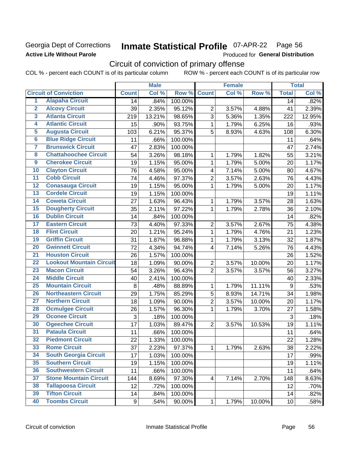#### Georgia Dept of Corrections **Active Life Without Parole**

## Inmate Statistical Profile 07-APR-22 Page 56

Produced for General Distribution

## Circuit of conviction of primary offense

|                         |                                 |              | <b>Male</b> |         |                         | <b>Female</b> |        |                 | <b>Total</b> |
|-------------------------|---------------------------------|--------------|-------------|---------|-------------------------|---------------|--------|-----------------|--------------|
|                         | <b>Circuit of Conviction</b>    | <b>Count</b> | Col %       | Row %   | <b>Count</b>            | Col %         | Row %  | <b>Total</b>    | Col %        |
| 1                       | <b>Alapaha Circuit</b>          | 14           | .84%        | 100.00% |                         |               |        | 14              | .82%         |
| $\overline{2}$          | <b>Alcovy Circuit</b>           | 39           | 2.35%       | 95.12%  | $\overline{2}$          | 3.57%         | 4.88%  | 41              | 2.39%        |
| $\overline{\mathbf{3}}$ | <b>Atlanta Circuit</b>          | 219          | 13.21%      | 98.65%  | 3                       | 5.36%         | 1.35%  | 222             | 12.95%       |
| $\overline{4}$          | <b>Atlantic Circuit</b>         | 15           | .90%        | 93.75%  | 1                       | 1.79%         | 6.25%  | 16              | .93%         |
| 5                       | <b>Augusta Circuit</b>          | 103          | 6.21%       | 95.37%  | 5                       | 8.93%         | 4.63%  | 108             | 6.30%        |
| $\overline{\bf{6}}$     | <b>Blue Ridge Circuit</b>       | 11           | .66%        | 100.00% |                         |               |        | 11              | .64%         |
| 7                       | <b>Brunswick Circuit</b>        | 47           | 2.83%       | 100.00% |                         |               |        | 47              | 2.74%        |
| $\overline{\mathbf{8}}$ | <b>Chattahoochee Circuit</b>    | 54           | 3.26%       | 98.18%  | 1                       | 1.79%         | 1.82%  | 55              | 3.21%        |
| $\overline{9}$          | <b>Cherokee Circuit</b>         | 19           | 1.15%       | 95.00%  | 1                       | 1.79%         | 5.00%  | 20              | 1.17%        |
| 10                      | <b>Clayton Circuit</b>          | 76           | 4.58%       | 95.00%  | 4                       | 7.14%         | 5.00%  | 80              | 4.67%        |
| $\overline{11}$         | <b>Cobb Circuit</b>             | 74           | 4.46%       | 97.37%  | $\overline{2}$          | 3.57%         | 2.63%  | 76              | 4.43%        |
| $\overline{12}$         | <b>Conasauga Circuit</b>        | 19           | 1.15%       | 95.00%  | 1                       | 1.79%         | 5.00%  | 20              | 1.17%        |
| 13                      | <b>Cordele Circuit</b>          | 19           | 1.15%       | 100.00% |                         |               |        | 19              | 1.11%        |
| 14                      | <b>Coweta Circuit</b>           | 27           | 1.63%       | 96.43%  | 1                       | 1.79%         | 3.57%  | 28              | 1.63%        |
| 15                      | <b>Dougherty Circuit</b>        | 35           | 2.11%       | 97.22%  | $\mathbf{1}$            | 1.79%         | 2.78%  | 36              | 2.10%        |
| 16                      | <b>Dublin Circuit</b>           | 14           | .84%        | 100.00% |                         |               |        | 14              | .82%         |
| 17                      | <b>Eastern Circuit</b>          | 73           | 4.40%       | 97.33%  | $\overline{2}$          | 3.57%         | 2.67%  | 75              | 4.38%        |
| $\overline{18}$         | <b>Flint Circuit</b>            | 20           | 1.21%       | 95.24%  | $\mathbf 1$             | 1.79%         | 4.76%  | 21              | 1.23%        |
| 19                      | <b>Griffin Circuit</b>          | 31           | 1.87%       | 96.88%  | $\mathbf{1}$            | 1.79%         | 3.13%  | 32              | 1.87%        |
| $\overline{20}$         | <b>Gwinnett Circuit</b>         | 72           | 4.34%       | 94.74%  | 4                       | 7.14%         | 5.26%  | 76              | 4.43%        |
| $\overline{21}$         | <b>Houston Circuit</b>          | 26           | 1.57%       | 100.00% |                         |               |        | 26              | 1.52%        |
| $\overline{22}$         | <b>Lookout Mountain Circuit</b> | 18           | 1.09%       | 90.00%  | $\overline{2}$          | 3.57%         | 10.00% | 20              | 1.17%        |
| 23                      | <b>Macon Circuit</b>            | 54           | 3.26%       | 96.43%  | $\overline{2}$          | 3.57%         | 3.57%  | 56              | 3.27%        |
| $\overline{24}$         | <b>Middle Circuit</b>           | 40           | 2.41%       | 100.00% |                         |               |        | 40              | 2.33%        |
| $\overline{25}$         | <b>Mountain Circuit</b>         | 8            | .48%        | 88.89%  | 1                       | 1.79%         | 11.11% | 9               | .53%         |
| 26                      | <b>Northeastern Circuit</b>     | 29           | 1.75%       | 85.29%  | $\overline{5}$          | 8.93%         | 14.71% | 34              | 1.98%        |
| $\overline{27}$         | <b>Northern Circuit</b>         | 18           | 1.09%       | 90.00%  | $\overline{2}$          | 3.57%         | 10.00% | 20              | 1.17%        |
| 28                      | <b>Ocmulgee Circuit</b>         | 26           | 1.57%       | 96.30%  | 1                       | 1.79%         | 3.70%  | 27              | 1.58%        |
| 29                      | <b>Oconee Circuit</b>           | 3            | .18%        | 100.00% |                         |               |        | 3               | .18%         |
| 30                      | <b>Ogeechee Circuit</b>         | 17           | 1.03%       | 89.47%  | $\overline{2}$          | 3.57%         | 10.53% | 19              | 1.11%        |
| $\overline{31}$         | <b>Pataula Circuit</b>          | 11           | .66%        | 100.00% |                         |               |        | 11              | .64%         |
| 32                      | <b>Piedmont Circuit</b>         | 22           | 1.33%       | 100.00% |                         |               |        | 22              | 1.28%        |
| 33                      | <b>Rome Circuit</b>             | 37           | 2.23%       | 97.37%  | $\mathbf{1}$            | 1.79%         | 2.63%  | 38              | 2.22%        |
| 34                      | <b>South Georgia Circuit</b>    | 17           | 1.03%       | 100.00% |                         |               |        | 17              | .99%         |
| 35                      | <b>Southern Circuit</b>         | 19           | 1.15%       | 100.00% |                         |               |        | 19              | 1.11%        |
| 36                      | <b>Southwestern Circuit</b>     | 11           | .66%        | 100.00% |                         |               |        | 11              | .64%         |
| 37                      | <b>Stone Mountain Circuit</b>   | 144          | 8.69%       | 97.30%  | $\overline{\mathbf{4}}$ | 7.14%         | 2.70%  | 148             | 8.63%        |
| 38                      | <b>Tallapoosa Circuit</b>       | 12           | .72%        | 100.00% |                         |               |        | 12              | .70%         |
| 39                      | <b>Tifton Circuit</b>           | 14           | .84%        | 100.00% |                         |               |        | 14              | .82%         |
| 40                      | <b>Toombs Circuit</b>           | 9            | .54%        | 90.00%  | $\mathbf{1}$            | 1.79%         | 10.00% | 10 <sub>1</sub> | .58%         |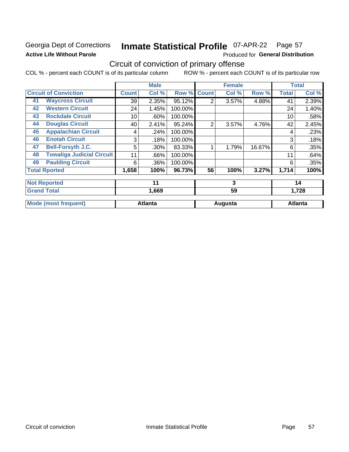### Georgia Dept of Corrections **Active Life Without Parole**

#### Inmate Statistical Profile 07-APR-22 Page 57

Produced for General Distribution

## Circuit of conviction of primary offense

|    |                                   | <b>Male</b>  |                |         | <b>Female</b>  |         |        | <b>Total</b> |                |
|----|-----------------------------------|--------------|----------------|---------|----------------|---------|--------|--------------|----------------|
|    | <b>Circuit of Conviction</b>      | <b>Count</b> | Col %          | Row %   | <b>Count</b>   | Col %   | Row %  | <b>Total</b> | Col %          |
| 41 | <b>Waycross Circuit</b>           | 39           | 2.35%          | 95.12%  | $\overline{2}$ | 3.57%   | 4.88%  | 41           | 2.39%          |
| 42 | <b>Western Circuit</b>            | 24           | 1.45%          | 100.00% |                |         |        | 24           | 1.40%          |
| 43 | <b>Rockdale Circuit</b>           | 10           | .60%           | 100.00% |                |         |        | 10           | .58%           |
| 44 | <b>Douglas Circuit</b>            | 40           | 2.41%          | 95.24%  | $\overline{2}$ | 3.57%   | 4.76%  | 42           | 2.45%          |
| 45 | <b>Appalachian Circuit</b>        | 4            | .24%           | 100.00% |                |         |        | 4            | .23%           |
| 46 | <b>Enotah Circuit</b>             | 3            | .18%           | 100.00% |                |         |        | 3            | .18%           |
| 47 | <b>Bell-Forsyth J.C.</b>          | 5            | .30%           | 83.33%  |                | 1.79%   | 16.67% | 6            | .35%           |
| 48 | <b>Towaliga Judicial Circuit</b>  | 11           | .66%           | 100.00% |                |         |        | 11           | .64%           |
| 49 | <b>Paulding Circuit</b>           | 6            | .36%           | 100.00% |                |         |        | 6            | .35%           |
|    | <b>Total Rported</b>              | 1,658        | 100%           | 96.73%  | 56             | 100%    | 3.27%  | 1,714        | 100%           |
|    | <b>Not Reported</b>               |              | 11             |         |                | 3       |        |              | 14             |
|    | <b>Grand Total</b><br>59<br>1,669 |              |                | 1,728   |                |         |        |              |                |
|    | <b>Mode (most frequent)</b>       |              | <b>Atlanta</b> |         |                | Augusta |        |              | <b>Atlanta</b> |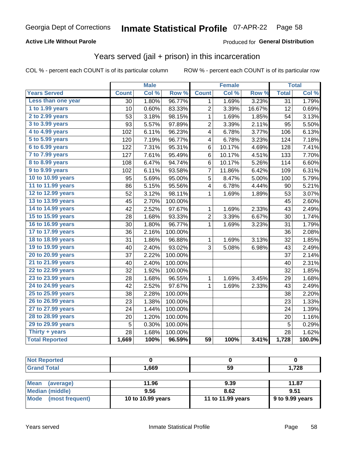#### **Active Life Without Parole**

#### **Produced for General Distribution**

### Years served (jail + prison) in this incarceration

COL % - percent each COUNT is of its particular column

|                       |                 | <b>Male</b> |                  |                         | <b>Female</b> |        |                 | <b>Total</b> |
|-----------------------|-----------------|-------------|------------------|-------------------------|---------------|--------|-----------------|--------------|
| <b>Years Served</b>   | <b>Count</b>    | Col %       | Row <sup>%</sup> | <b>Count</b>            | Col %         | Row %  | <b>Total</b>    | Col %        |
| Less than one year    | $\overline{30}$ | 1.80%       | 96.77%           | 1                       | 1.69%         | 3.23%  | $\overline{31}$ | 1.79%        |
| 1 to 1.99 years       | 10              | 0.60%       | 83.33%           | $\overline{2}$          | 3.39%         | 16.67% | 12              | 0.69%        |
| 2 to 2.99 years       | 53              | 3.18%       | 98.15%           | $\mathbf 1$             | 1.69%         | 1.85%  | 54              | 3.13%        |
| 3 to 3.99 years       | 93              | 5.57%       | 97.89%           | $\overline{2}$          | 3.39%         | 2.11%  | 95              | 5.50%        |
| 4 to 4.99 years       | 102             | 6.11%       | 96.23%           | $\overline{\mathbf{4}}$ | 6.78%         | 3.77%  | 106             | 6.13%        |
| 5 to 5.99 years       | 120             | 7.19%       | 96.77%           | 4                       | 6.78%         | 3.23%  | 124             | 7.18%        |
| 6 to 6.99 years       | 122             | 7.31%       | 95.31%           | 6                       | 10.17%        | 4.69%  | 128             | 7.41%        |
| 7 to 7.99 years       | 127             | 7.61%       | 95.49%           | 6                       | 10.17%        | 4.51%  | 133             | 7.70%        |
| 8 to 8.99 years       | 108             | 6.47%       | 94.74%           | 6                       | 10.17%        | 5.26%  | 114             | 6.60%        |
| 9 to 9.99 years       | 102             | 6.11%       | 93.58%           | 7                       | 11.86%        | 6.42%  | 109             | 6.31%        |
| 10 to 10.99 years     | 95              | 5.69%       | 95.00%           | 5                       | 8.47%         | 5.00%  | 100             | 5.79%        |
| 11 to 11.99 years     | 86              | 5.15%       | 95.56%           | 4                       | 6.78%         | 4.44%  | 90              | 5.21%        |
| 12 to 12.99 years     | 52              | 3.12%       | 98.11%           | 1                       | 1.69%         | 1.89%  | 53              | 3.07%        |
| 13 to 13.99 years     | 45              | 2.70%       | 100.00%          |                         |               |        | 45              | 2.60%        |
| 14 to 14.99 years     | 42              | 2.52%       | 97.67%           | 1                       | 1.69%         | 2.33%  | 43              | 2.49%        |
| 15 to 15.99 years     | 28              | 1.68%       | 93.33%           | $\overline{c}$          | 3.39%         | 6.67%  | 30              | 1.74%        |
| 16 to 16.99 years     | 30              | 1.80%       | 96.77%           | 1                       | 1.69%         | 3.23%  | 31              | 1.79%        |
| 17 to 17.99 years     | 36              | 2.16%       | 100.00%          |                         |               |        | 36              | 2.08%        |
| 18 to 18.99 years     | 31              | 1.86%       | 96.88%           | 1                       | 1.69%         | 3.13%  | 32              | 1.85%        |
| 19 to 19.99 years     | 40              | 2.40%       | 93.02%           | 3                       | 5.08%         | 6.98%  | 43              | 2.49%        |
| 20 to 20.99 years     | 37              | 2.22%       | 100.00%          |                         |               |        | 37              | 2.14%        |
| 21 to 21.99 years     | 40              | 2.40%       | 100.00%          |                         |               |        | 40              | 2.31%        |
| 22 to 22.99 years     | 32              | 1.92%       | 100.00%          |                         |               |        | 32              | 1.85%        |
| 23 to 23.99 years     | 28              | 1.68%       | 96.55%           | 1                       | 1.69%         | 3.45%  | 29              | 1.68%        |
| 24 to 24.99 years     | 42              | 2.52%       | 97.67%           | 1                       | 1.69%         | 2.33%  | 43              | 2.49%        |
| 25 to 25.99 years     | 38              | 2.28%       | 100.00%          |                         |               |        | 38              | 2.20%        |
| 26 to 26.99 years     | 23              | 1.38%       | 100.00%          |                         |               |        | 23              | 1.33%        |
| 27 to 27.99 years     | 24              | 1.44%       | 100.00%          |                         |               |        | 24              | 1.39%        |
| 28 to 28.99 years     | 20              | 1.20%       | 100.00%          |                         |               |        | 20              | 1.16%        |
| 29 to 29.99 years     | 5               | 0.30%       | 100.00%          |                         |               |        | 5               | 0.29%        |
| Thirty + years        | 28              | 1.68%       | 100.00%          |                         |               |        | 28              | 1.62%        |
| <b>Total Reported</b> | 1,669           | 100%        | 96.59%           | $\overline{59}$         | 100%          | 3.41%  | 1,728           | 100.0%       |

| <b>orteg</b><br><b>No</b> |       |    |       |
|---------------------------|-------|----|-------|
| <b>Total</b><br>Cro       | 1,669 | 59 | 1,728 |
|                           |       |    |       |

| <b>Mean</b><br>(average) | 11.96             | 9.39              | 11.87             |
|--------------------------|-------------------|-------------------|-------------------|
| Median (middle)          | 9.56              | 8.62              | 9.51              |
| Mode (most frequent)     | 10 to 10.99 years | 11 to 11.99 years | $9$ to 9.99 years |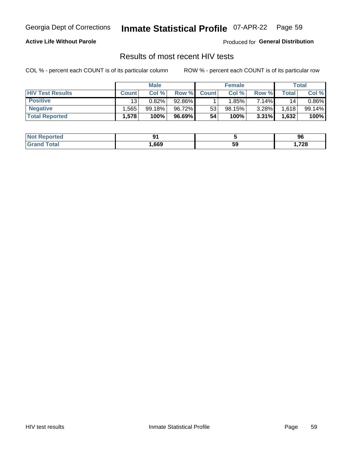#### **Inmate Statistical Profile 07-APR-22** Page 59

#### **Active Life Without Parole**

Produced for General Distribution

### Results of most recent HIV tests

COL % - percent each COUNT is of its particular column

|                         | <b>Male</b>     |           |        | <b>Female</b> |        |       | Total       |          |
|-------------------------|-----------------|-----------|--------|---------------|--------|-------|-------------|----------|
| <b>HIV Test Results</b> | <b>Count</b>    | Col%      | Row %I | <b>Count</b>  | Col %  | Row % | $\tau$ otal | Col %    |
| <b>Positive</b>         | 13 <sub>1</sub> | 0.82%     | 92.86% |               | 1.85%  | 7.14% | 14          | $0.86\%$ |
| <b>Negative</b>         | .565            | $99.18\%$ | 96.72% | 53            | 98.15% | 3.28% | 1,618       | 99.14%   |
| <b>Total Reported</b>   | .578            | 100%      | 96.69% | 54            | 100%   | 3.31% | 1,632       | 100%     |

| <b>Not Reported</b> | ∼.   |    | 96   |
|---------------------|------|----|------|
| <b>Grand Total</b>  | ,669 | 59 | ,728 |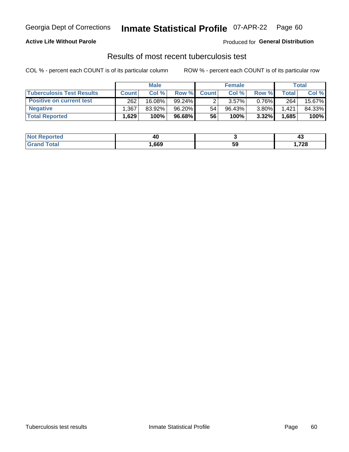## Georgia Dept of Corrections **Inmate Statistical Profile** 07-APR-22 Page 60

#### **Active Life Without Parole**

Produced for **General Distribution**

### Results of most recent tuberculosis test

|                                  | <b>Male</b>  |           |           | <b>Female</b> |        |          | Total |        |
|----------------------------------|--------------|-----------|-----------|---------------|--------|----------|-------|--------|
| <b>Tuberculosis Test Results</b> | <b>Count</b> | Col%      | Row %     | <b>Count</b>  | Col%   | Row %    | Total | Col %  |
| <b>Positive on current test</b>  | 262          | $16.08\%$ | $99.24\%$ |               | 3.57%  | $0.76\%$ | 264   | 15.67% |
| <b>Negative</b>                  | .367         | 83.92%    | 96.20%    | 54            | 96.43% | $3.80\%$ | 1.421 | 84.33% |
| <b>Total Reported</b>            | .629         | 100%      | 96.68%    | 56            | 100%   | 3.32%    | 1,685 | 100%   |

| <b>Not Reported</b> | 14   |    | ᠇֊     |
|---------------------|------|----|--------|
| <b>Total</b>        | ,669 | 59 | 728, ا |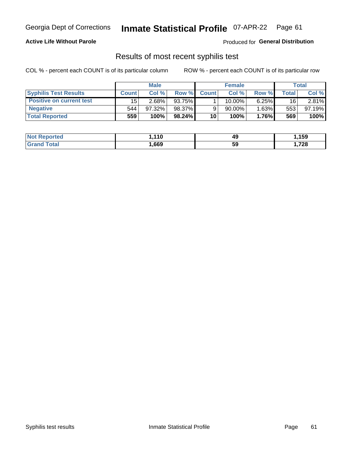## Georgia Dept of Corrections **Inmate Statistical Profile** 07-APR-22 Page 61

#### **Active Life Without Parole**

Produced for **General Distribution**

#### Results of most recent syphilis test

|                                 | <b>Male</b>  |           |           | <b>Female</b> |        |          | Total |        |
|---------------------------------|--------------|-----------|-----------|---------------|--------|----------|-------|--------|
| <b>Syphilis Test Results</b>    | <b>Count</b> | Col%      | Row %     | <b>Count</b>  | Col %  | Row %I   | Total | Col %  |
| <b>Positive on current test</b> | 15           | $2.68\%$  | 93.75%    |               | 10.00% | $6.25\%$ | 16    | 2.81%  |
| <b>Negative</b>                 | 544          | $97.32\%$ | 98.37%    |               | 90.00% | $1.63\%$ | 553   | 97.19% |
| <b>Total Reported</b>           | 559          | 100%      | $98.24\%$ | 10            | 100%   | 1.76%    | 569   | 100%   |

| <b>Not Reported</b> | .110 | 49 | ,159 |
|---------------------|------|----|------|
| <b>Grand Total</b>  | ,669 | 59 | 728، |